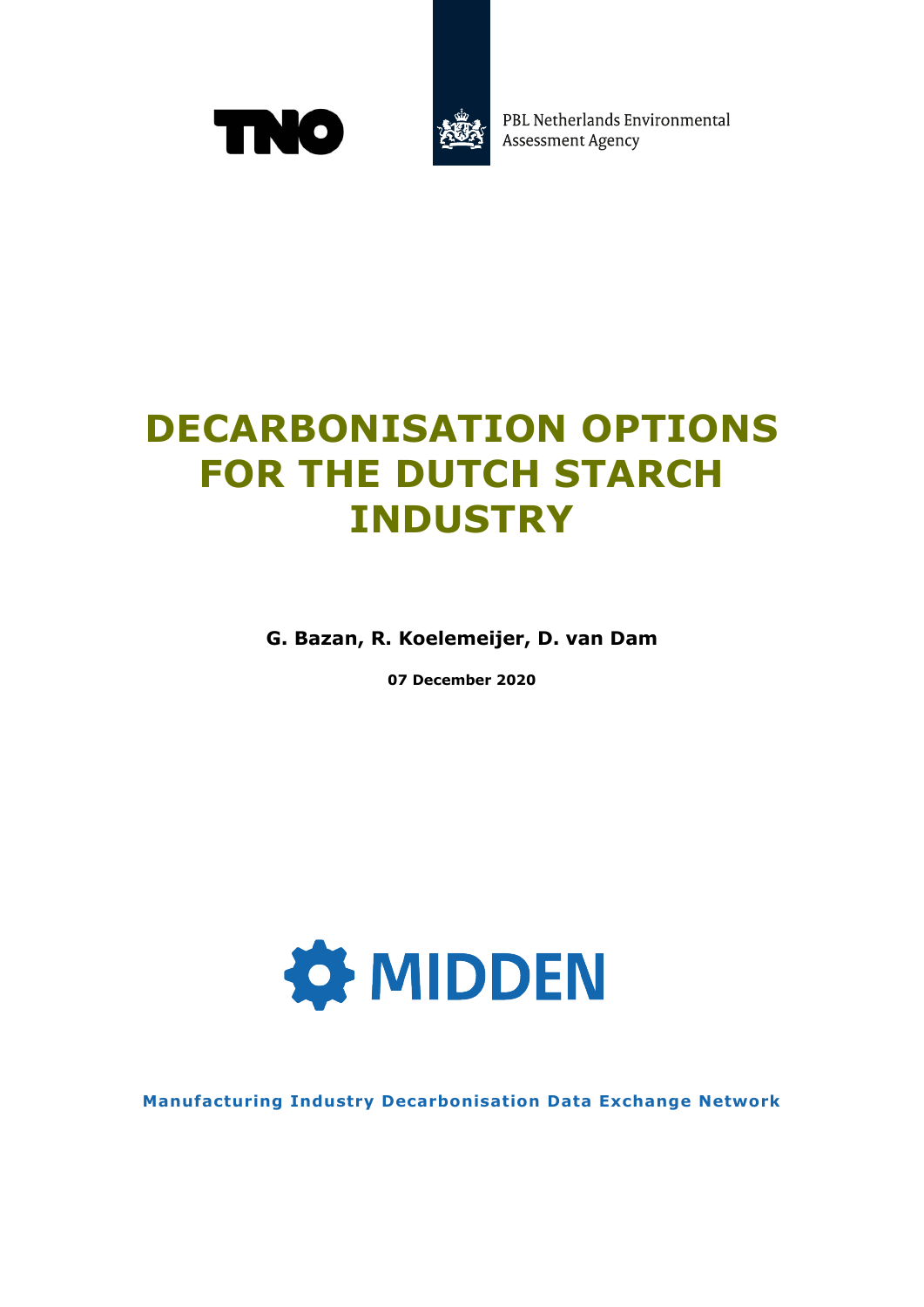



PBL Netherlands Environmental **Assessment Agency** 

## **DECARBONISATION OPTIONS FOR THE DUTCH STARCH INDUSTRY**

**G. Bazan, R. Koelemeijer, D. van Dam**

**07 December 2020**



**Manufacturing Industry Decarbonisation Data Exchange Network**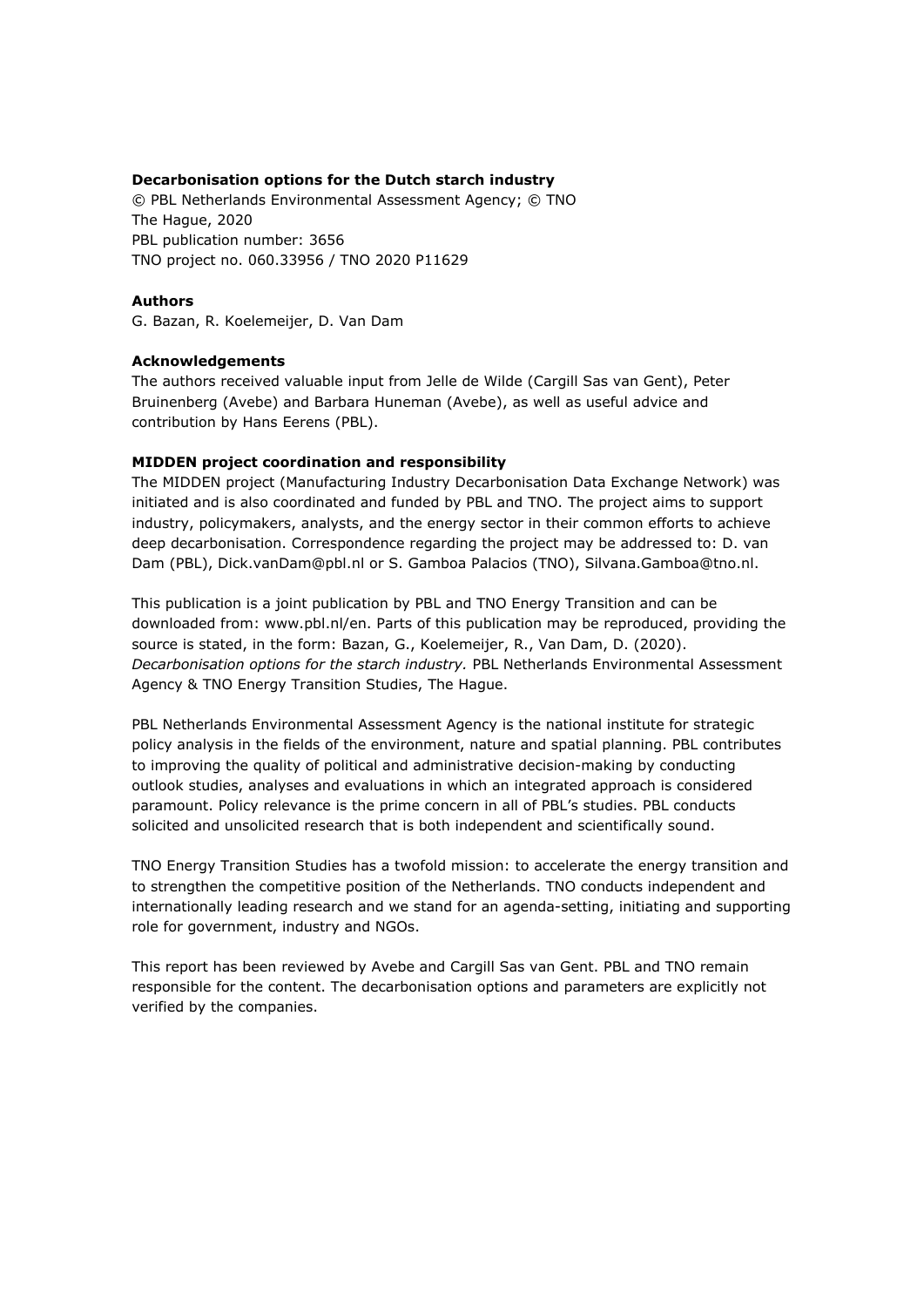#### **Decarbonisation options for the Dutch starch industry**

© PBL Netherlands Environmental Assessment Agency; © TNO The Hague, 2020 PBL publication number: 3656 TNO project no. 060.33956 / TNO 2020 P11629

#### **Authors**

G. Bazan, R. Koelemeijer, D. Van Dam

#### **Acknowledgements**

The authors received valuable input from Jelle de Wilde (Cargill Sas van Gent), Peter Bruinenberg (Avebe) and Barbara Huneman (Avebe), as well as useful advice and contribution by Hans Eerens (PBL).

#### **MIDDEN project coordination and responsibility**

The MIDDEN project (Manufacturing Industry Decarbonisation Data Exchange Network) was initiated and is also coordinated and funded by PBL and TNO. The project aims to support industry, policymakers, analysts, and the energy sector in their common efforts to achieve deep decarbonisation. Correspondence regarding the project may be addressed to: D. van Dam (PBL), Dick.vanDam@pbl.nl or S. Gamboa Palacios (TNO), Silvana.Gamboa@tno.nl.

This publication is a joint publication by PBL and TNO Energy Transition and can be downloaded from: www.pbl.nl/en. Parts of this publication may be reproduced, providing the source is stated, in the form: Bazan, G., Koelemeijer, R., Van Dam, D. (2020). *Decarbonisation options for the starch industry.* PBL Netherlands Environmental Assessment Agency & TNO Energy Transition Studies, The Hague.

PBL Netherlands Environmental Assessment Agency is the national institute for strategic policy analysis in the fields of the environment, nature and spatial planning. PBL contributes to improving the quality of political and administrative decision-making by conducting outlook studies, analyses and evaluations in which an integrated approach is considered paramount. Policy relevance is the prime concern in all of PBL's studies. PBL conducts solicited and unsolicited research that is both independent and scientifically sound.

TNO Energy Transition Studies has a twofold mission: to accelerate the energy transition and to strengthen the competitive position of the Netherlands. TNO conducts independent and internationally leading research and we stand for an agenda-setting, initiating and supporting role for government, industry and NGOs.

This report has been reviewed by Avebe and Cargill Sas van Gent. PBL and TNO remain responsible for the content. The decarbonisation options and parameters are explicitly not verified by the companies.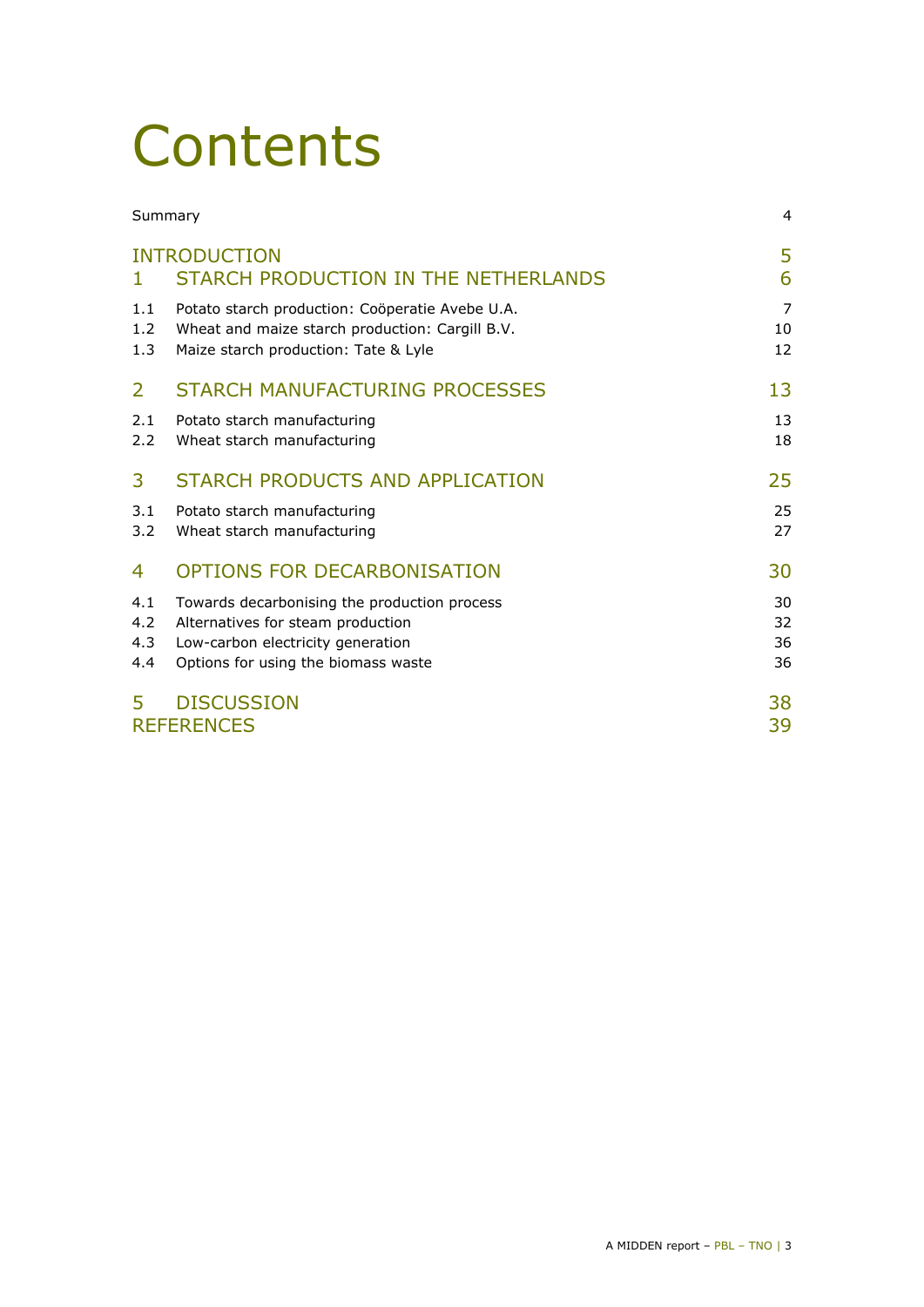## **Contents**

| Summary                  |                                                                                                                                                               | 4                          |
|--------------------------|---------------------------------------------------------------------------------------------------------------------------------------------------------------|----------------------------|
| Т.                       | <b>INTRODUCTION</b><br>STARCH PRODUCTION IN THE NETHERLANDS                                                                                                   | 5<br>6                     |
| 1.1<br>1.2<br>1.3        | Potato starch production: Coöperatie Avebe U.A.<br>Wheat and maize starch production: Cargill B.V.<br>Maize starch production: Tate & Lyle                    | $\overline{7}$<br>10<br>12 |
| $\overline{2}$           | <b>STARCH MANUFACTURING PROCESSES</b>                                                                                                                         | 13                         |
| 2.1<br>2.2               | Potato starch manufacturing<br>Wheat starch manufacturing                                                                                                     | 13<br>18                   |
| 3                        | STARCH PRODUCTS AND APPLICATION                                                                                                                               | 25                         |
| 3.1<br>3.2               | Potato starch manufacturing<br>Wheat starch manufacturing                                                                                                     | 25<br>27                   |
| 4                        | OPTIONS FOR DECARBONISATION                                                                                                                                   | 30                         |
| 4.1<br>4.2<br>4.3<br>4.4 | Towards decarbonising the production process<br>Alternatives for steam production<br>Low-carbon electricity generation<br>Options for using the biomass waste | 30<br>32<br>36<br>36       |
| 5                        | <b>DISCUSSION</b><br><b>REFERENCES</b>                                                                                                                        | 38<br>39                   |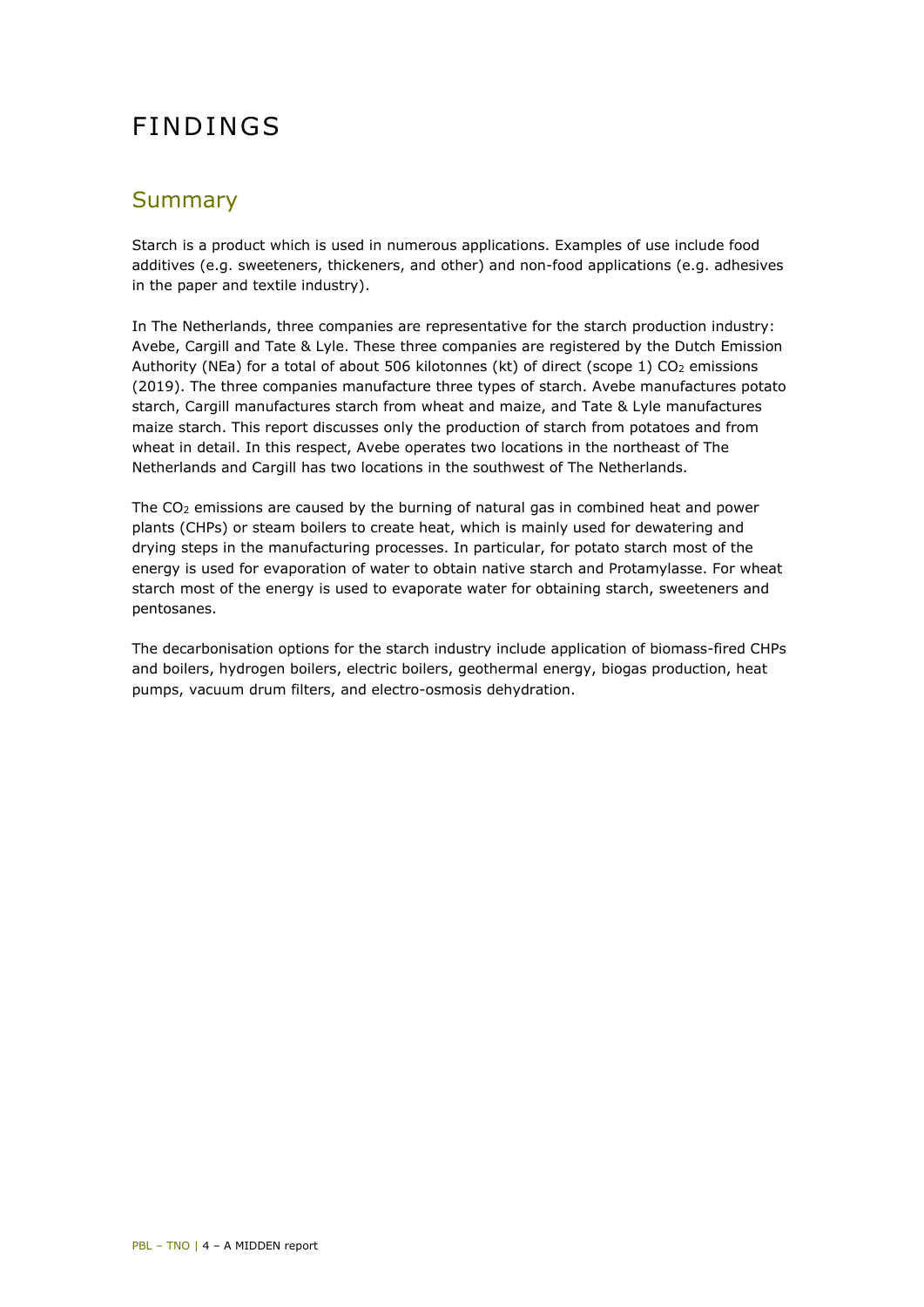## FINDINGS

### <span id="page-3-0"></span>Summary

Starch is a product which is used in numerous applications. Examples of use include food additives (e.g. sweeteners, thickeners, and other) and non-food applications (e.g. adhesives in the paper and textile industry).

In The Netherlands, three companies are representative for the starch production industry: Avebe, Cargill and Tate & Lyle. These three companies are registered by the Dutch Emission Authority (NEa) for a total of about 506 kilotonnes (kt) of direct (scope 1) CO<sub>2</sub> emissions (2019). The three companies manufacture three types of starch. Avebe manufactures potato starch, Cargill manufactures starch from wheat and maize, and Tate & Lyle manufactures maize starch. This report discusses only the production of starch from potatoes and from wheat in detail. In this respect, Avebe operates two locations in the northeast of The Netherlands and Cargill has two locations in the southwest of The Netherlands.

The  $CO<sub>2</sub>$  emissions are caused by the burning of natural gas in combined heat and power plants (CHPs) or steam boilers to create heat, which is mainly used for dewatering and drying steps in the manufacturing processes. In particular, for potato starch most of the energy is used for evaporation of water to obtain native starch and Protamylasse. For wheat starch most of the energy is used to evaporate water for obtaining starch, sweeteners and pentosanes.

The decarbonisation options for the starch industry include application of biomass-fired CHPs and boilers, hydrogen boilers, electric boilers, geothermal energy, biogas production, heat pumps, vacuum drum filters, and electro-osmosis dehydration.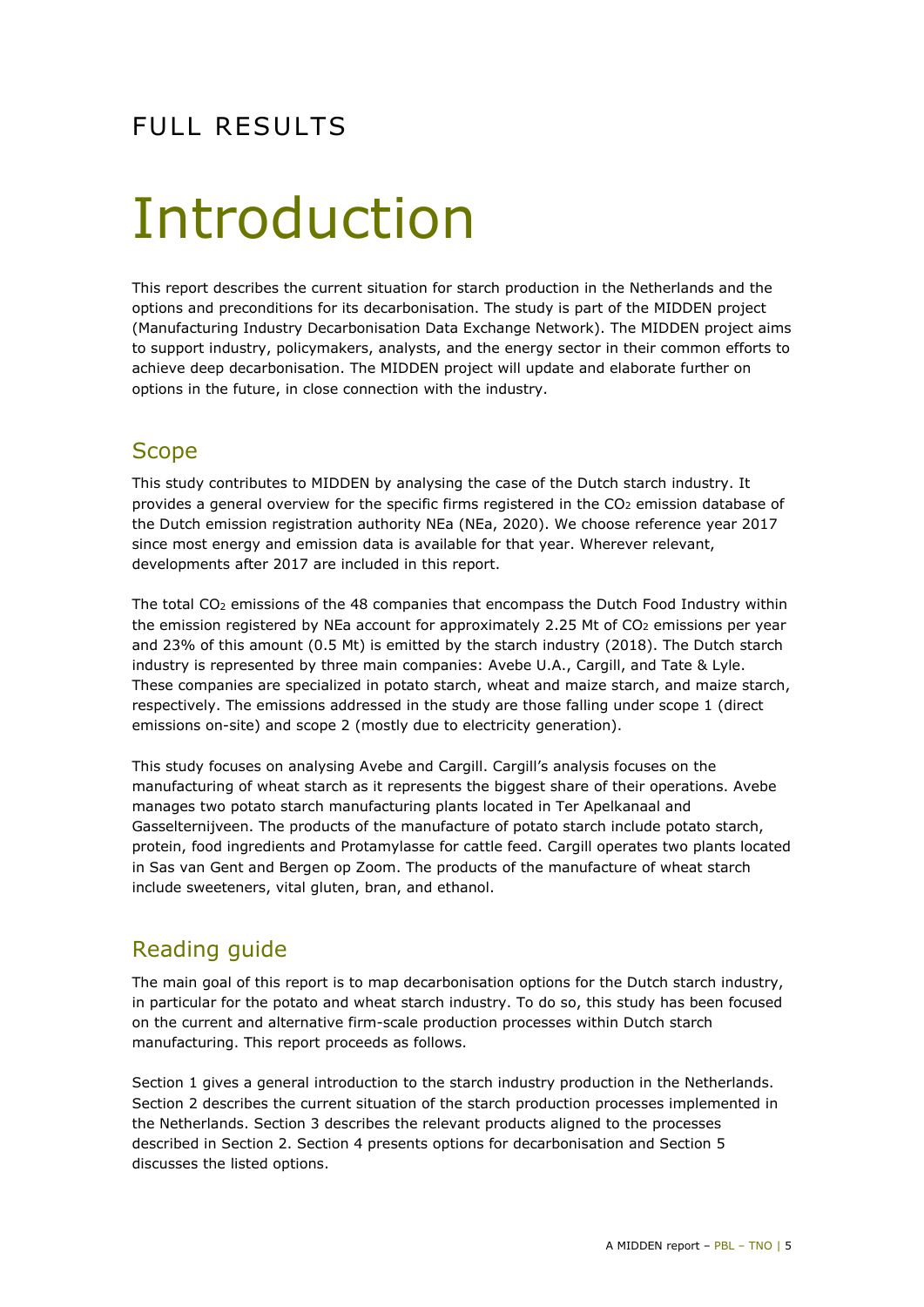## FULL RESULTS

## <span id="page-4-0"></span>Introduction

This report describes the current situation for starch production in the Netherlands and the options and preconditions for its decarbonisation. The study is part of the MIDDEN project (Manufacturing Industry Decarbonisation Data Exchange Network). The MIDDEN project aims to support industry, policymakers, analysts, and the energy sector in their common efforts to achieve deep decarbonisation. The MIDDEN project will update and elaborate further on options in the future, in close connection with the industry.

## **Scope**

This study contributes to MIDDEN by analysing the case of the Dutch starch industry. It provides a general overview for the specific firms registered in the CO<sub>2</sub> emission database of the Dutch emission registration authority NEa (NEa, 2020). We choose reference year 2017 since most energy and emission data is available for that year. Wherever relevant, developments after 2017 are included in this report.

The total CO2 emissions of the 48 companies that encompass the Dutch Food Industry within the emission registered by NEa account for approximately 2.25 Mt of CO<sub>2</sub> emissions per year and 23% of this amount (0.5 Mt) is emitted by the starch industry (2018). The Dutch starch industry is represented by three main companies: Avebe U.A., Cargill, and Tate & Lyle. These companies are specialized in potato starch, wheat and maize starch, and maize starch, respectively. The emissions addressed in the study are those falling under scope 1 (direct emissions on-site) and scope 2 (mostly due to electricity generation).

This study focuses on analysing Avebe and Cargill. Cargill's analysis focuses on the manufacturing of wheat starch as it represents the biggest share of their operations. Avebe manages two potato starch manufacturing plants located in Ter Apelkanaal and Gasselternijveen. The products of the manufacture of potato starch include potato starch, protein, food ingredients and Protamylasse for cattle feed. Cargill operates two plants located in Sas van Gent and Bergen op Zoom. The products of the manufacture of wheat starch include sweeteners, vital gluten, bran, and ethanol.

## Reading guide

The main goal of this report is to map decarbonisation options for the Dutch starch industry, in particular for the potato and wheat starch industry. To do so, this study has been focused on the current and alternative firm-scale production processes within Dutch starch manufacturing. This report proceeds as follows.

Section 1 gives a general introduction to the starch industry production in the Netherlands. Section 2 describes the current situation of the starch production processes implemented in the Netherlands. Section 3 describes the relevant products aligned to the processes described in Section 2. Section 4 presents options for decarbonisation and Section 5 discusses the listed options.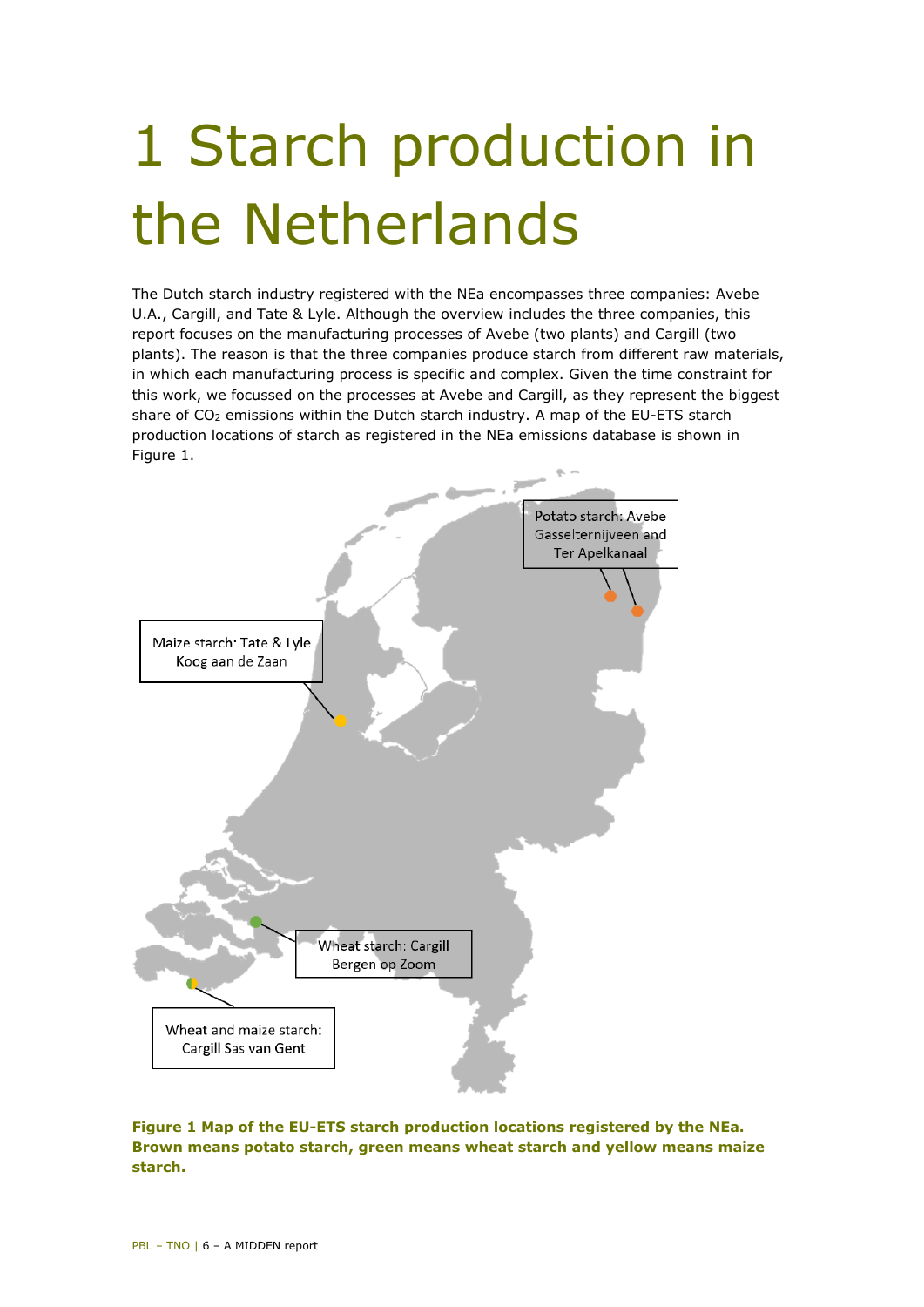# <span id="page-5-0"></span>1 Starch production in the Netherlands

The Dutch starch industry registered with the NEa encompasses three companies: Avebe U.A., Cargill, and Tate & Lyle. Although the overview includes the three companies, this report focuses on the manufacturing processes of Avebe (two plants) and Cargill (two plants). The reason is that the three companies produce starch from different raw materials, in which each manufacturing process is specific and complex. Given the time constraint for this work, we focussed on the processes at Avebe and Cargill, as they represent the biggest share of CO2 emissions within the Dutch starch industry. A map of the EU-ETS starch production locations of starch as registered in the NEa emissions database is shown in [Figure 1.](#page-5-1)



<span id="page-5-1"></span>**Figure 1 Map of the EU-ETS starch production locations registered by the NEa. Brown means potato starch, green means wheat starch and yellow means maize starch.**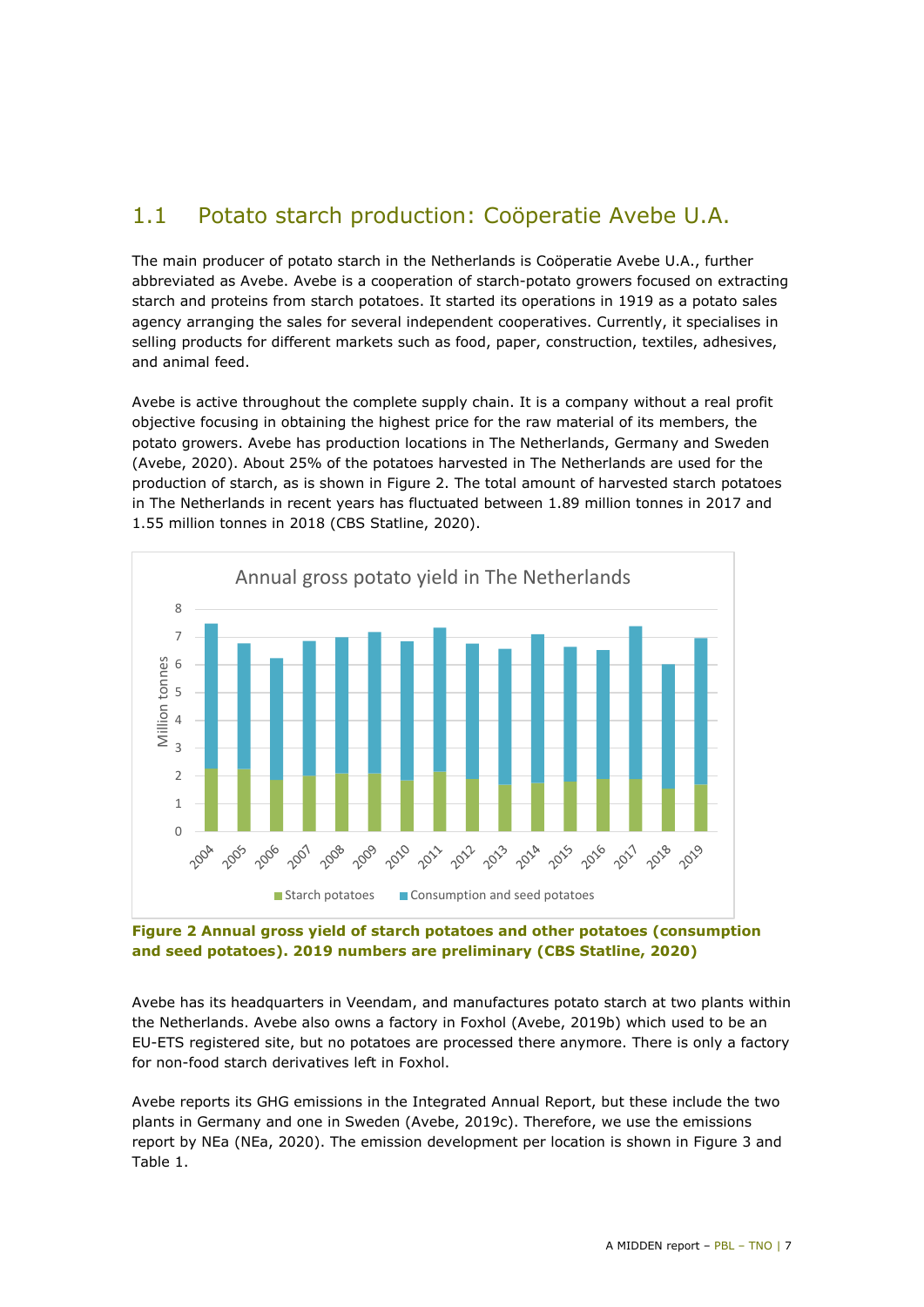## <span id="page-6-0"></span>1.1 Potato starch production: Coöperatie Avebe U.A.

The main producer of potato starch in the Netherlands is Coöperatie Avebe U.A., further abbreviated as Avebe. Avebe is a cooperation of starch-potato growers focused on extracting starch and proteins from starch potatoes. It started its operations in 1919 as a potato sales agency arranging the sales for several independent cooperatives. Currently, it specialises in selling products for different markets such as food, paper, construction, textiles, adhesives, and animal feed.

Avebe is active throughout the complete supply chain. It is a company without a real profit objective focusing in obtaining the highest price for the raw material of its members, the potato growers. Avebe has production locations in The Netherlands, Germany and Sweden (Avebe, 2020). About 25% of the potatoes harvested in The Netherlands are used for the production of starch, as is shown in [Figure 2.](#page-6-1) The total amount of harvested starch potatoes in The Netherlands in recent years has fluctuated between 1.89 million tonnes in 2017 and 1.55 million tonnes in 2018 (CBS Statline, 2020).



#### <span id="page-6-1"></span>**Figure 2 Annual gross yield of starch potatoes and other potatoes (consumption and seed potatoes). 2019 numbers are preliminary (CBS Statline, 2020)**

Avebe has its headquarters in Veendam, and manufactures potato starch at two plants within the Netherlands. Avebe also owns a factory in Foxhol (Avebe, 2019b) which used to be an EU-ETS registered site, but no potatoes are processed there anymore. There is only a factory for non-food starch derivatives left in Foxhol.

Avebe reports its GHG emissions in the Integrated Annual Report, but these include the two plants in Germany and one in Sweden (Avebe, 2019c). Therefore, we use the emissions report by NEa (NEa, 2020). The emission development per location is shown in [Figure 3](#page-7-0) and [Table 1.](#page-7-1)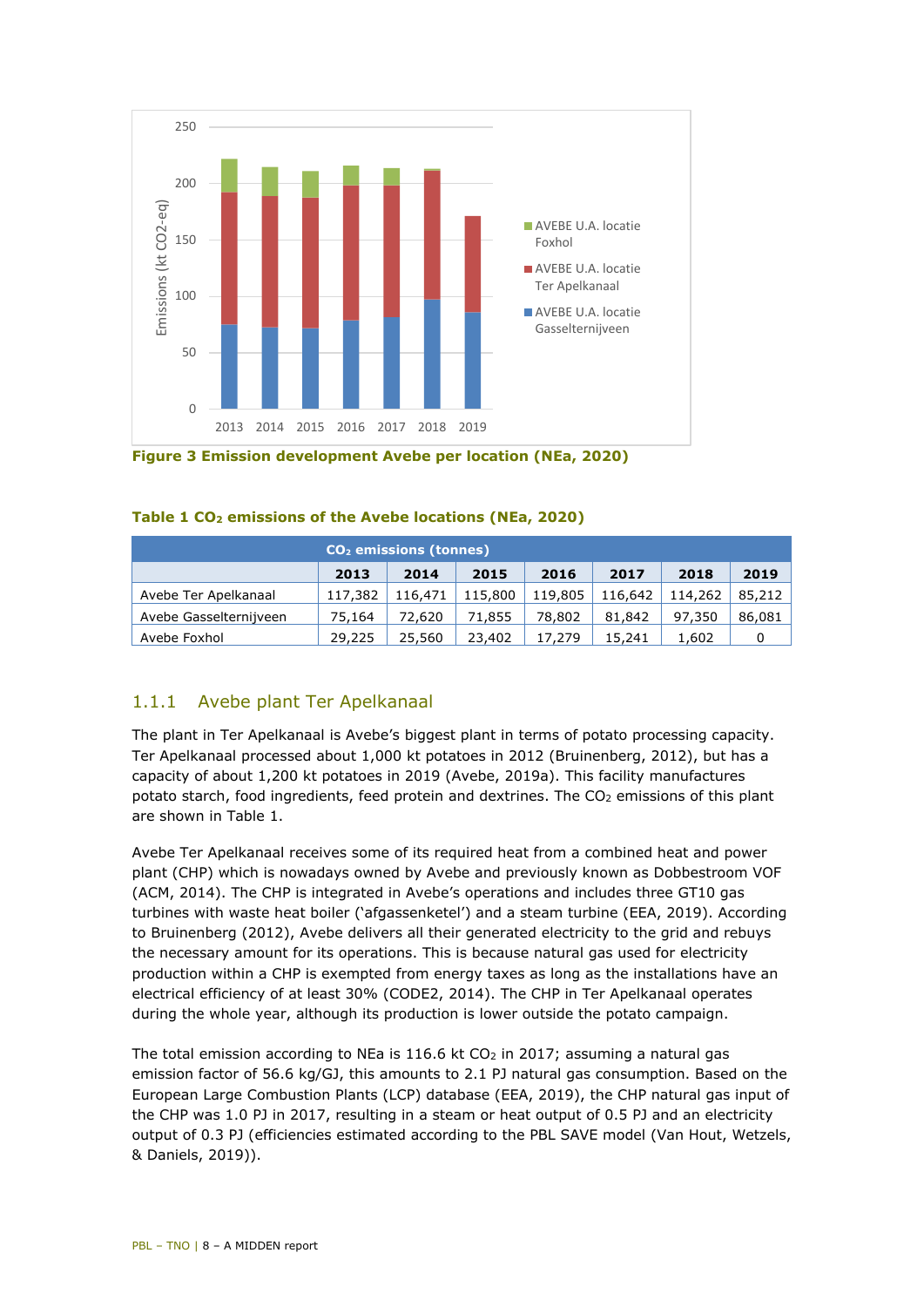

<span id="page-7-0"></span>**Figure 3 Emission development Avebe per location (NEa, 2020)**

| CO <sub>2</sub> emissions (tonnes) |         |         |         |         |         |         |        |  |
|------------------------------------|---------|---------|---------|---------|---------|---------|--------|--|
|                                    | 2013    | 2014    | 2015    | 2016    | 2017    | 2018    | 2019   |  |
| Avebe Ter Apelkanaal               | 117,382 | 116,471 | 115,800 | 119,805 | 116,642 | 114,262 | 85,212 |  |
| Avebe Gasselternijveen             | 75,164  | 72.620  | 71,855  | 78,802  | 81.842  | 97,350  | 86,081 |  |
| Avebe Foxhol                       | 29,225  | 25,560  | 23,402  | 17,279  | 15,241  | 1.602   |        |  |

<span id="page-7-1"></span>

|  |  | Table 1 CO <sub>2</sub> emissions of the Avebe locations (NEa, 2020) |  |  |  |  |  |
|--|--|----------------------------------------------------------------------|--|--|--|--|--|
|--|--|----------------------------------------------------------------------|--|--|--|--|--|

#### 1.1.1 Avebe plant Ter Apelkanaal

The plant in Ter Apelkanaal is Avebe's biggest plant in terms of potato processing capacity. Ter Apelkanaal processed about 1,000 kt potatoes in 2012 (Bruinenberg, 2012), but has a capacity of about 1,200 kt potatoes in 2019 (Avebe, 2019a). This facility manufactures potato starch, food ingredients, feed protein and dextrines. The CO<sub>2</sub> emissions of this plant are shown in [Table 1.](#page-7-1)

Avebe Ter Apelkanaal receives some of its required heat from a combined heat and power plant (CHP) which is nowadays owned by Avebe and previously known as Dobbestroom VOF (ACM, 2014). The CHP is integrated in Avebe's operations and includes three GT10 gas turbines with waste heat boiler ('afgassenketel') and a steam turbine (EEA, 2019). According to Bruinenberg (2012), Avebe delivers all their generated electricity to the grid and rebuys the necessary amount for its operations. This is because natural gas used for electricity production within a CHP is exempted from energy taxes as long as the installations have an electrical efficiency of at least 30% (CODE2, 2014). The CHP in Ter Apelkanaal operates during the whole year, although its production is lower outside the potato campaign.

The total emission according to NEa is  $116.6$  kt CO<sub>2</sub> in 2017; assuming a natural gas emission factor of 56.6 kg/GJ, this amounts to 2.1 PJ natural gas consumption. Based on the European Large Combustion Plants (LCP) database (EEA, 2019), the CHP natural gas input of the CHP was 1.0 PJ in 2017, resulting in a steam or heat output of 0.5 PJ and an electricity output of 0.3 PJ (efficiencies estimated according to the PBL SAVE model (Van Hout, Wetzels, & Daniels, 2019)).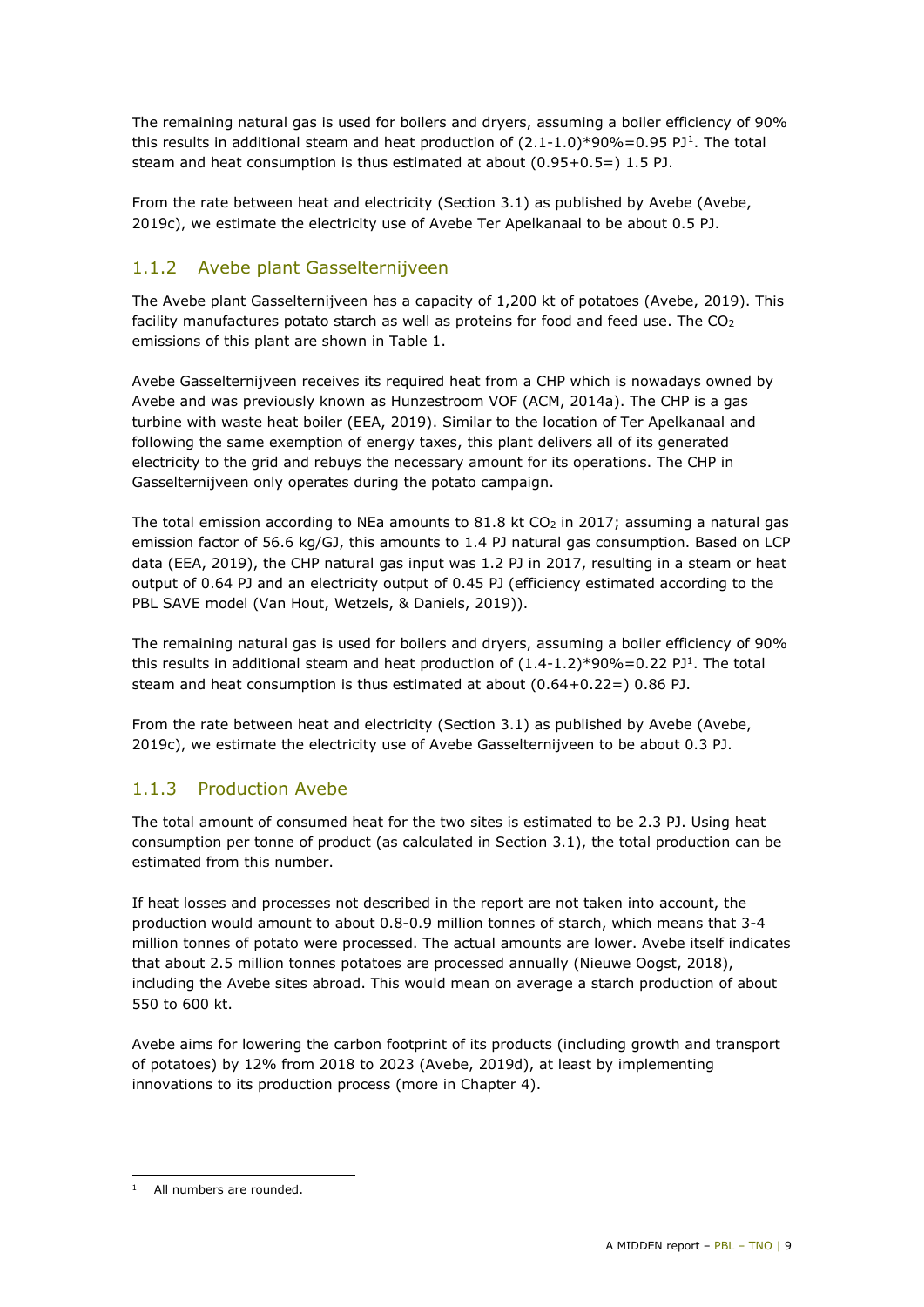<span id="page-8-0"></span>The remaining natural gas is used for boilers and dryers, assuming a boiler efficiency of 90% this results in additional steam and heat production of  $(2.1\t{-}1.0)*90\% = 0.95$  $(2.1\t{-}1.0)*90\% = 0.95$  $(2.1\t{-}1.0)*90\% = 0.95$  PJ<sup>1</sup>. The total steam and heat consumption is thus estimated at about (0.95+0.5=) 1.5 PJ.

From the rate between heat and electricity (Section [3.1\)](#page-24-1) as published by Avebe (Avebe, 2019c), we estimate the electricity use of Avebe Ter Apelkanaal to be about 0.5 PJ.

#### 1.1.2 Avebe plant Gasselternijveen

The Avebe plant Gasselternijveen has a capacity of 1,200 kt of potatoes (Avebe, 2019). This facility manufactures potato starch as well as proteins for food and feed use. The  $CO<sub>2</sub>$ emissions of this plant are shown in [Table 1.](#page-7-1)

Avebe Gasselternijveen receives its required heat from a CHP which is nowadays owned by Avebe and was previously known as Hunzestroom VOF (ACM, 2014a). The CHP is a gas turbine with waste heat boiler (EEA, 2019). Similar to the location of Ter Apelkanaal and following the same exemption of energy taxes, this plant delivers all of its generated electricity to the grid and rebuys the necessary amount for its operations. The CHP in Gasselternijveen only operates during the potato campaign.

The total emission according to NEa amounts to 81.8 kt  $CO<sub>2</sub>$  in 2017; assuming a natural gas emission factor of 56.6 kg/GJ, this amounts to 1.4 PJ natural gas consumption. Based on LCP data (EEA, 2019), the CHP natural gas input was 1.2 PJ in 2017, resulting in a steam or heat output of 0.64 PJ and an electricity output of 0.45 PJ (efficiency estimated according to the PBL SAVE model (Van Hout, Wetzels, & Daniels, 2019)).

The remaining natural gas is used for boilers and dryers, assuming a boiler efficiency of 90% this results in additional steam and heat production of  $(1.4-1.2)*90\% = 0.22$  PJ<sup>1</sup>. The total steam and heat consumption is thus estimated at about  $(0.64+0.22=)$  0.86 PJ.

From the rate between heat and electricity (Section [3.1\)](#page-24-1) as published by Avebe (Avebe, 2019c), we estimate the electricity use of Avebe Gasselternijveen to be about 0.3 PJ.

#### 1.1.3 Production Avebe

The total amount of consumed heat for the two sites is estimated to be 2.3 PJ. Using heat consumption per tonne of product (as calculated in Section 3.1), the total production can be estimated from this number.

If heat losses and processes not described in the report are not taken into account, the production would amount to about 0.8-0.9 million tonnes of starch, which means that 3-4 million tonnes of potato were processed. The actual amounts are lower. Avebe itself indicates that about 2.5 million tonnes potatoes are processed annually (Nieuwe Oogst, 2018), including the Avebe sites abroad. This would mean on average a starch production of about 550 to 600 kt.

Avebe aims for lowering the carbon footprint of its products (including growth and transport of potatoes) by 12% from 2018 to 2023 (Avebe, 2019d), at least by implementing innovations to its production process (more in Chapter 4).

<span id="page-8-1"></span>i, <sup>1</sup> All numbers are rounded.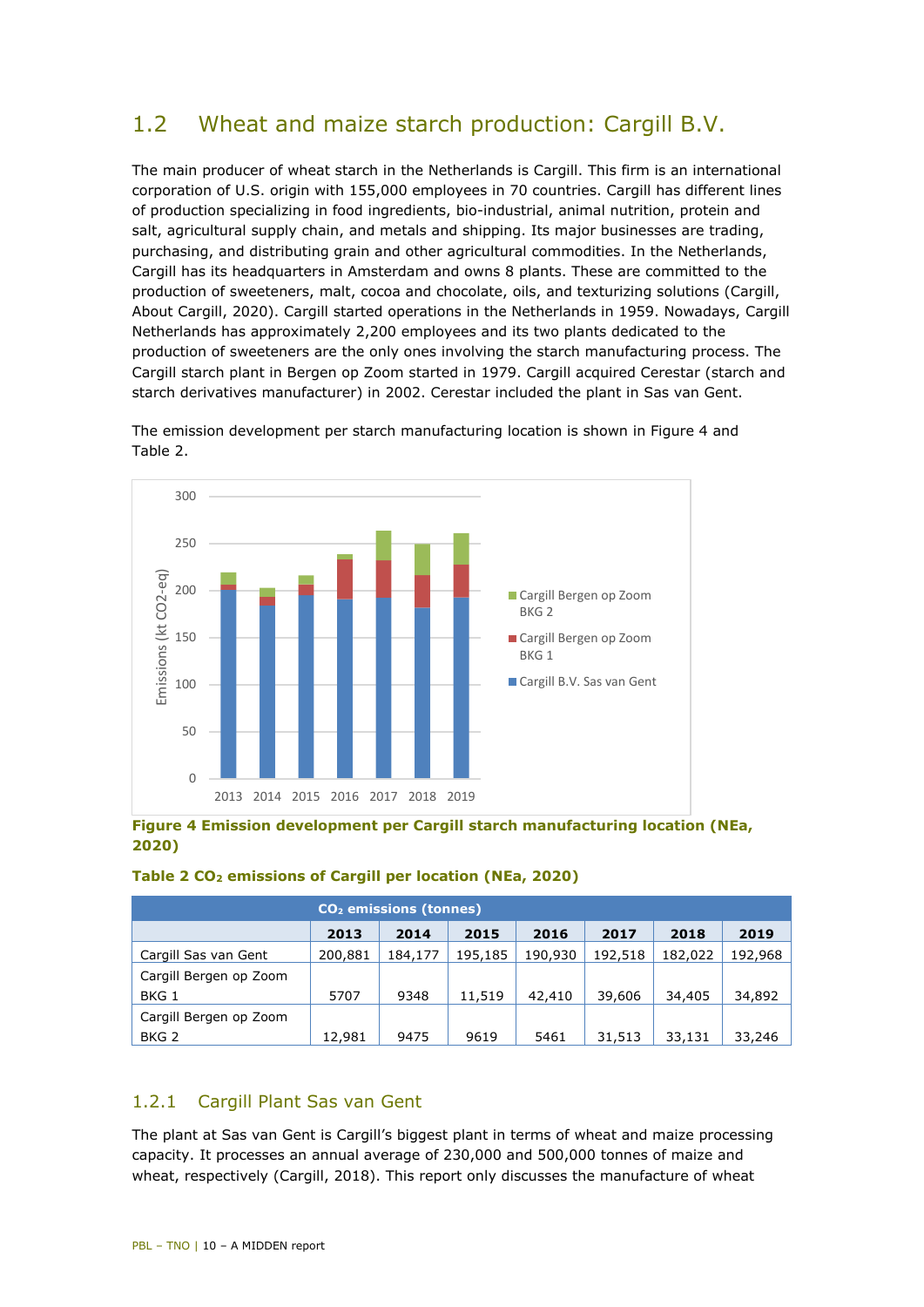## <span id="page-9-0"></span>1.2 Wheat and maize starch production: Cargill B.V.

The main producer of wheat starch in the Netherlands is Cargill. This firm is an international corporation of U.S. origin with 155,000 employees in 70 countries. Cargill has different lines of production specializing in food ingredients, bio-industrial, animal nutrition, protein and salt, agricultural supply chain, and metals and shipping. Its major businesses are trading, purchasing, and distributing grain and other agricultural commodities. In the Netherlands, Cargill has its headquarters in Amsterdam and owns 8 plants. These are committed to the production of sweeteners, malt, cocoa and chocolate, oils, and texturizing solutions (Cargill, About Cargill, 2020). Cargill started operations in the Netherlands in 1959. Nowadays, Cargill Netherlands has approximately 2,200 employees and its two plants dedicated to the production of sweeteners are the only ones involving the starch manufacturing process. The Cargill starch plant in Bergen op Zoom started in 1979. Cargill acquired Cerestar (starch and starch derivatives manufacturer) in 2002. Cerestar included the plant in Sas van Gent.



The emission development per starch manufacturing location is shown in [Figure 4](#page-9-1) and [Table 2.](#page-9-2)

<span id="page-9-1"></span>**Figure 4 Emission development per Cargill starch manufacturing location (NEa, 2020)** 

#### <span id="page-9-2"></span>**Table 2 CO2 emissions of Cargill per location (NEa, 2020)**

| CO <sub>2</sub> emissions (tonnes) |         |         |         |         |         |         |         |  |
|------------------------------------|---------|---------|---------|---------|---------|---------|---------|--|
|                                    | 2013    | 2014    | 2015    | 2016    | 2017    | 2018    | 2019    |  |
| Cargill Sas van Gent               | 200,881 | 184,177 | 195,185 | 190,930 | 192,518 | 182,022 | 192,968 |  |
| Cargill Bergen op Zoom             |         |         |         |         |         |         |         |  |
| BKG 1                              | 5707    | 9348    | 11,519  | 42,410  | 39,606  | 34,405  | 34,892  |  |
| Cargill Bergen op Zoom             |         |         |         |         |         |         |         |  |
| BKG <sub>2</sub>                   | 12,981  | 9475    | 9619    | 5461    | 31,513  | 33,131  | 33,246  |  |

#### 1.2.1 Cargill Plant Sas van Gent

The plant at Sas van Gent is Cargill's biggest plant in terms of wheat and maize processing capacity. It processes an annual average of 230,000 and 500,000 tonnes of maize and wheat, respectively (Cargill, 2018). This report only discusses the manufacture of wheat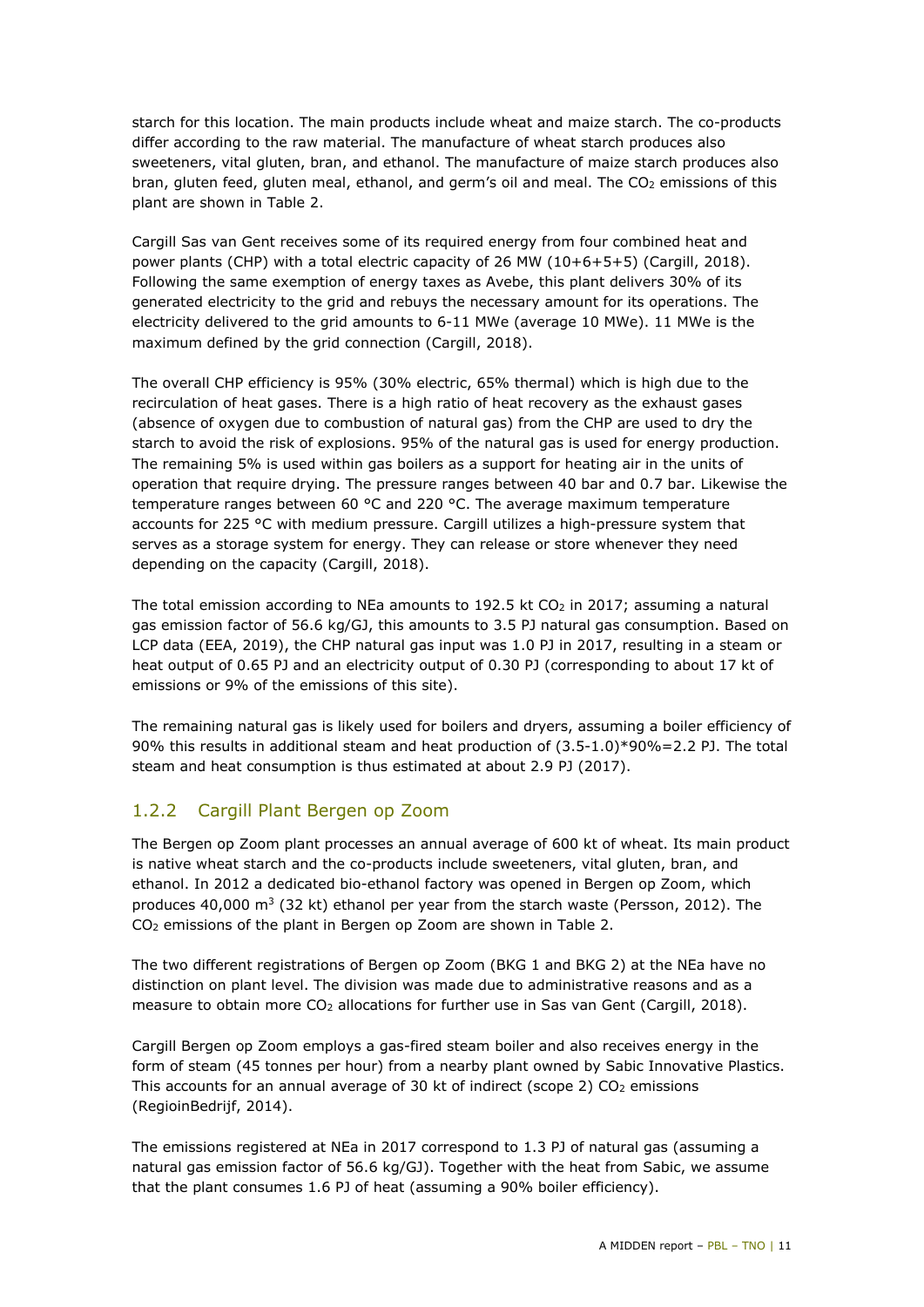starch for this location. The main products include wheat and maize starch. The co-products differ according to the raw material. The manufacture of wheat starch produces also sweeteners, vital gluten, bran, and ethanol. The manufacture of maize starch produces also bran, gluten feed, gluten meal, ethanol, and germ's oil and meal. The CO<sub>2</sub> emissions of this plant are shown in [Table 2.](#page-9-2)

Cargill Sas van Gent receives some of its required energy from four combined heat and power plants (CHP) with a total electric capacity of 26 MW (10+6+5+5) (Cargill, 2018). Following the same exemption of energy taxes as Avebe, this plant delivers 30% of its generated electricity to the grid and rebuys the necessary amount for its operations. The electricity delivered to the grid amounts to 6-11 MWe (average 10 MWe). 11 MWe is the maximum defined by the grid connection (Cargill, 2018).

The overall CHP efficiency is 95% (30% electric, 65% thermal) which is high due to the recirculation of heat gases. There is a high ratio of heat recovery as the exhaust gases (absence of oxygen due to combustion of natural gas) from the CHP are used to dry the starch to avoid the risk of explosions. 95% of the natural gas is used for energy production. The remaining 5% is used within gas boilers as a support for heating air in the units of operation that require drying. The pressure ranges between 40 bar and 0.7 bar. Likewise the temperature ranges between 60 °C and 220 °C. The average maximum temperature accounts for 225 °C with medium pressure. Cargill utilizes a high-pressure system that serves as a storage system for energy. They can release or store whenever they need depending on the capacity (Cargill, 2018).

The total emission according to NEa amounts to 192.5 kt  $CO<sub>2</sub>$  in 2017; assuming a natural gas emission factor of 56.6 kg/GJ, this amounts to 3.5 PJ natural gas consumption. Based on LCP data (EEA, 2019), the CHP natural gas input was 1.0 PJ in 2017, resulting in a steam or heat output of 0.65 PJ and an electricity output of 0.30 PJ (corresponding to about 17 kt of emissions or 9% of the emissions of this site).

The remaining natural gas is likely used for boilers and dryers, assuming a boiler efficiency of 90% this results in additional steam and heat production of (3.5-1.0)\*90%=2.2 PJ. The total steam and heat consumption is thus estimated at about 2.9 PJ (2017).

#### 1.2.2 Cargill Plant Bergen op Zoom

The Bergen op Zoom plant processes an annual average of 600 kt of wheat. Its main product is native wheat starch and the co-products include sweeteners, vital gluten, bran, and ethanol. In 2012 a dedicated bio-ethanol factory was opened in Bergen op Zoom, which produces 40,000  $\text{m}^3$  (32 kt) ethanol per year from the starch waste (Persson, 2012). The CO2 emissions of the plant in Bergen op Zoom are shown in [Table 2.](#page-9-2)

The two different registrations of Bergen op Zoom (BKG 1 and BKG 2) at the NEa have no distinction on plant level. The division was made due to administrative reasons and as a measure to obtain more  $CO<sub>2</sub>$  allocations for further use in Sas van Gent (Cargill, 2018).

Cargill Bergen op Zoom employs a gas-fired steam boiler and also receives energy in the form of steam (45 tonnes per hour) from a nearby plant owned by Sabic Innovative Plastics. This accounts for an annual average of 30 kt of indirect (scope 2)  $CO<sub>2</sub>$  emissions (RegioinBedrijf, 2014).

The emissions registered at NEa in 2017 correspond to 1.3 PJ of natural gas (assuming a natural gas emission factor of 56.6 kg/GJ). Together with the heat from Sabic, we assume that the plant consumes 1.6 PJ of heat (assuming a 90% boiler efficiency).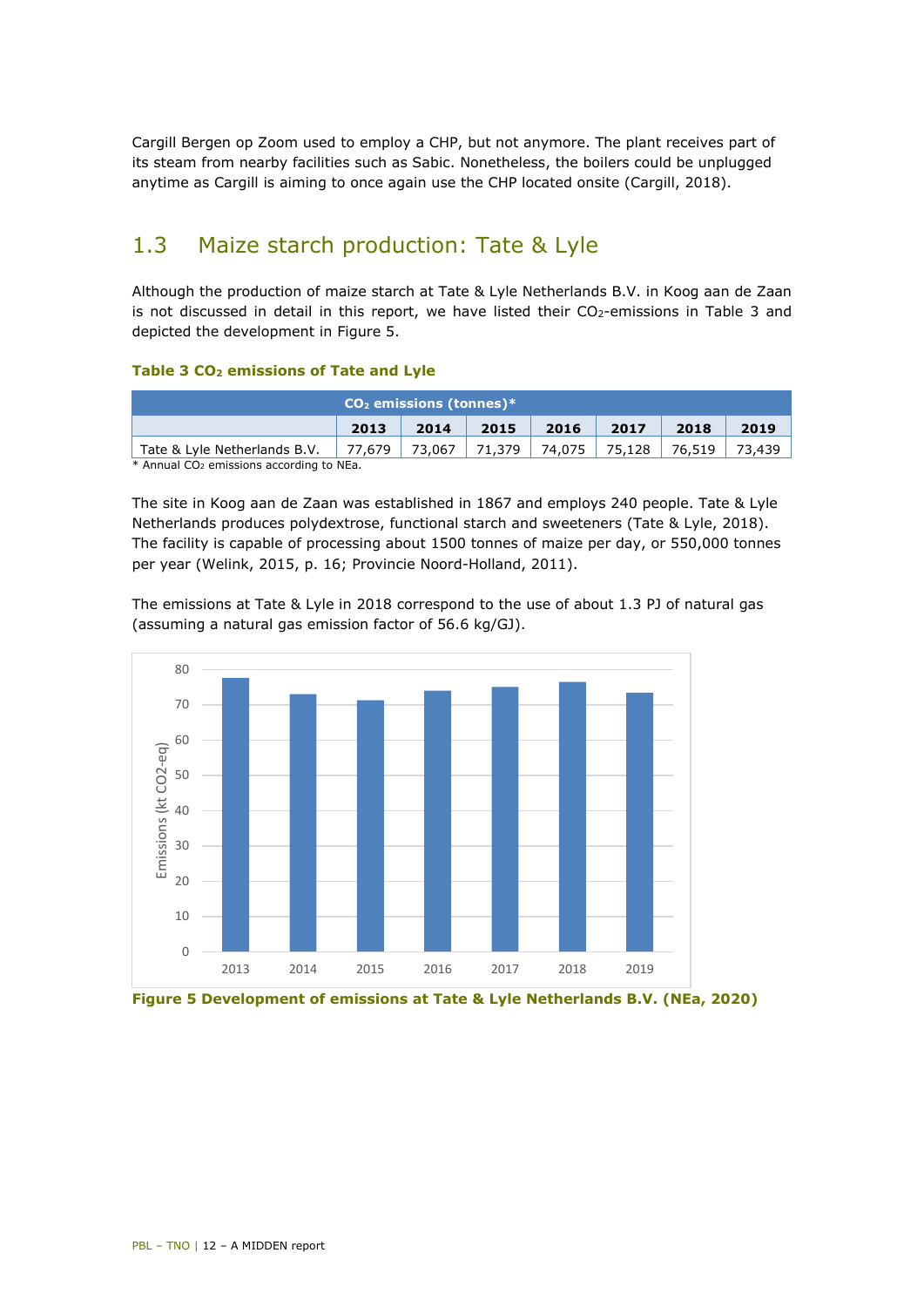Cargill Bergen op Zoom used to employ a CHP, but not anymore. The plant receives part of its steam from nearby facilities such as Sabic. Nonetheless, the boilers could be unplugged anytime as Cargill is aiming to once again use the CHP located onsite (Cargill, 2018).

### <span id="page-11-0"></span>1.3 Maize starch production: Tate & Lyle

Although the production of maize starch at Tate & Lyle Netherlands B.V. in Koog aan de Zaan is not discussed in detail in this report, we have listed their  $CO<sub>2</sub>$ -emissions in [Table 3](#page-11-1) and depicted the development in [Figure 5.](#page-11-2)

#### <span id="page-11-1"></span>**Table 3 CO2 emissions of Tate and Lyle**

|        | $CO2$ emissions (tonnes)* |      |      |                     |        |  |  |  |
|--------|---------------------------|------|------|---------------------|--------|--|--|--|
| 2014   | 2015                      | 2016 | 2017 | 2018                | 2019   |  |  |  |
| 73.067 | 71,379                    |      |      | 76.519              | 73.439 |  |  |  |
|        | 77.679                    |      |      | 74,075 l<br> 75.128 |        |  |  |  |

\* Annual CO2 emissions according to NEa.

The site in Koog aan de Zaan was established in 1867 and employs 240 people. Tate & Lyle Netherlands produces polydextrose, functional starch and sweeteners (Tate & Lyle, 2018). The facility is capable of processing about 1500 tonnes of maize per day, or 550,000 tonnes per year (Welink, 2015, p. 16; Provincie Noord-Holland, 2011).

The emissions at Tate & Lyle in 2018 correspond to the use of about 1.3 PJ of natural gas (assuming a natural gas emission factor of 56.6 kg/GJ).



<span id="page-11-2"></span>**Figure 5 Development of emissions at Tate & Lyle Netherlands B.V. (NEa, 2020)**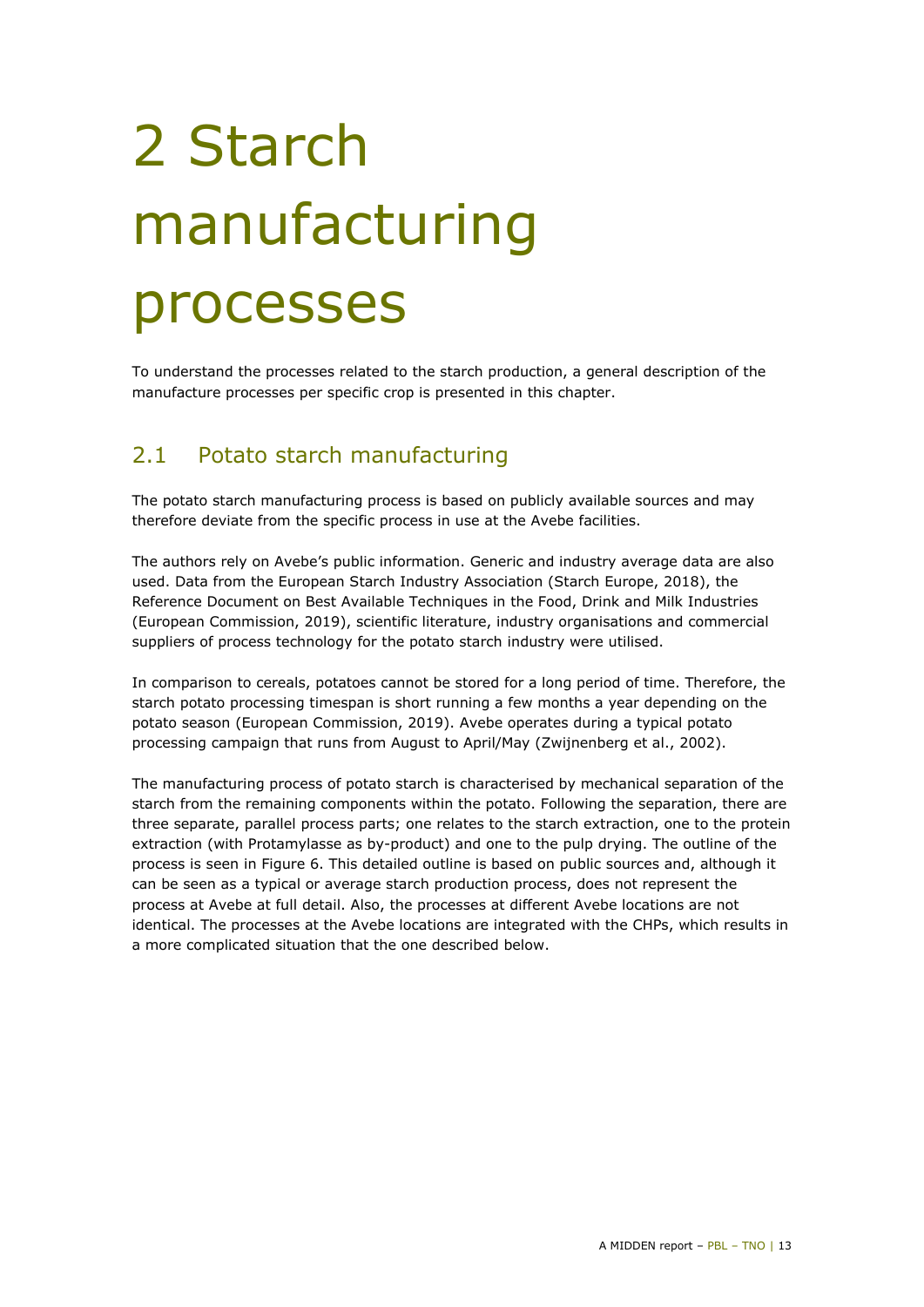# <span id="page-12-0"></span>2 Starch manufacturing processes

<span id="page-12-1"></span>To understand the processes related to the starch production, a general description of the manufacture processes per specific crop is presented in this chapter.

## 2.1 Potato starch manufacturing

The potato starch manufacturing process is based on publicly available sources and may therefore deviate from the specific process in use at the Avebe facilities.

The authors rely on Avebe's public information. Generic and industry average data are also used. Data from the European Starch Industry Association (Starch Europe, 2018), the Reference Document on Best Available Techniques in the Food, Drink and Milk Industries (European Commission, 2019), scientific literature, industry organisations and commercial suppliers of process technology for the potato starch industry were utilised.

In comparison to cereals, potatoes cannot be stored for a long period of time. Therefore, the starch potato processing timespan is short running a few months a year depending on the potato season (European Commission, 2019). Avebe operates during a typical potato processing campaign that runs from August to April/May (Zwijnenberg et al., 2002).

The manufacturing process of potato starch is characterised by mechanical separation of the starch from the remaining components within the potato. Following the separation, there are three separate, parallel process parts; one relates to the starch extraction, one to the protein extraction (with Protamylasse as by-product) and one to the pulp drying. The outline of the process is seen in [Figure 6.](#page-13-0) This detailed outline is based on public sources and, although it can be seen as a typical or average starch production process, does not represent the process at Avebe at full detail. Also, the processes at different Avebe locations are not identical. The processes at the Avebe locations are integrated with the CHPs, which results in a more complicated situation that the one described below.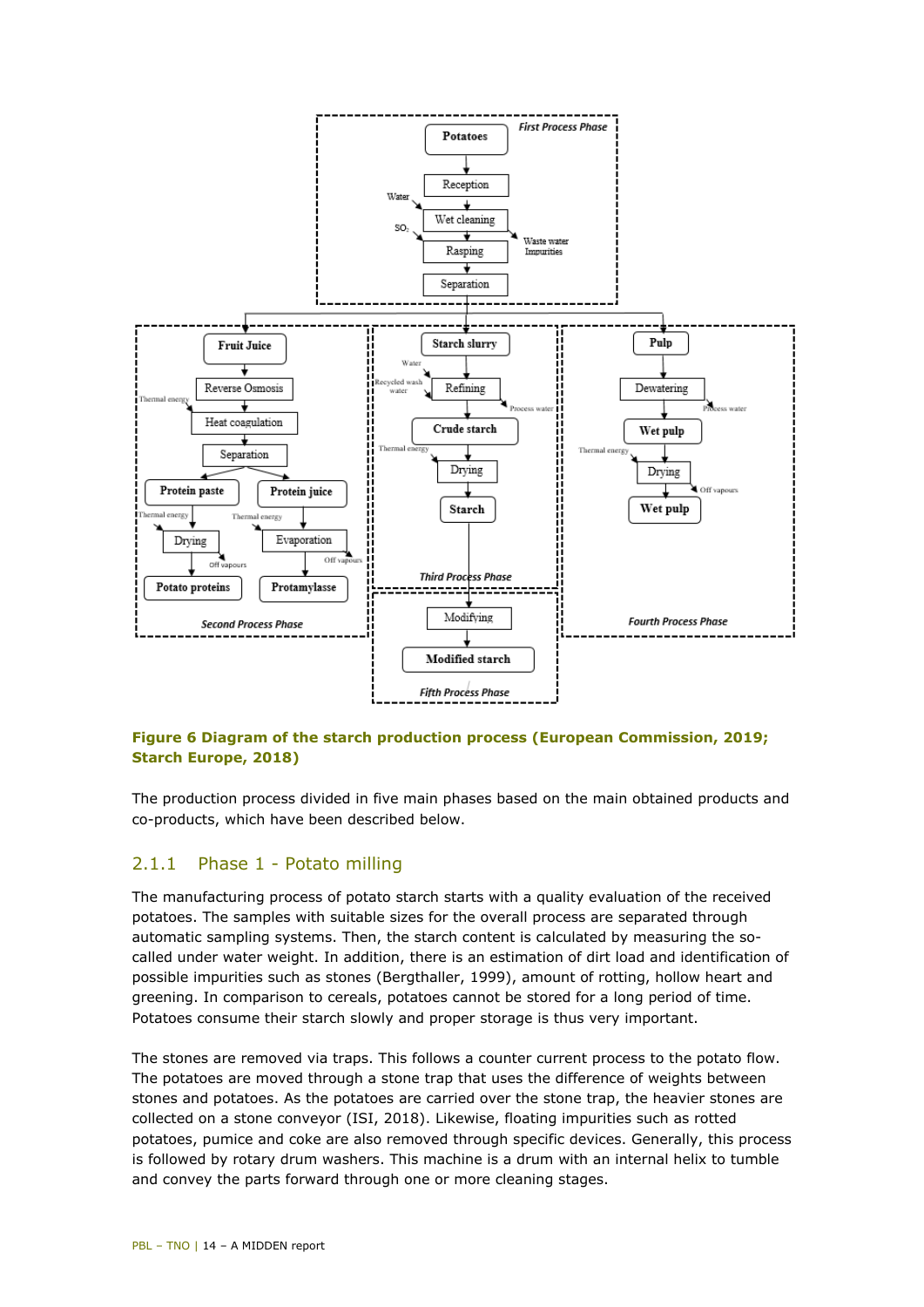

#### <span id="page-13-0"></span>**Figure 6 Diagram of the starch production process (European Commission, 2019; Starch Europe, 2018)**

The production process divided in five main phases based on the main obtained products and co-products, which have been described below.

#### 2.1.1 Phase 1 - Potato milling

The manufacturing process of potato starch starts with a quality evaluation of the received potatoes. The samples with suitable sizes for the overall process are separated through automatic sampling systems. Then, the starch content is calculated by measuring the socalled under water weight. In addition, there is an estimation of dirt load and identification of possible impurities such as stones (Bergthaller, 1999), amount of rotting, hollow heart and greening. In comparison to cereals, potatoes cannot be stored for a long period of time. Potatoes consume their starch slowly and proper storage is thus very important.

The stones are removed via traps. This follows a counter current process to the potato flow. The potatoes are moved through a stone trap that uses the difference of weights between stones and potatoes. As the potatoes are carried over the stone trap, the heavier stones are collected on a stone conveyor (ISI, 2018). Likewise, floating impurities such as rotted potatoes, pumice and coke are also removed through specific devices. Generally, this process is followed by rotary drum washers. This machine is a drum with an internal helix to tumble and convey the parts forward through one or more cleaning stages.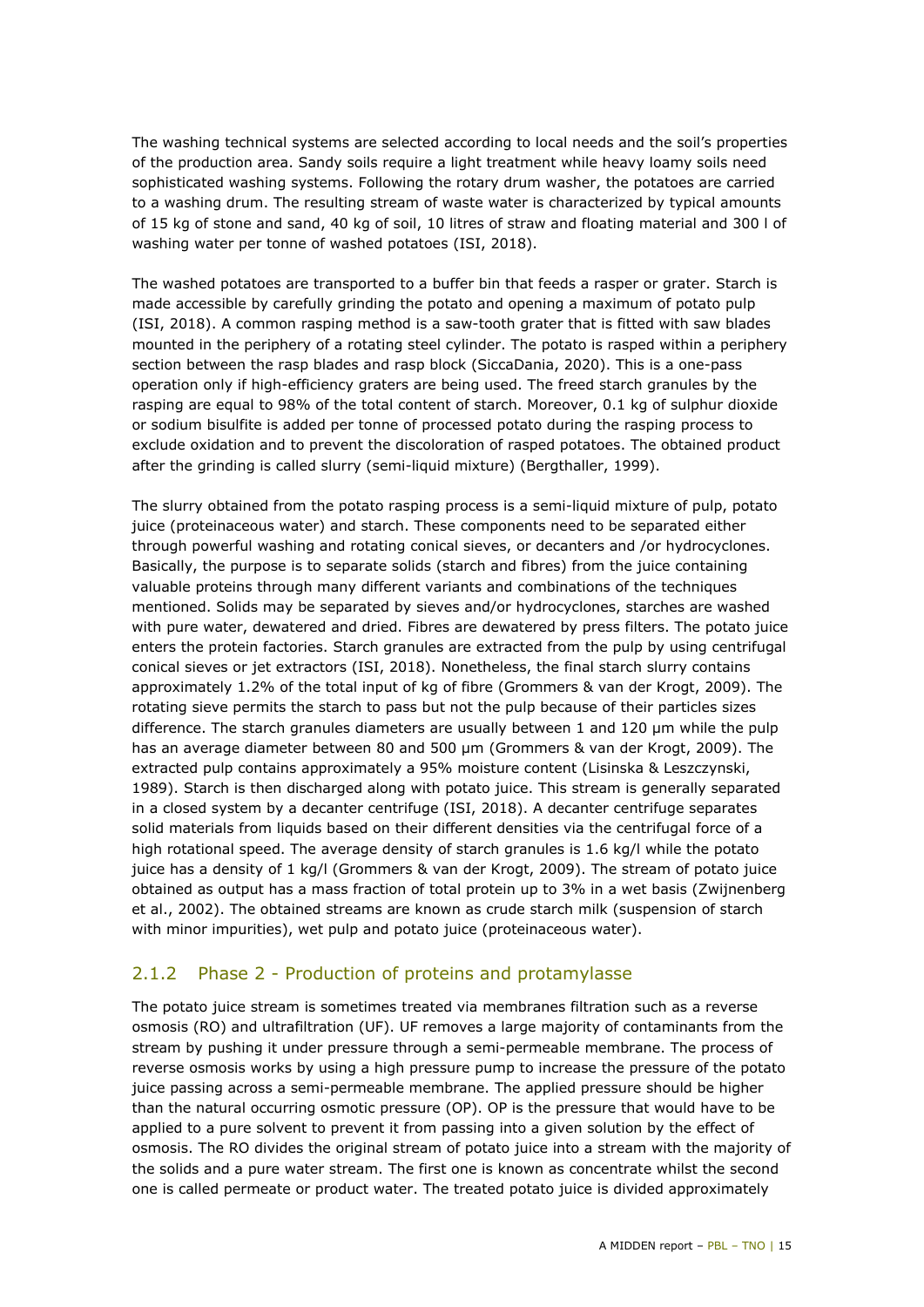The washing technical systems are selected according to local needs and the soil's properties of the production area. Sandy soils require a light treatment while heavy loamy soils need sophisticated washing systems. Following the rotary drum washer, the potatoes are carried to a washing drum. The resulting stream of waste water is characterized by typical amounts of 15 kg of stone and sand, 40 kg of soil, 10 litres of straw and floating material and 300 l of washing water per tonne of washed potatoes (ISI, 2018).

The washed potatoes are transported to a buffer bin that feeds a rasper or grater. Starch is made accessible by carefully grinding the potato and opening a maximum of potato pulp (ISI, 2018). A common rasping method is a saw-tooth grater that is fitted with saw blades mounted in the periphery of a rotating steel cylinder. The potato is rasped within a periphery section between the rasp blades and rasp block (SiccaDania, 2020). This is a one-pass operation only if high-efficiency graters are being used. The freed starch granules by the rasping are equal to 98% of the total content of starch. Moreover, 0.1 kg of sulphur dioxide or sodium bisulfite is added per tonne of processed potato during the rasping process to exclude oxidation and to prevent the discoloration of rasped potatoes. The obtained product after the grinding is called slurry (semi-liquid mixture) (Bergthaller, 1999).

The slurry obtained from the potato rasping process is a semi-liquid mixture of pulp, potato juice (proteinaceous water) and starch. These components need to be separated either through powerful washing and rotating conical sieves, or decanters and /or hydrocyclones. Basically, the purpose is to separate solids (starch and fibres) from the juice containing valuable proteins through many different variants and combinations of the techniques mentioned. Solids may be separated by sieves and/or hydrocyclones, starches are washed with pure water, dewatered and dried. Fibres are dewatered by press filters. The potato juice enters the protein factories. Starch granules are extracted from the pulp by using centrifugal conical sieves or jet extractors (ISI, 2018). Nonetheless, the final starch slurry contains approximately 1.2% of the total input of kg of fibre (Grommers & van der Krogt, 2009). The rotating sieve permits the starch to pass but not the pulp because of their particles sizes difference. The starch granules diameters are usually between 1 and 120 μm while the pulp has an average diameter between 80 and 500 μm (Grommers & van der Krogt, 2009). The extracted pulp contains approximately a 95% moisture content (Lisinska & Leszczynski, 1989). Starch is then discharged along with potato juice. This stream is generally separated in a closed system by a decanter centrifuge (ISI, 2018). A decanter centrifuge separates solid materials from liquids based on their different densities via the centrifugal force of a high rotational speed. The average density of starch granules is 1.6 kg/l while the potato juice has a density of 1 kg/l (Grommers & van der Krogt, 2009). The stream of potato juice obtained as output has a mass fraction of total protein up to 3% in a wet basis (Zwijnenberg et al., 2002). The obtained streams are known as crude starch milk (suspension of starch with minor impurities), wet pulp and potato juice (proteinaceous water).

#### 2.1.2 Phase 2 - Production of proteins and protamylasse

The potato juice stream is sometimes treated via membranes filtration such as a reverse osmosis (RO) and ultrafiltration (UF). UF removes a large majority of contaminants from the stream by pushing it under pressure through a semi-permeable membrane. The process of reverse osmosis works by using a high pressure pump to increase the pressure of the potato juice passing across a semi-permeable membrane. The applied pressure should be higher than the natural occurring osmotic pressure (OP). OP is the pressure that would have to be applied to a pure solvent to prevent it from passing into a given solution by the effect of osmosis. The RO divides the original stream of potato juice into a stream with the majority of the solids and a pure water stream. The first one is known as concentrate whilst the second one is called permeate or product water. The treated potato juice is divided approximately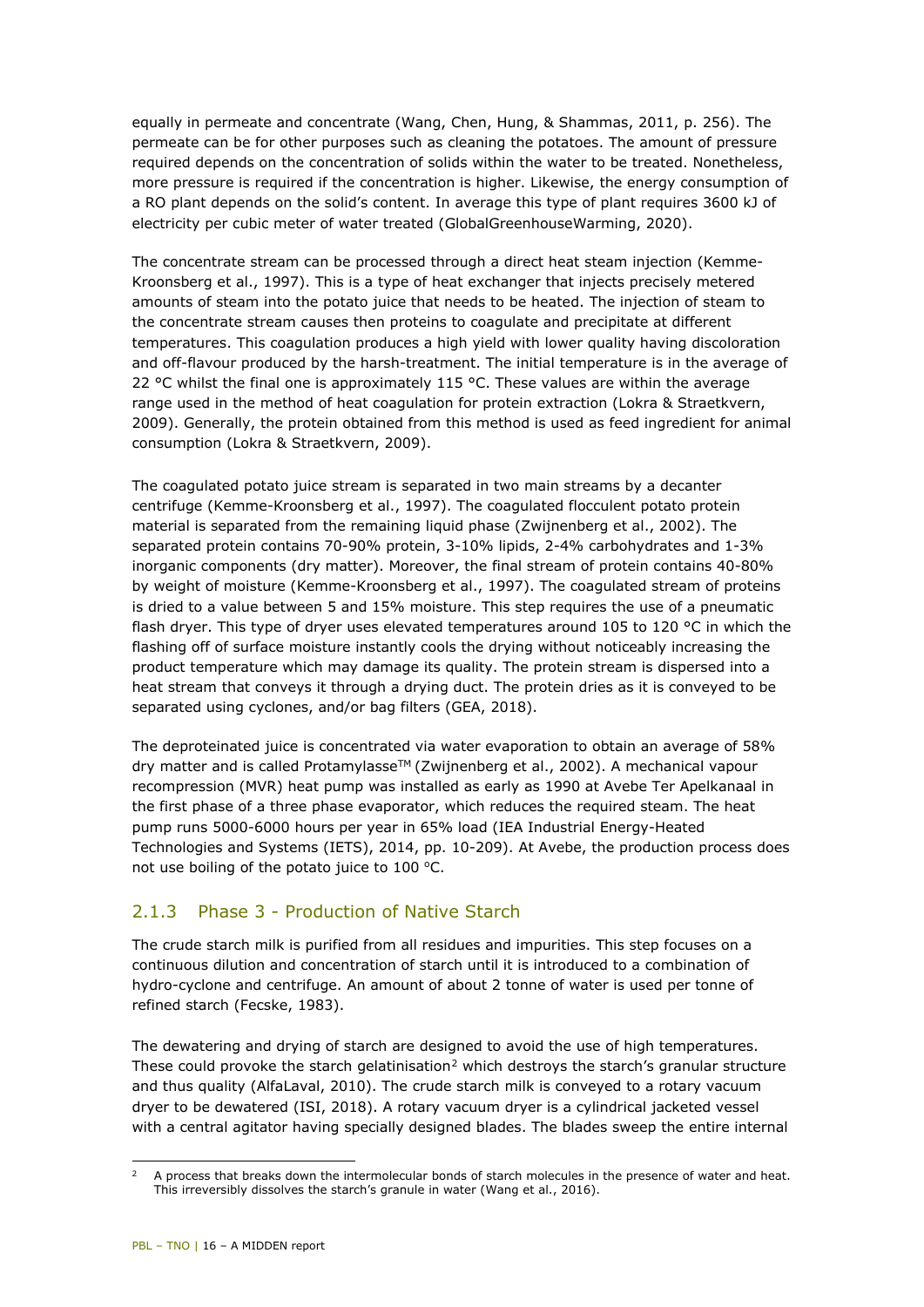equally in permeate and concentrate (Wang, Chen, Hung, & Shammas, 2011, p. 256). The permeate can be for other purposes such as cleaning the potatoes. The amount of pressure required depends on the concentration of solids within the water to be treated. Nonetheless, more pressure is required if the concentration is higher. Likewise, the energy consumption of a RO plant depends on the solid's content. In average this type of plant requires 3600 kJ of electricity per cubic meter of water treated (GlobalGreenhouseWarming, 2020).

The concentrate stream can be processed through a direct heat steam injection (Kemme-Kroonsberg et al., 1997). This is a type of heat exchanger that injects precisely metered amounts of steam into the potato juice that needs to be heated. The injection of steam to the concentrate stream causes then proteins to coagulate and precipitate at different temperatures. This coagulation produces a high yield with lower quality having discoloration and off-flavour produced by the harsh-treatment. The initial temperature is in the average of 22 °C whilst the final one is approximately 115 °C. These values are within the average range used in the method of heat coagulation for protein extraction (Lokra & Straetkvern, 2009). Generally, the protein obtained from this method is used as feed ingredient for animal consumption (Lokra & Straetkvern, 2009).

The coagulated potato juice stream is separated in two main streams by a decanter centrifuge (Kemme-Kroonsberg et al., 1997). The coagulated flocculent potato protein material is separated from the remaining liquid phase (Zwijnenberg et al., 2002). The separated protein contains 70-90% protein, 3-10% lipids, 2-4% carbohydrates and 1-3% inorganic components (dry matter). Moreover, the final stream of protein contains 40-80% by weight of moisture (Kemme-Kroonsberg et al., 1997). The coagulated stream of proteins is dried to a value between 5 and 15% moisture. This step requires the use of a pneumatic flash dryer. This type of dryer uses elevated temperatures around 105 to 120 °C in which the flashing off of surface moisture instantly cools the drying without noticeably increasing the product temperature which may damage its quality. The protein stream is dispersed into a heat stream that conveys it through a drying duct. The protein dries as it is conveyed to be separated using cyclones, and/or bag filters (GEA, 2018).

The deproteinated juice is concentrated via water evaporation to obtain an average of 58% dry matter and is called Protamylasse<sup>TM</sup> (Zwijnenberg et al., 2002). A mechanical vapour recompression (MVR) heat pump was installed as early as 1990 at Avebe Ter Apelkanaal in the first phase of a three phase evaporator, which reduces the required steam. The heat pump runs 5000-6000 hours per year in 65% load (IEA Industrial Energy-Heated Technologies and Systems (IETS), 2014, pp. 10-209). At Avebe, the production process does not use boiling of the potato juice to  $100$  °C.

#### 2.1.3 Phase 3 - Production of Native Starch

The crude starch milk is purified from all residues and impurities. This step focuses on a continuous dilution and concentration of starch until it is introduced to a combination of hydro-cyclone and centrifuge. An amount of about 2 tonne of water is used per tonne of refined starch (Fecske, 1983).

The dewatering and drying of starch are designed to avoid the use of high temperatures. These could provoke the starch gelatinisation<sup>[2](#page-15-0)</sup> which destroys the starch's granular structure and thus quality (AlfaLaval, 2010). The crude starch milk is conveyed to a rotary vacuum dryer to be dewatered (ISI, 2018). A rotary vacuum dryer is a cylindrical jacketed vessel with a central agitator having specially designed blades. The blades sweep the entire internal

<span id="page-15-0"></span>i, <sup>2</sup> A process that breaks down the intermolecular bonds of starch molecules in the presence of water and heat. This irreversibly dissolves the starch's granule in water (Wang et al., 2016).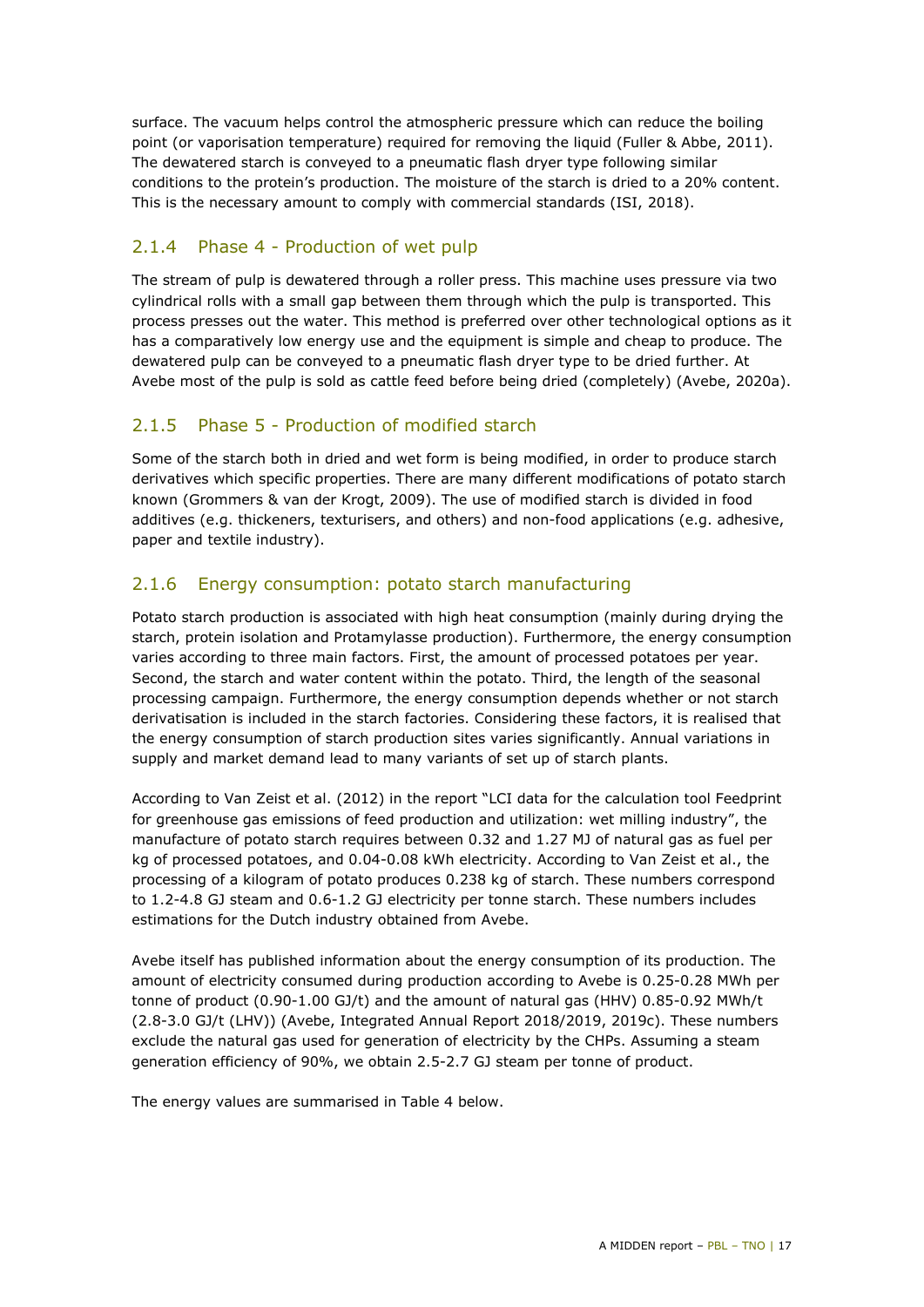surface. The vacuum helps control the atmospheric pressure which can reduce the boiling point (or vaporisation temperature) required for removing the liquid (Fuller & Abbe, 2011). The dewatered starch is conveyed to a pneumatic flash dryer type following similar conditions to the protein's production. The moisture of the starch is dried to a 20% content. This is the necessary amount to comply with commercial standards (ISI, 2018).

#### 2.1.4 Phase 4 - Production of wet pulp

The stream of pulp is dewatered through a roller press. This machine uses pressure via two cylindrical rolls with a small gap between them through which the pulp is transported. This process presses out the water. This method is preferred over other technological options as it has a comparatively low energy use and the equipment is simple and cheap to produce. The dewatered pulp can be conveyed to a pneumatic flash dryer type to be dried further. At Avebe most of the pulp is sold as cattle feed before being dried (completely) (Avebe, 2020a).

#### 2.1.5 Phase 5 - Production of modified starch

Some of the starch both in dried and wet form is being modified, in order to produce starch derivatives which specific properties. There are many different modifications of potato starch known (Grommers & van der Krogt, 2009). The use of modified starch is divided in food additives (e.g. thickeners, texturisers, and others) and non-food applications (e.g. adhesive, paper and textile industry).

#### 2.1.6 Energy consumption: potato starch manufacturing

Potato starch production is associated with high heat consumption (mainly during drying the starch, protein isolation and Protamylasse production). Furthermore, the energy consumption varies according to three main factors. First, the amount of processed potatoes per year. Second, the starch and water content within the potato. Third, the length of the seasonal processing campaign. Furthermore, the energy consumption depends whether or not starch derivatisation is included in the starch factories. Considering these factors, it is realised that the energy consumption of starch production sites varies significantly. Annual variations in supply and market demand lead to many variants of set up of starch plants.

According to Van Zeist et al. (2012) in the report "LCI data for the calculation tool Feedprint for greenhouse gas emissions of feed production and utilization: wet milling industry", the manufacture of potato starch requires between 0.32 and 1.27 MJ of natural gas as fuel per kg of processed potatoes, and 0.04-0.08 kWh electricity. According to Van Zeist et al., the processing of a kilogram of potato produces 0.238 kg of starch. These numbers correspond to 1.2-4.8 GJ steam and 0.6-1.2 GJ electricity per tonne starch. These numbers includes estimations for the Dutch industry obtained from Avebe.

Avebe itself has published information about the energy consumption of its production. The amount of electricity consumed during production according to Avebe is 0.25-0.28 MWh per tonne of product (0.90-1.00 GJ/t) and the amount of natural gas (HHV) 0.85-0.92 MWh/t (2.8-3.0 GJ/t (LHV)) (Avebe, Integrated Annual Report 2018/2019, 2019c). These numbers exclude the natural gas used for generation of electricity by the CHPs. Assuming a steam generation efficiency of 90%, we obtain 2.5-2.7 GJ steam per tonne of product.

The energy values are summarised in [Table 4](#page-17-1) below.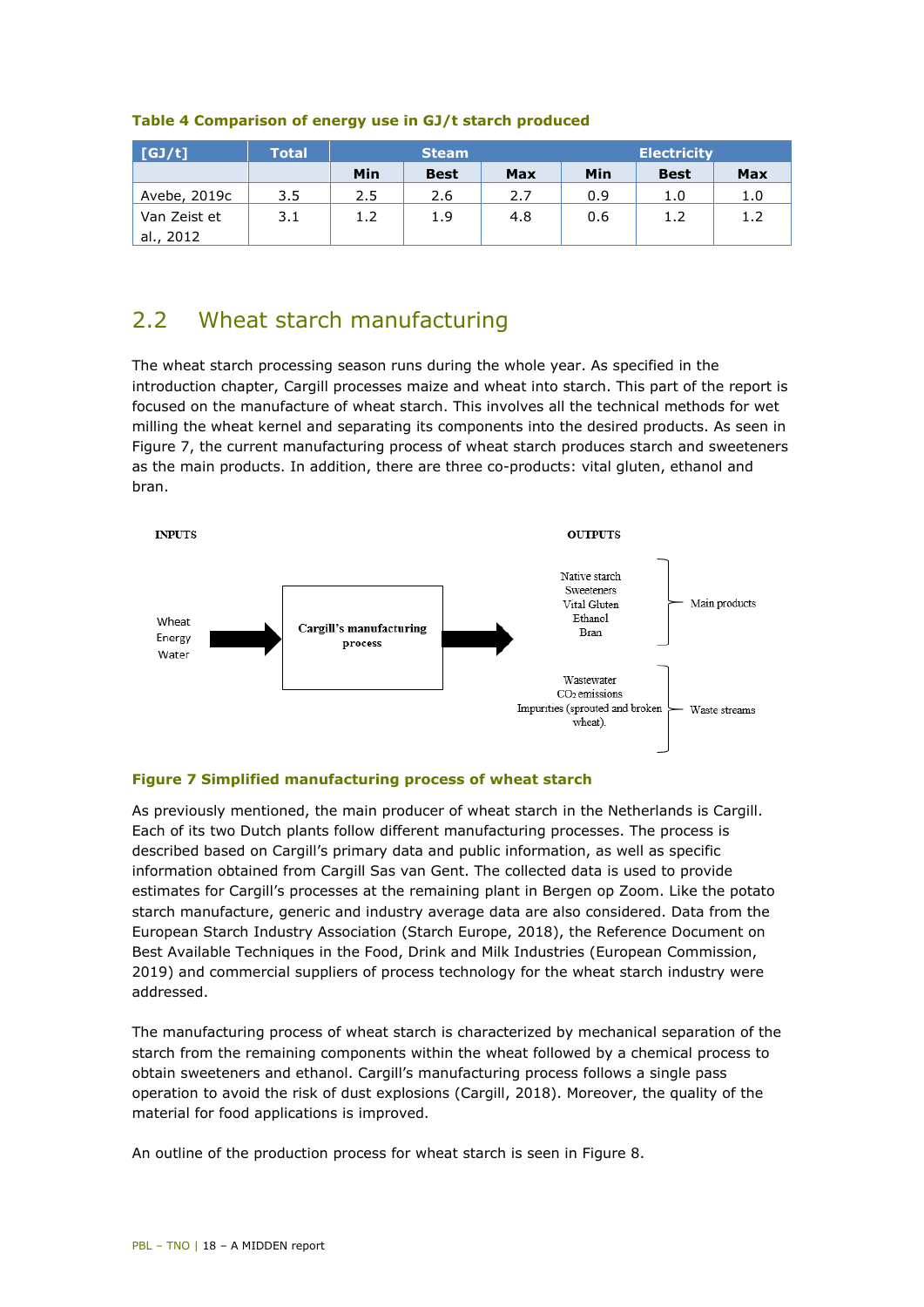| $\sqrt{GJ/t}$ | Total | <b>Steam</b> |             |     |     | <b>Electricity</b> |            |
|---------------|-------|--------------|-------------|-----|-----|--------------------|------------|
|               |       | Min          | <b>Best</b> | Max | Min | <b>Best</b>        | <b>Max</b> |
| Avebe, 2019c  | 3.5   | 2.5          | 2.6         | 2.7 | 0.9 | 1.0                | 1.0        |
| Van Zeist et  | 3.1   | 1.2          | 1.9         | 4.8 | 0.6 | 1.2                | 1.2        |
| al., 2012     |       |              |             |     |     |                    |            |

#### <span id="page-17-1"></span>**Table 4 Comparison of energy use in GJ/t starch produced**

## <span id="page-17-0"></span>2.2 Wheat starch manufacturing

The wheat starch processing season runs during the whole year. As specified in the introduction chapter, Cargill processes maize and wheat into starch. This part of the report is focused on the manufacture of wheat starch. This involves all the technical methods for wet milling the wheat kernel and separating its components into the desired products. As seen in [Figure 7,](#page-17-2) the current manufacturing process of wheat starch produces starch and sweeteners as the main products. In addition, there are three co-products: vital gluten, ethanol and bran.



#### <span id="page-17-2"></span>**Figure 7 Simplified manufacturing process of wheat starch**

As previously mentioned, the main producer of wheat starch in the Netherlands is Cargill. Each of its two Dutch plants follow different manufacturing processes. The process is described based on Cargill's primary data and public information, as well as specific information obtained from Cargill Sas van Gent. The collected data is used to provide estimates for Cargill's processes at the remaining plant in Bergen op Zoom. Like the potato starch manufacture, generic and industry average data are also considered. Data from the European Starch Industry Association (Starch Europe, 2018), the Reference Document on Best Available Techniques in the Food, Drink and Milk Industries (European Commission, 2019) and commercial suppliers of process technology for the wheat starch industry were addressed.

The manufacturing process of wheat starch is characterized by mechanical separation of the starch from the remaining components within the wheat followed by a chemical process to obtain sweeteners and ethanol. Cargill's manufacturing process follows a single pass operation to avoid the risk of dust explosions (Cargill, 2018). Moreover, the quality of the material for food applications is improved.

An outline of the production process for wheat starch is seen in [Figure 8.](#page-18-0)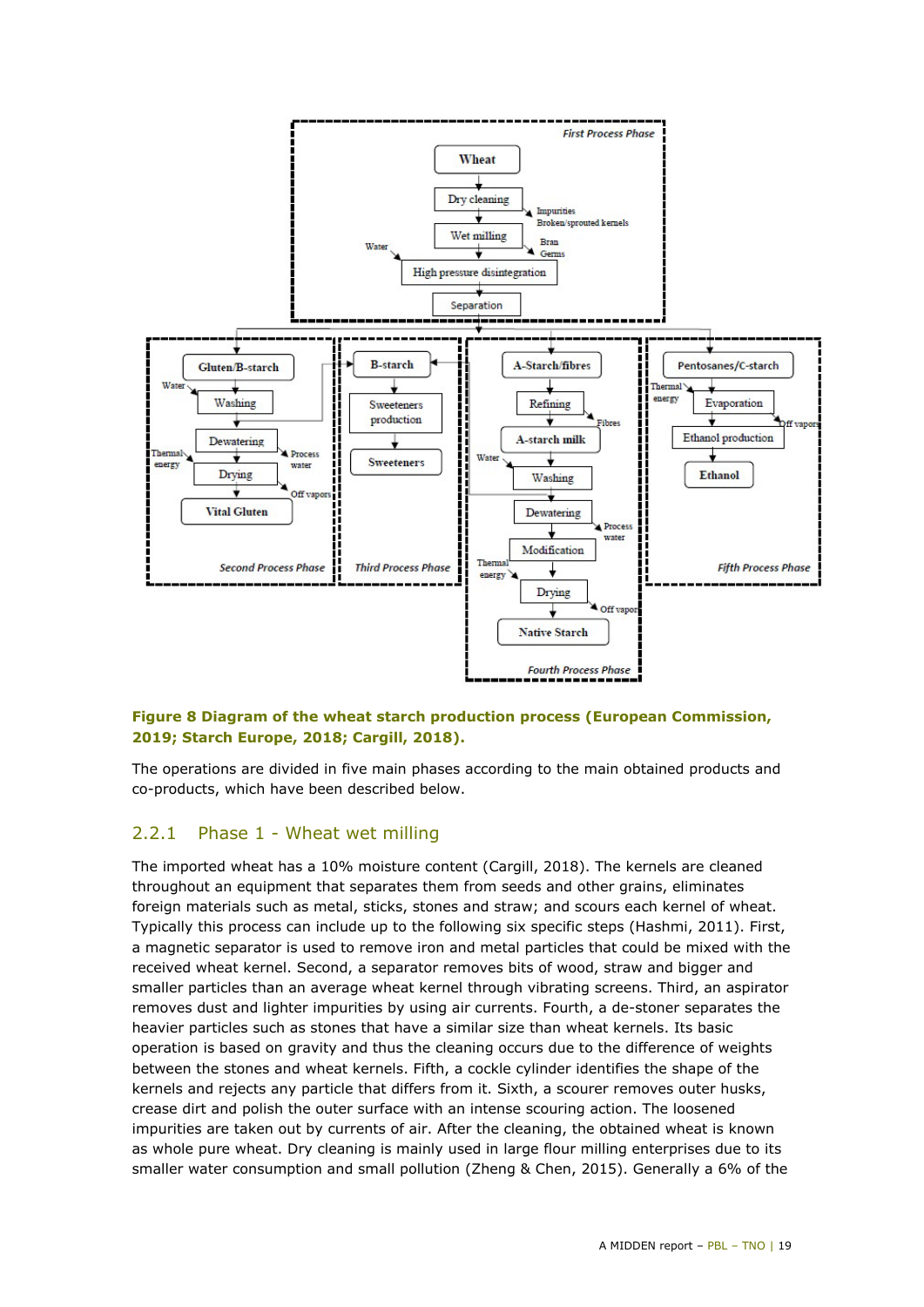

#### <span id="page-18-0"></span>**Figure 8 Diagram of the wheat starch production process (European Commission, 2019; Starch Europe, 2018; Cargill, 2018).**

The operations are divided in five main phases according to the main obtained products and co-products, which have been described below.

#### 2.2.1 Phase 1 - Wheat wet milling

The imported wheat has a 10% moisture content (Cargill, 2018). The kernels are cleaned throughout an equipment that separates them from seeds and other grains, eliminates foreign materials such as metal, sticks, stones and straw; and scours each kernel of wheat. Typically this process can include up to the following six specific steps (Hashmi, 2011). First, a magnetic separator is used to remove iron and metal particles that could be mixed with the received wheat kernel. Second, a separator removes bits of wood, straw and bigger and smaller particles than an average wheat kernel through vibrating screens. Third, an aspirator removes dust and lighter impurities by using air currents. Fourth, a de-stoner separates the heavier particles such as stones that have a similar size than wheat kernels. Its basic operation is based on gravity and thus the cleaning occurs due to the difference of weights between the stones and wheat kernels. Fifth, a cockle cylinder identifies the shape of the kernels and rejects any particle that differs from it. Sixth, a scourer removes outer husks, crease dirt and polish the outer surface with an intense scouring action. The loosened impurities are taken out by currents of air. After the cleaning, the obtained wheat is known as whole pure wheat. Dry cleaning is mainly used in large flour milling enterprises due to its smaller water consumption and small pollution (Zheng & Chen, 2015). Generally a 6% of the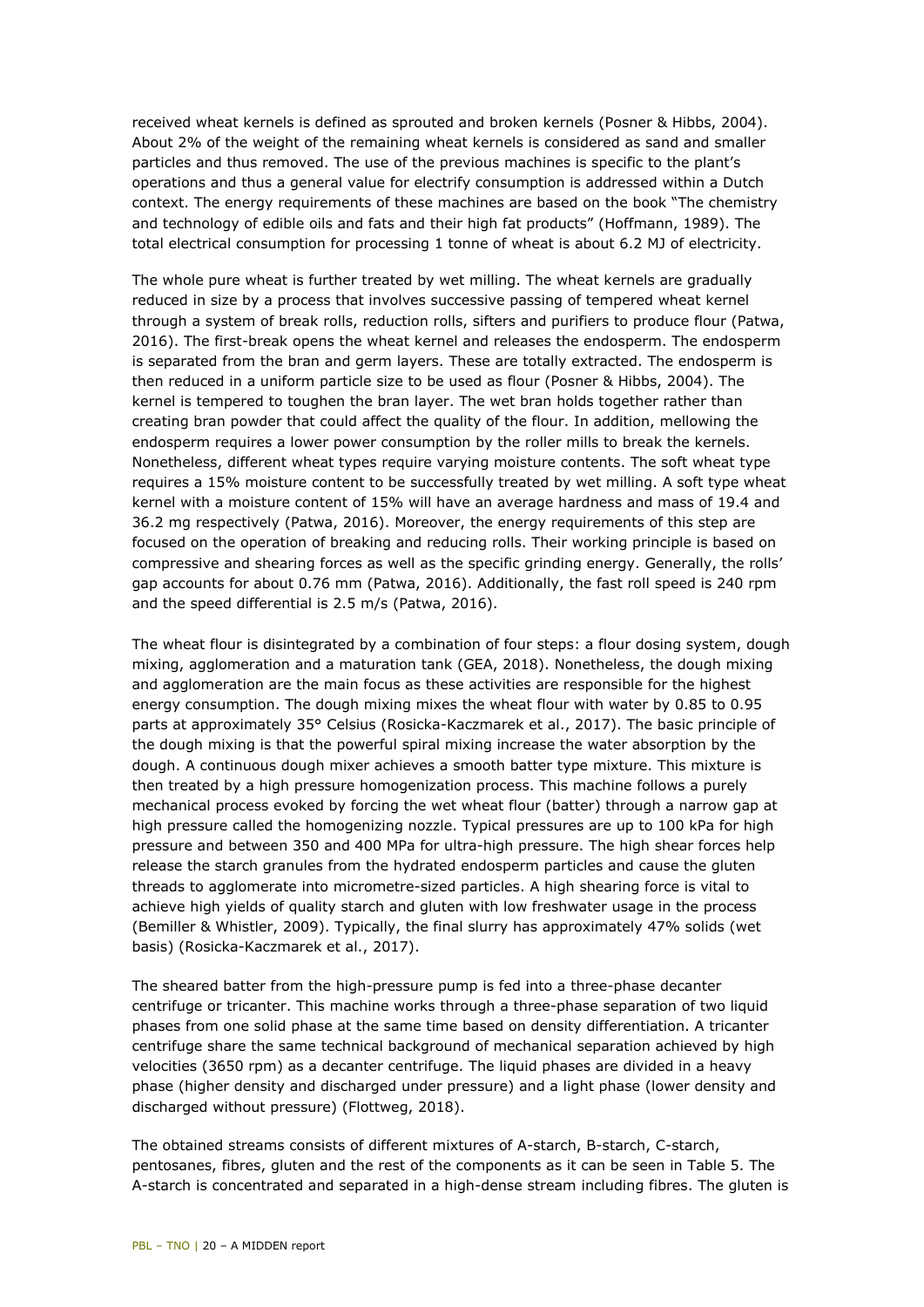received wheat kernels is defined as sprouted and broken kernels (Posner & Hibbs, 2004). About 2% of the weight of the remaining wheat kernels is considered as sand and smaller particles and thus removed. The use of the previous machines is specific to the plant's operations and thus a general value for electrify consumption is addressed within a Dutch context. The energy requirements of these machines are based on the book "The chemistry and technology of edible oils and fats and their high fat products" (Hoffmann, 1989). The total electrical consumption for processing 1 tonne of wheat is about 6.2 MJ of electricity.

The whole pure wheat is further treated by wet milling. The wheat kernels are gradually reduced in size by a process that involves successive passing of tempered wheat kernel through a system of break rolls, reduction rolls, sifters and purifiers to produce flour (Patwa, 2016). The first-break opens the wheat kernel and releases the endosperm. The endosperm is separated from the bran and germ layers. These are totally extracted. The endosperm is then reduced in a uniform particle size to be used as flour (Posner & Hibbs, 2004). The kernel is tempered to toughen the bran layer. The wet bran holds together rather than creating bran powder that could affect the quality of the flour. In addition, mellowing the endosperm requires a lower power consumption by the roller mills to break the kernels. Nonetheless, different wheat types require varying moisture contents. The soft wheat type requires a 15% moisture content to be successfully treated by wet milling. A soft type wheat kernel with a moisture content of 15% will have an average hardness and mass of 19.4 and 36.2 mg respectively (Patwa, 2016). Moreover, the energy requirements of this step are focused on the operation of breaking and reducing rolls. Their working principle is based on compressive and shearing forces as well as the specific grinding energy. Generally, the rolls' gap accounts for about 0.76 mm (Patwa, 2016). Additionally, the fast roll speed is 240 rpm and the speed differential is 2.5 m/s (Patwa, 2016).

The wheat flour is disintegrated by a combination of four steps: a flour dosing system, dough mixing, agglomeration and a maturation tank (GEA, 2018). Nonetheless, the dough mixing and agglomeration are the main focus as these activities are responsible for the highest energy consumption. The dough mixing mixes the wheat flour with water by 0.85 to 0.95 parts at approximately 35° Celsius (Rosicka-Kaczmarek et al., 2017). The basic principle of the dough mixing is that the powerful spiral mixing increase the water absorption by the dough. A continuous dough mixer achieves a smooth batter type mixture. This mixture is then treated by a high pressure homogenization process. This machine follows a purely mechanical process evoked by forcing the wet wheat flour (batter) through a narrow gap at high pressure called the homogenizing nozzle. Typical pressures are up to 100 kPa for high pressure and between 350 and 400 MPa for ultra-high pressure. The high shear forces help release the starch granules from the hydrated endosperm particles and cause the gluten threads to agglomerate into micrometre-sized particles. A high shearing force is vital to achieve high yields of quality starch and gluten with low freshwater usage in the process (Bemiller & Whistler, 2009). Typically, the final slurry has approximately 47% solids (wet basis) (Rosicka-Kaczmarek et al., 2017).

The sheared batter from the high-pressure pump is fed into a three-phase decanter centrifuge or tricanter. This machine works through a three-phase separation of two liquid phases from one solid phase at the same time based on density differentiation. A tricanter centrifuge share the same technical background of mechanical separation achieved by high velocities (3650 rpm) as a decanter centrifuge. The liquid phases are divided in a heavy phase (higher density and discharged under pressure) and a light phase (lower density and discharged without pressure) (Flottweg, 2018).

The obtained streams consists of different mixtures of A-starch, B-starch, C-starch, pentosanes, fibres, gluten and the rest of the components as it can be seen in [Table 5.](#page-20-0) The A-starch is concentrated and separated in a high-dense stream including fibres. The gluten is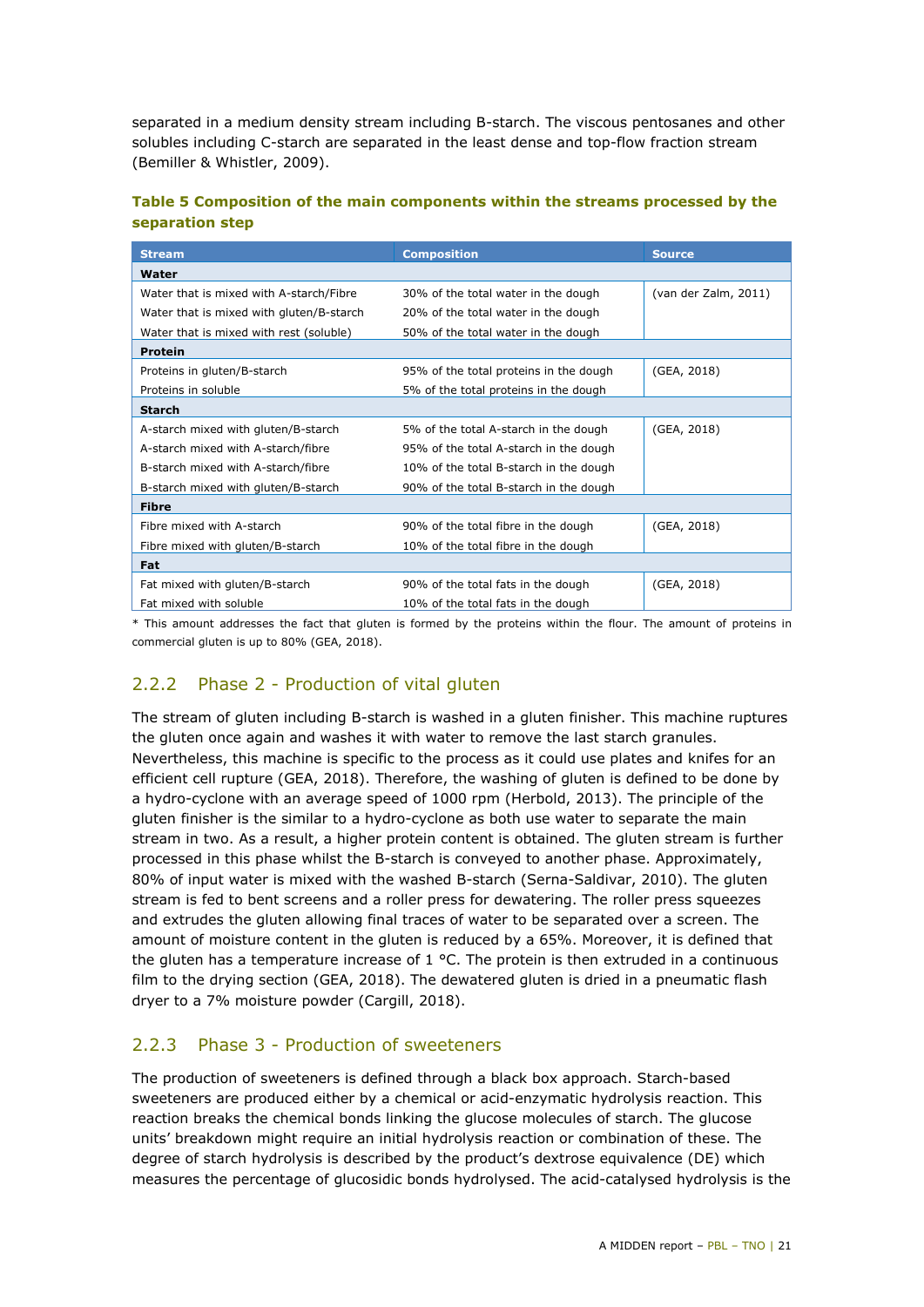separated in a medium density stream including B-starch. The viscous pentosanes and other solubles including C-starch are separated in the least dense and top-flow fraction stream (Bemiller & Whistler, 2009).

#### <span id="page-20-0"></span>**Table 5 Composition of the main components within the streams processed by the separation step**

| <b>Stream</b>                            | <b>Composition</b>                     | <b>Source</b>        |
|------------------------------------------|----------------------------------------|----------------------|
| Water                                    |                                        |                      |
| Water that is mixed with A-starch/Fibre  | 30% of the total water in the dough    | (van der Zalm, 2011) |
| Water that is mixed with gluten/B-starch | 20% of the total water in the dough    |                      |
| Water that is mixed with rest (soluble)  | 50% of the total water in the dough    |                      |
| <b>Protein</b>                           |                                        |                      |
| Proteins in gluten/B-starch              | 95% of the total proteins in the dough | (GEA, 2018)          |
| Proteins in soluble                      | 5% of the total proteins in the dough  |                      |
| <b>Starch</b>                            |                                        |                      |
| A-starch mixed with gluten/B-starch      | 5% of the total A-starch in the dough  | (GEA, 2018)          |
| A-starch mixed with A-starch/fibre       | 95% of the total A-starch in the dough |                      |
| B-starch mixed with A-starch/fibre       | 10% of the total B-starch in the dough |                      |
| B-starch mixed with gluten/B-starch      | 90% of the total B-starch in the dough |                      |
| <b>Fibre</b>                             |                                        |                      |
| Fibre mixed with A-starch                | 90% of the total fibre in the dough    | (GEA, 2018)          |
| Fibre mixed with gluten/B-starch         | 10% of the total fibre in the dough    |                      |
| <b>Fat</b>                               |                                        |                      |
| Fat mixed with gluten/B-starch           | 90% of the total fats in the dough     | (GEA, 2018)          |
| Fat mixed with soluble                   | 10% of the total fats in the dough     |                      |

\* This amount addresses the fact that gluten is formed by the proteins within the flour. The amount of proteins in commercial gluten is up to 80% (GEA, 2018).

#### 2.2.2 Phase 2 - Production of vital gluten

The stream of gluten including B-starch is washed in a gluten finisher. This machine ruptures the gluten once again and washes it with water to remove the last starch granules. Nevertheless, this machine is specific to the process as it could use plates and knifes for an efficient cell rupture (GEA, 2018). Therefore, the washing of gluten is defined to be done by a hydro-cyclone with an average speed of 1000 rpm (Herbold, 2013). The principle of the gluten finisher is the similar to a hydro-cyclone as both use water to separate the main stream in two. As a result, a higher protein content is obtained. The gluten stream is further processed in this phase whilst the B-starch is conveyed to another phase. Approximately, 80% of input water is mixed with the washed B-starch (Serna-Saldivar, 2010). The gluten stream is fed to bent screens and a roller press for dewatering. The roller press squeezes and extrudes the gluten allowing final traces of water to be separated over a screen. The amount of moisture content in the gluten is reduced by a 65%. Moreover, it is defined that the gluten has a temperature increase of  $1 °C$ . The protein is then extruded in a continuous film to the drying section (GEA, 2018). The dewatered gluten is dried in a pneumatic flash dryer to a 7% moisture powder (Cargill, 2018).

#### 2.2.3 Phase 3 - Production of sweeteners

The production of sweeteners is defined through a black box approach. Starch-based sweeteners are produced either by a chemical or acid-enzymatic hydrolysis reaction. This reaction breaks the chemical bonds linking the glucose molecules of starch. The glucose units' breakdown might require an initial hydrolysis reaction or combination of these. The degree of starch hydrolysis is described by the product's dextrose equivalence (DE) which measures the percentage of glucosidic bonds hydrolysed. The acid-catalysed hydrolysis is the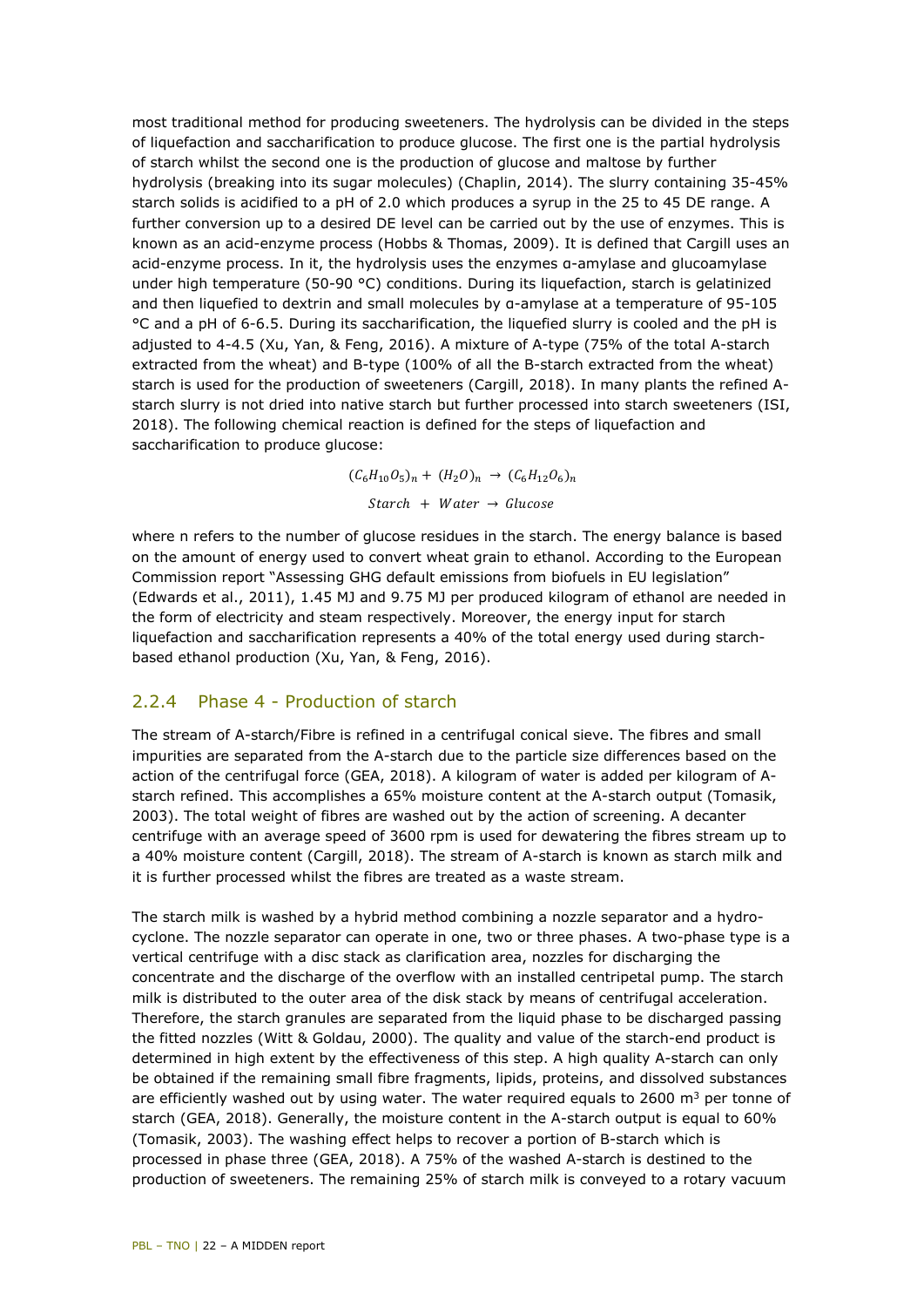most traditional method for producing sweeteners. The hydrolysis can be divided in the steps of liquefaction and saccharification to produce glucose. The first one is the partial hydrolysis of starch whilst the second one is the production of glucose and maltose by further hydrolysis (breaking into its sugar molecules) (Chaplin, 2014). The slurry containing 35-45% starch solids is acidified to a pH of 2.0 which produces a syrup in the 25 to 45 DE range. A further conversion up to a desired DE level can be carried out by the use of enzymes. This is known as an acid-enzyme process (Hobbs & Thomas, 2009). It is defined that Cargill uses an acid-enzyme process. In it, the hydrolysis uses the enzymes α-amylase and glucoamylase under high temperature (50-90 °C) conditions. During its liquefaction, starch is gelatinized and then liquefied to dextrin and small molecules by α-amylase at a temperature of 95-105 °C and a pH of 6-6.5. During its saccharification, the liquefied slurry is cooled and the pH is adjusted to 4-4.5 (Xu, Yan, & Feng, 2016). A mixture of A-type (75% of the total A-starch extracted from the wheat) and B-type (100% of all the B-starch extracted from the wheat) starch is used for the production of sweeteners (Cargill, 2018). In many plants the refined Astarch slurry is not dried into native starch but further processed into starch sweeteners (ISI, 2018). The following chemical reaction is defined for the steps of liquefaction and saccharification to produce glucose:

> $(C_6H_{10}O_5)_n + (H_2O)_n \rightarrow (C_6H_{12}O_6)_n$  $Start + Water \rightarrow Glucose$

where n refers to the number of glucose residues in the starch. The energy balance is based on the amount of energy used to convert wheat grain to ethanol. According to the European Commission report "Assessing GHG default emissions from biofuels in EU legislation" (Edwards et al., 2011), 1.45 MJ and 9.75 MJ per produced kilogram of ethanol are needed in the form of electricity and steam respectively. Moreover, the energy input for starch liquefaction and saccharification represents a 40% of the total energy used during starchbased ethanol production (Xu, Yan, & Feng, 2016).

#### 2.2.4 Phase 4 - Production of starch

The stream of A-starch/Fibre is refined in a centrifugal conical sieve. The fibres and small impurities are separated from the A-starch due to the particle size differences based on the action of the centrifugal force (GEA, 2018). A kilogram of water is added per kilogram of Astarch refined. This accomplishes a 65% moisture content at the A-starch output (Tomasik, 2003). The total weight of fibres are washed out by the action of screening. A decanter centrifuge with an average speed of 3600 rpm is used for dewatering the fibres stream up to a 40% moisture content (Cargill, 2018). The stream of A-starch is known as starch milk and it is further processed whilst the fibres are treated as a waste stream.

The starch milk is washed by a hybrid method combining a nozzle separator and a hydrocyclone. The nozzle separator can operate in one, two or three phases. A two-phase type is a vertical centrifuge with a disc stack as clarification area, nozzles for discharging the concentrate and the discharge of the overflow with an installed centripetal pump. The starch milk is distributed to the outer area of the disk stack by means of centrifugal acceleration. Therefore, the starch granules are separated from the liquid phase to be discharged passing the fitted nozzles (Witt & Goldau, 2000). The quality and value of the starch-end product is determined in high extent by the effectiveness of this step. A high quality A-starch can only be obtained if the remaining small fibre fragments, lipids, proteins, and dissolved substances are efficiently washed out by using water. The water required equals to 2600  $\text{m}^3$  per tonne of starch (GEA, 2018). Generally, the moisture content in the A-starch output is equal to 60% (Tomasik, 2003). The washing effect helps to recover a portion of B-starch which is processed in phase three (GEA, 2018). A 75% of the washed A-starch is destined to the production of sweeteners. The remaining 25% of starch milk is conveyed to a rotary vacuum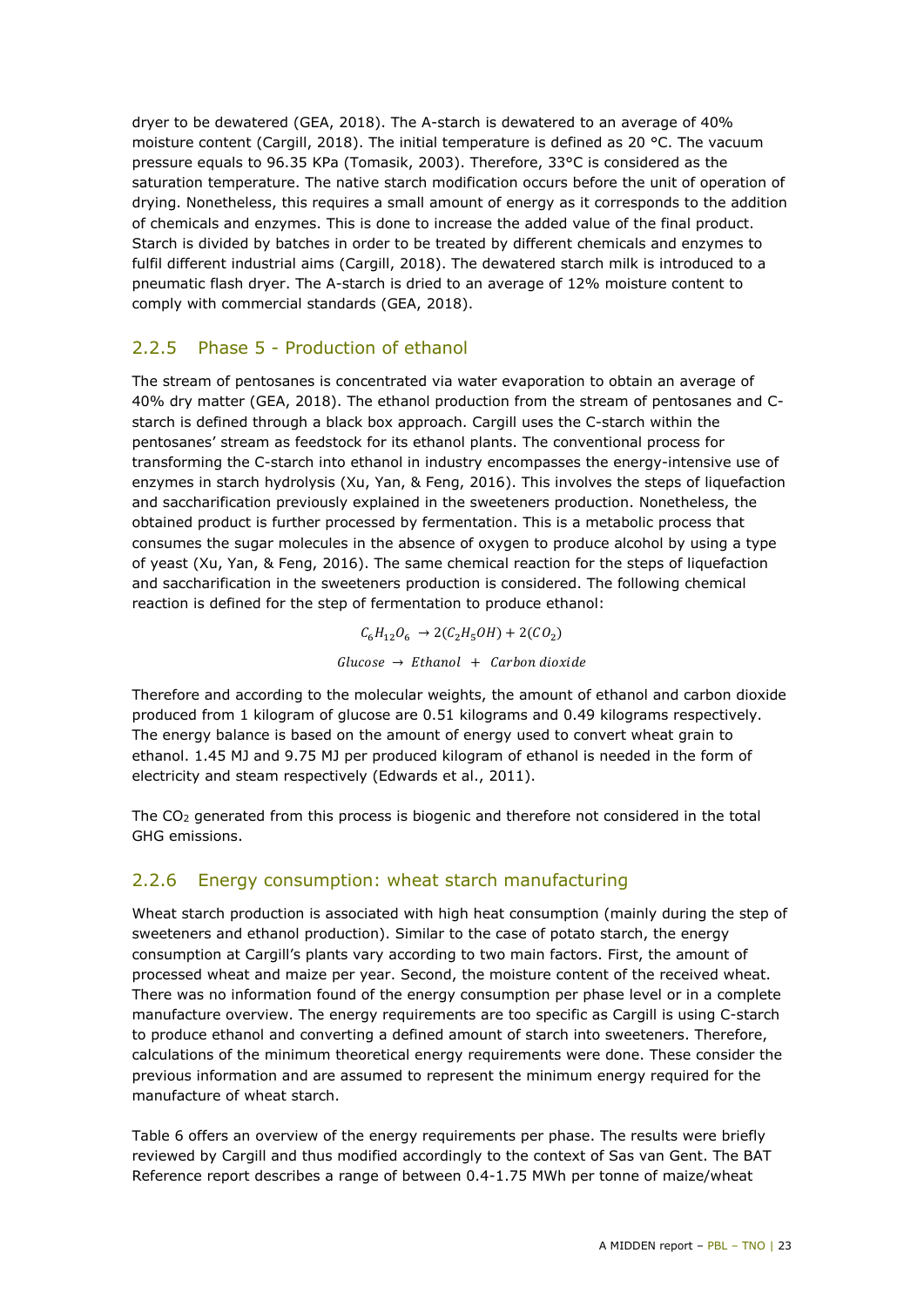dryer to be dewatered (GEA, 2018). The A-starch is dewatered to an average of 40% moisture content (Cargill, 2018). The initial temperature is defined as 20 °C. The vacuum pressure equals to 96.35 KPa (Tomasik, 2003). Therefore, 33°C is considered as the saturation temperature. The native starch modification occurs before the unit of operation of drying. Nonetheless, this requires a small amount of energy as it corresponds to the addition of chemicals and enzymes. This is done to increase the added value of the final product. Starch is divided by batches in order to be treated by different chemicals and enzymes to fulfil different industrial aims (Cargill, 2018). The dewatered starch milk is introduced to a pneumatic flash dryer. The A-starch is dried to an average of 12% moisture content to comply with commercial standards (GEA, 2018).

#### 2.2.5 Phase 5 - Production of ethanol

The stream of pentosanes is concentrated via water evaporation to obtain an average of 40% dry matter (GEA, 2018). The ethanol production from the stream of pentosanes and Cstarch is defined through a black box approach. Cargill uses the C-starch within the pentosanes' stream as feedstock for its ethanol plants. The conventional process for transforming the C-starch into ethanol in industry encompasses the energy-intensive use of enzymes in starch hydrolysis (Xu, Yan, & Feng, 2016). This involves the steps of liquefaction and saccharification previously explained in the sweeteners production. Nonetheless, the obtained product is further processed by fermentation. This is a metabolic process that consumes the sugar molecules in the absence of oxygen to produce alcohol by using a type of yeast (Xu, Yan, & Feng, 2016). The same chemical reaction for the steps of liquefaction and saccharification in the sweeteners production is considered. The following chemical reaction is defined for the step of fermentation to produce ethanol:

> $C_6H_{12}O_6 \rightarrow 2(C_2H_5OH) + 2(CO_2)$  $Glucose \rightarrow Ethanol + Carbon dioxide$

Therefore and according to the molecular weights, the amount of ethanol and carbon dioxide produced from 1 kilogram of glucose are 0.51 kilograms and 0.49 kilograms respectively. The energy balance is based on the amount of energy used to convert wheat grain to ethanol. 1.45 MJ and 9.75 MJ per produced kilogram of ethanol is needed in the form of electricity and steam respectively (Edwards et al., 2011).

The CO2 generated from this process is biogenic and therefore not considered in the total GHG emissions.

#### 2.2.6 Energy consumption: wheat starch manufacturing

Wheat starch production is associated with high heat consumption (mainly during the step of sweeteners and ethanol production). Similar to the case of potato starch, the energy consumption at Cargill's plants vary according to two main factors. First, the amount of processed wheat and maize per year. Second, the moisture content of the received wheat. There was no information found of the energy consumption per phase level or in a complete manufacture overview. The energy requirements are too specific as Cargill is using C-starch to produce ethanol and converting a defined amount of starch into sweeteners. Therefore, calculations of the minimum theoretical energy requirements were done. These consider the previous information and are assumed to represent the minimum energy required for the manufacture of wheat starch.

[Table 6](#page-23-0) offers an overview of the energy requirements per phase. The results were briefly reviewed by Cargill and thus modified accordingly to the context of Sas van Gent. The BAT Reference report describes a range of between 0.4-1.75 MWh per tonne of maize/wheat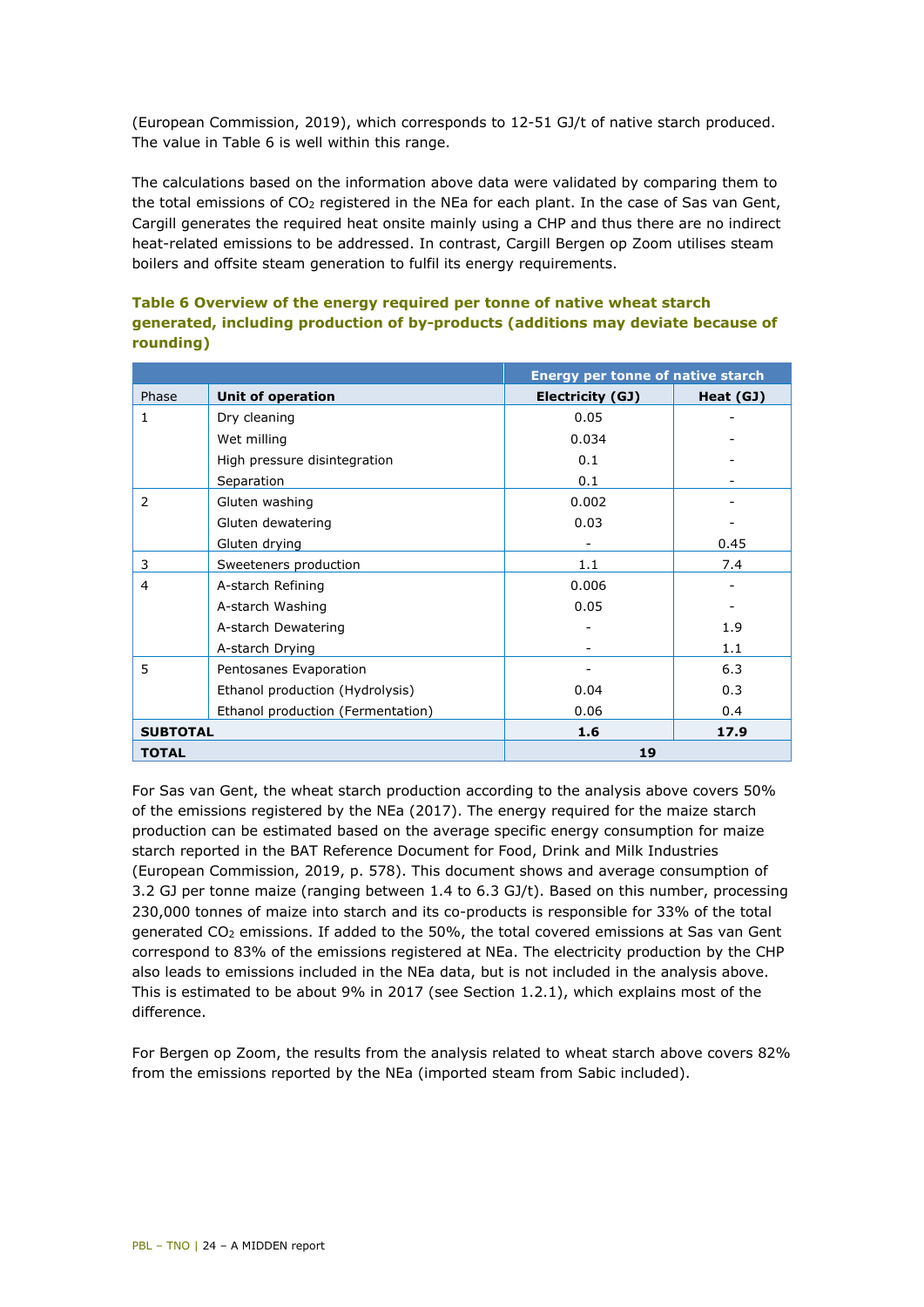(European Commission, 2019), which corresponds to 12-51 GJ/t of native starch produced. The value in [Table 6](#page-23-0) is well within this range.

The calculations based on the information above data were validated by comparing them to the total emissions of  $CO<sub>2</sub>$  registered in the NEa for each plant. In the case of Sas van Gent, Cargill generates the required heat onsite mainly using a CHP and thus there are no indirect heat-related emissions to be addressed. In contrast, Cargill Bergen op Zoom utilises steam boilers and offsite steam generation to fulfil its energy requirements.

#### <span id="page-23-0"></span>**Table 6 Overview of the energy required per tonne of native wheat starch generated, including production of by-products (additions may deviate because of rounding)**

|                 |                                   | <b>Energy per tonne of native starch</b> |           |  |  |
|-----------------|-----------------------------------|------------------------------------------|-----------|--|--|
| Phase           | Unit of operation                 | Electricity (GJ)                         | Heat (GJ) |  |  |
| 1               | Dry cleaning                      | 0.05                                     |           |  |  |
|                 | Wet milling                       | 0.034                                    |           |  |  |
|                 | High pressure disintegration      | 0.1                                      |           |  |  |
|                 | Separation                        | 0.1                                      |           |  |  |
| 2               | Gluten washing                    | 0.002                                    |           |  |  |
|                 | Gluten dewatering                 | 0.03                                     |           |  |  |
|                 | Gluten drying                     |                                          | 0.45      |  |  |
| 3               | Sweeteners production             | 1.1                                      | 7.4       |  |  |
| 4               | A-starch Refining                 | 0.006                                    |           |  |  |
|                 | A-starch Washing                  | 0.05                                     |           |  |  |
|                 | A-starch Dewatering               |                                          | 1.9       |  |  |
|                 | A-starch Drying                   |                                          | 1.1       |  |  |
| 5               | Pentosanes Evaporation            |                                          | 6.3       |  |  |
|                 | Ethanol production (Hydrolysis)   | 0.04                                     | 0.3       |  |  |
|                 | Ethanol production (Fermentation) | 0.06                                     | 0.4       |  |  |
| <b>SUBTOTAL</b> |                                   | 1.6                                      | 17.9      |  |  |
| <b>TOTAL</b>    |                                   | 19                                       |           |  |  |

For Sas van Gent, the wheat starch production according to the analysis above covers 50% of the emissions registered by the NEa (2017). The energy required for the maize starch production can be estimated based on the average specific energy consumption for maize starch reported in the BAT Reference Document for Food, Drink and Milk Industries (European Commission, 2019, p. 578). This document shows and average consumption of 3.2 GJ per tonne maize (ranging between 1.4 to 6.3 GJ/t). Based on this number, processing 230,000 tonnes of maize into starch and its co-products is responsible for 33% of the total generated CO2 emissions. If added to the 50%, the total covered emissions at Sas van Gent correspond to 83% of the emissions registered at NEa. The electricity production by the CHP also leads to emissions included in the NEa data, but is not included in the analysis above. This is estimated to be about 9% in 2017 (see Section 1.2.1), which explains most of the difference.

For Bergen op Zoom, the results from the analysis related to wheat starch above covers 82% from the emissions reported by the NEa (imported steam from Sabic included).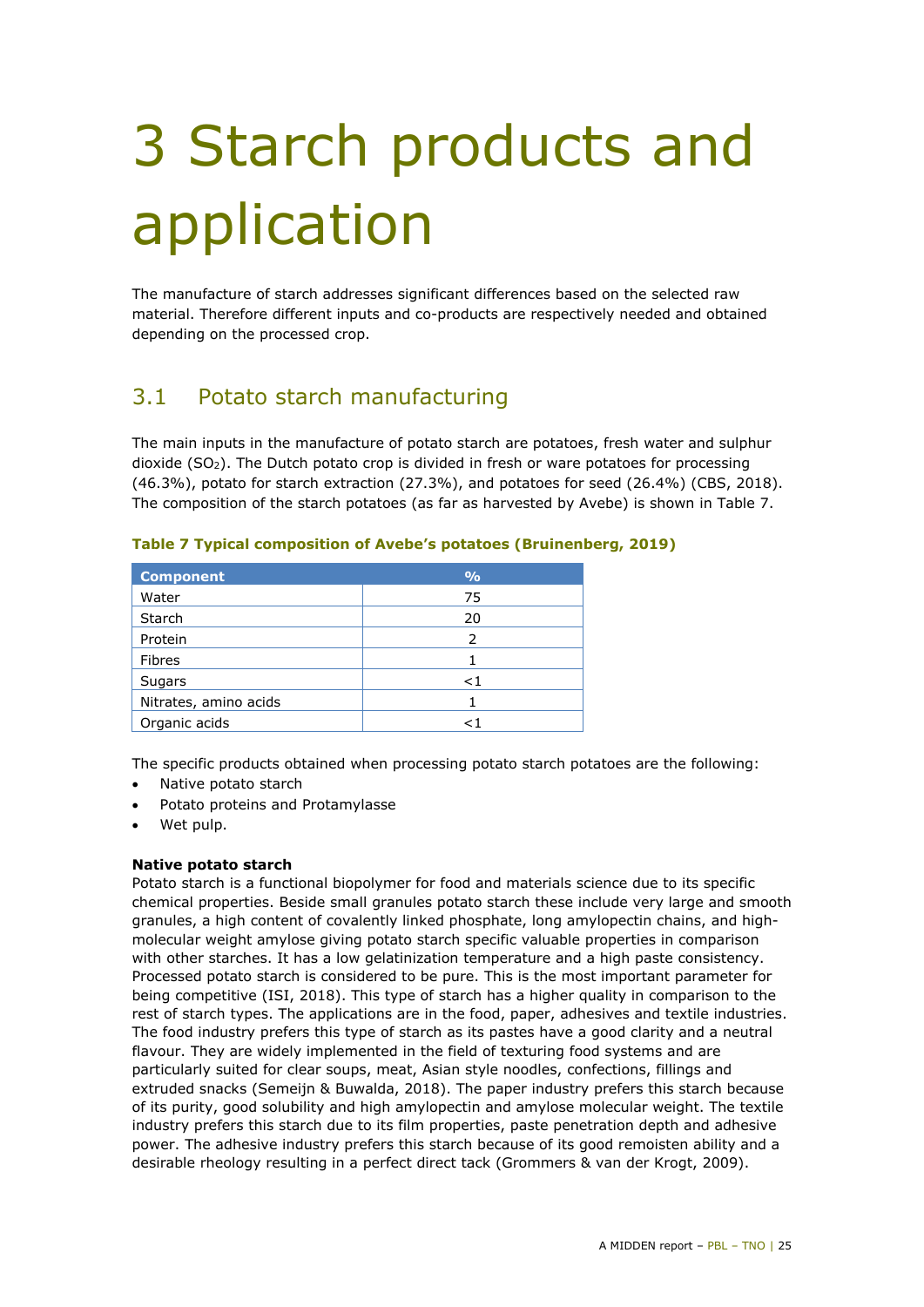# <span id="page-24-0"></span>3 Starch products and application

The manufacture of starch addresses significant differences based on the selected raw material. Therefore different inputs and co-products are respectively needed and obtained depending on the processed crop.

## <span id="page-24-1"></span>3.1 Potato starch manufacturing

The main inputs in the manufacture of potato starch are potatoes, fresh water and sulphur dioxide (SO2). The Dutch potato crop is divided in fresh or ware potatoes for processing  $(46.3%)$ , potato for starch extraction  $(27.3%)$ , and potatoes for seed  $(26.4%)$  (CBS, 2018). The composition of the starch potatoes (as far as harvested by Avebe) is shown in [Table 7.](#page-24-2)

| <b>Component</b>      | $\frac{0}{0}$ |
|-----------------------|---------------|
| Water                 | 75            |
| Starch                | 20            |
| Protein               | 2             |
| Fibres                |               |
| Sugars                | ${<}1$        |
| Nitrates, amino acids |               |
| Organic acids         |               |

<span id="page-24-2"></span>**Table 7 Typical composition of Avebe's potatoes (Bruinenberg, 2019)**

The specific products obtained when processing potato starch potatoes are the following:

- Native potato starch
- Potato proteins and Protamylasse
- Wet pulp.

#### **Native potato starch**

Potato starch is a functional biopolymer for food and materials science due to its specific chemical properties. Beside small granules potato starch these include very large and smooth granules, a high content of covalently linked phosphate, long amylopectin chains, and highmolecular weight amylose giving potato starch specific valuable properties in comparison with other starches. It has a low gelatinization temperature and a high paste consistency. Processed potato starch is considered to be pure. This is the most important parameter for being competitive (ISI, 2018). This type of starch has a higher quality in comparison to the rest of starch types. The applications are in the food, paper, adhesives and textile industries. The food industry prefers this type of starch as its pastes have a good clarity and a neutral flavour. They are widely implemented in the field of texturing food systems and are particularly suited for clear soups, meat, Asian style noodles, confections, fillings and extruded snacks (Semeijn & Buwalda, 2018). The paper industry prefers this starch because of its purity, good solubility and high amylopectin and amylose molecular weight. The textile industry prefers this starch due to its film properties, paste penetration depth and adhesive power. The adhesive industry prefers this starch because of its good remoisten ability and a desirable rheology resulting in a perfect direct tack (Grommers & van der Krogt, 2009).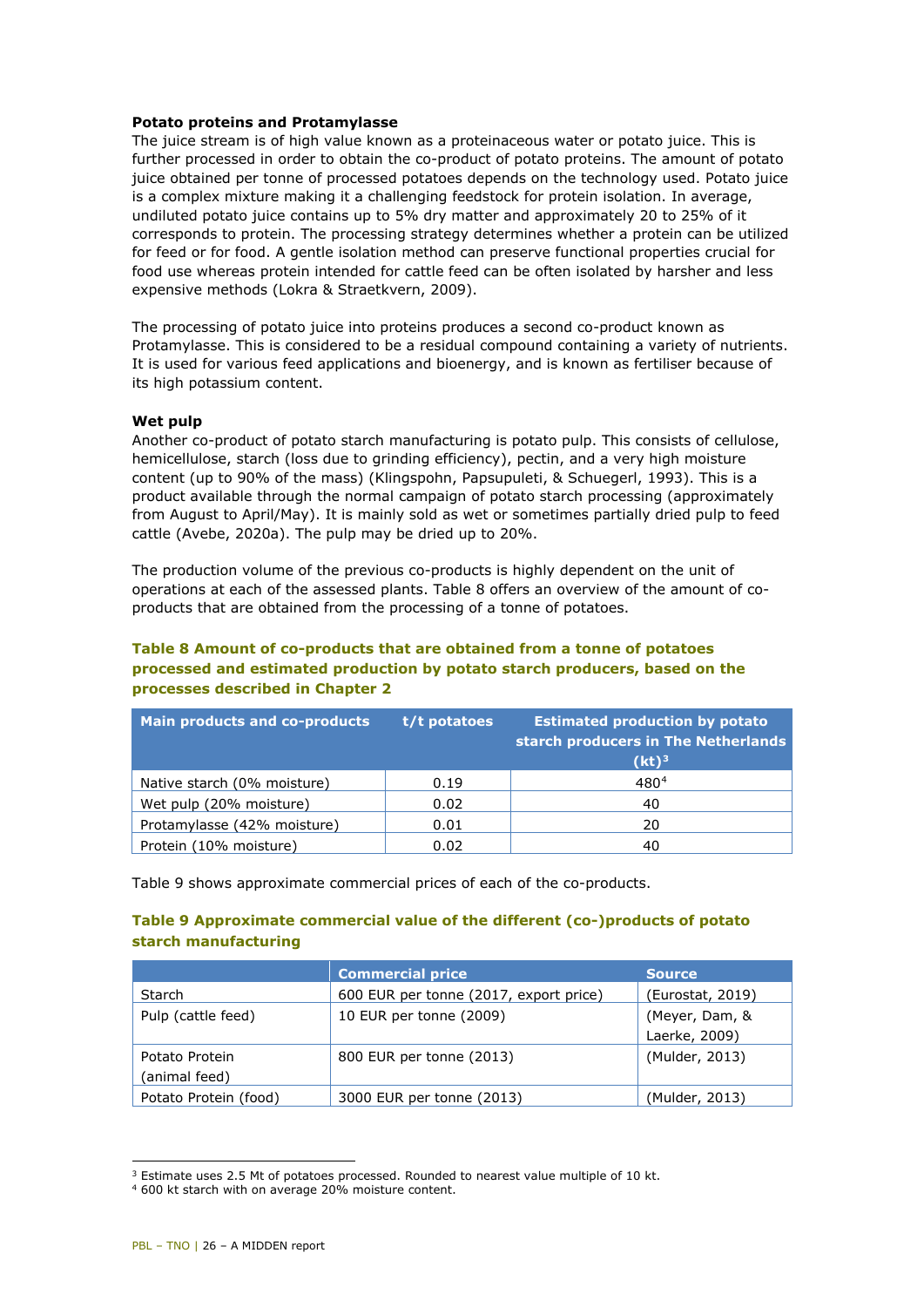#### **Potato proteins and Protamylasse**

The juice stream is of high value known as a proteinaceous water or potato juice. This is further processed in order to obtain the co-product of potato proteins. The amount of potato juice obtained per tonne of processed potatoes depends on the technology used. Potato juice is a complex mixture making it a challenging feedstock for protein isolation. In average, undiluted potato juice contains up to 5% dry matter and approximately 20 to 25% of it corresponds to protein. The processing strategy determines whether a protein can be utilized for feed or for food. A gentle isolation method can preserve functional properties crucial for food use whereas protein intended for cattle feed can be often isolated by harsher and less expensive methods (Lokra & Straetkvern, 2009).

The processing of potato juice into proteins produces a second co-product known as Protamylasse. This is considered to be a residual compound containing a variety of nutrients. It is used for various feed applications and bioenergy, and is known as fertiliser because of its high potassium content.

#### **Wet pulp**

Another co-product of potato starch manufacturing is potato pulp. This consists of cellulose, hemicellulose, starch (loss due to grinding efficiency), pectin, and a very high moisture content (up to 90% of the mass) (Klingspohn, Papsupuleti, & Schuegerl, 1993). This is a product available through the normal campaign of potato starch processing (approximately from August to April/May). It is mainly sold as wet or sometimes partially dried pulp to feed cattle (Avebe, 2020a). The pulp may be dried up to 20%.

The production volume of the previous co-products is highly dependent on the unit of operations at each of the assessed plants. [Table 8](#page-25-0) offers an overview of the amount of coproducts that are obtained from the processing of a tonne of potatoes.

#### <span id="page-25-0"></span>**Table 8 Amount of co-products that are obtained from a tonne of potatoes processed and estimated production by potato starch producers, based on the processes described in Chapter 2**

| <b>Main products and co-products</b> | $t/t$ potatoes | <b>Estimated production by potato</b><br>starch producers in The Netherlands<br>$(kt)^3$ |
|--------------------------------------|----------------|------------------------------------------------------------------------------------------|
| Native starch (0% moisture)          | 0.19           | 4804                                                                                     |
| Wet pulp (20% moisture)              | 0.02           | 40                                                                                       |
| Protamylasse (42% moisture)          | 0.01           | 20                                                                                       |
| Protein (10% moisture)               | 0.02           | 40                                                                                       |

[Table 9](#page-25-1) shows approximate commercial prices of each of the co-products.

#### <span id="page-25-1"></span>**Table 9 Approximate commercial value of the different (co-)products of potato starch manufacturing**

|                                 | <b>Commercial price</b>                | <b>Source</b>                   |
|---------------------------------|----------------------------------------|---------------------------------|
| Starch                          | 600 EUR per tonne (2017, export price) | (Eurostat, 2019)                |
| Pulp (cattle feed)              | 10 EUR per tonne (2009)                | (Meyer, Dam, &<br>Laerke, 2009) |
| Potato Protein<br>(animal feed) | 800 EUR per tonne (2013)               | (Mulder, 2013)                  |
| Potato Protein (food)           | 3000 EUR per tonne (2013)              | (Mulder, 2013)                  |

<span id="page-25-2"></span><sup>3</sup> Estimate uses 2.5 Mt of potatoes processed. Rounded to nearest value multiple of 10 kt.

i,

<span id="page-25-3"></span><sup>4</sup> 600 kt starch with on average 20% moisture content.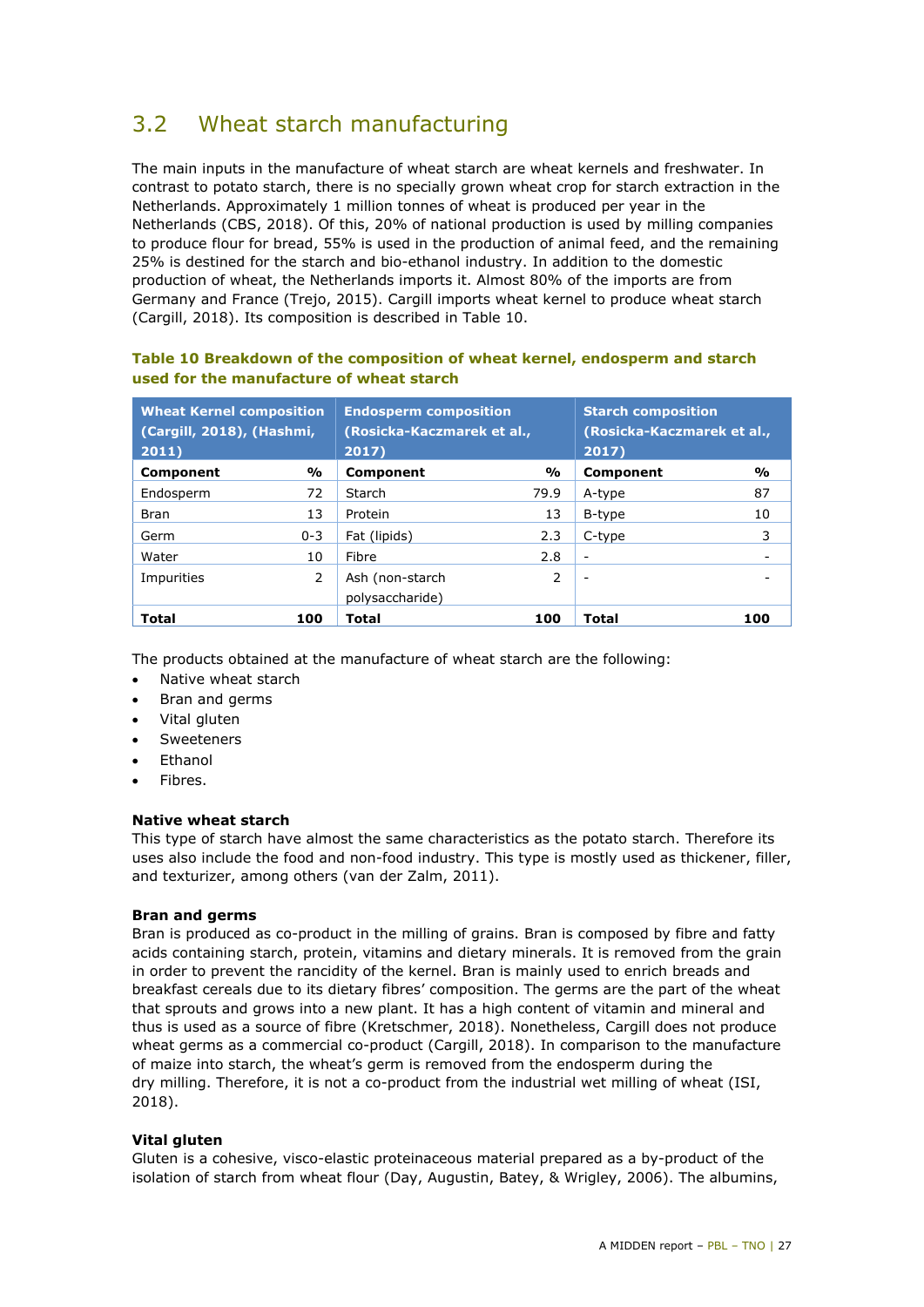## <span id="page-26-0"></span>3.2 Wheat starch manufacturing

The main inputs in the manufacture of wheat starch are wheat kernels and freshwater. In contrast to potato starch, there is no specially grown wheat crop for starch extraction in the Netherlands. Approximately 1 million tonnes of wheat is produced per year in the Netherlands (CBS, 2018). Of this, 20% of national production is used by milling companies to produce flour for bread, 55% is used in the production of animal feed, and the remaining 25% is destined for the starch and bio-ethanol industry. In addition to the domestic production of wheat, the Netherlands imports it. Almost 80% of the imports are from Germany and France (Trejo, 2015). Cargill imports wheat kernel to produce wheat starch (Cargill, 2018). Its composition is described in [Table 10.](#page-26-1)

| <b>Wheat Kernel composition</b><br>(Cargill, 2018), (Hashmi,<br>2011) |               | <b>Endosperm composition</b><br>(Rosicka-Kaczmarek et al.,<br>2017 |      | <b>Starch composition</b><br>(Rosicka-Kaczmarek et al.,<br>2017) |               |
|-----------------------------------------------------------------------|---------------|--------------------------------------------------------------------|------|------------------------------------------------------------------|---------------|
| <b>Component</b>                                                      | %             | <b>Component</b>                                                   | %    | Component                                                        | $\frac{9}{0}$ |
| Endosperm                                                             | 72            | <b>Starch</b>                                                      | 79.9 | A-type                                                           | 87            |
| <b>Bran</b>                                                           | 13            | Protein                                                            | 13   | B-type                                                           | 10            |
| Germ                                                                  | $0 - 3$       | Fat (lipids)                                                       | 2.3  | C-type                                                           | 3             |
| Water                                                                 | 10            | Fibre                                                              | 2.8  | $\overline{\phantom{a}}$                                         |               |
| Impurities                                                            | $\mathcal{P}$ | Ash (non-starch<br>polysaccharide)                                 | 2    | $\overline{\phantom{a}}$                                         |               |
| <b>Total</b>                                                          | 100           | Total                                                              | 100  | Total                                                            | 100           |

#### <span id="page-26-1"></span>**Table 10 Breakdown of the composition of wheat kernel, endosperm and starch used for the manufacture of wheat starch**

The products obtained at the manufacture of wheat starch are the following:

- Native wheat starch
- Bran and germs
- Vital gluten
- **Sweeteners**
- **Fthanol**
- Fibres.

#### **Native wheat starch**

This type of starch have almost the same characteristics as the potato starch. Therefore its uses also include the food and non-food industry. This type is mostly used as thickener, filler, and texturizer, among others (van der Zalm, 2011).

#### **Bran and germs**

Bran is produced as co-product in the milling of grains. Bran is composed by fibre and fatty acids containing starch, protein, vitamins and dietary minerals. It is removed from the grain in order to prevent the rancidity of the kernel. Bran is mainly used to enrich breads and breakfast cereals due to its dietary fibres' composition. The germs are the part of the wheat that sprouts and grows into a new plant. It has a high content of vitamin and mineral and thus is used as a source of fibre (Kretschmer, 2018). Nonetheless, Cargill does not produce wheat germs as a commercial co-product (Cargill, 2018). In comparison to the manufacture of maize into starch, the wheat's germ is removed from the endosperm during the dry milling. Therefore, it is not a co-product from the industrial wet milling of wheat (ISI, 2018).

#### **Vital gluten**

Gluten is a cohesive, visco-elastic proteinaceous material prepared as a by-product of the isolation of starch from wheat flour (Day, Augustin, Batey, & Wrigley, 2006). The albumins,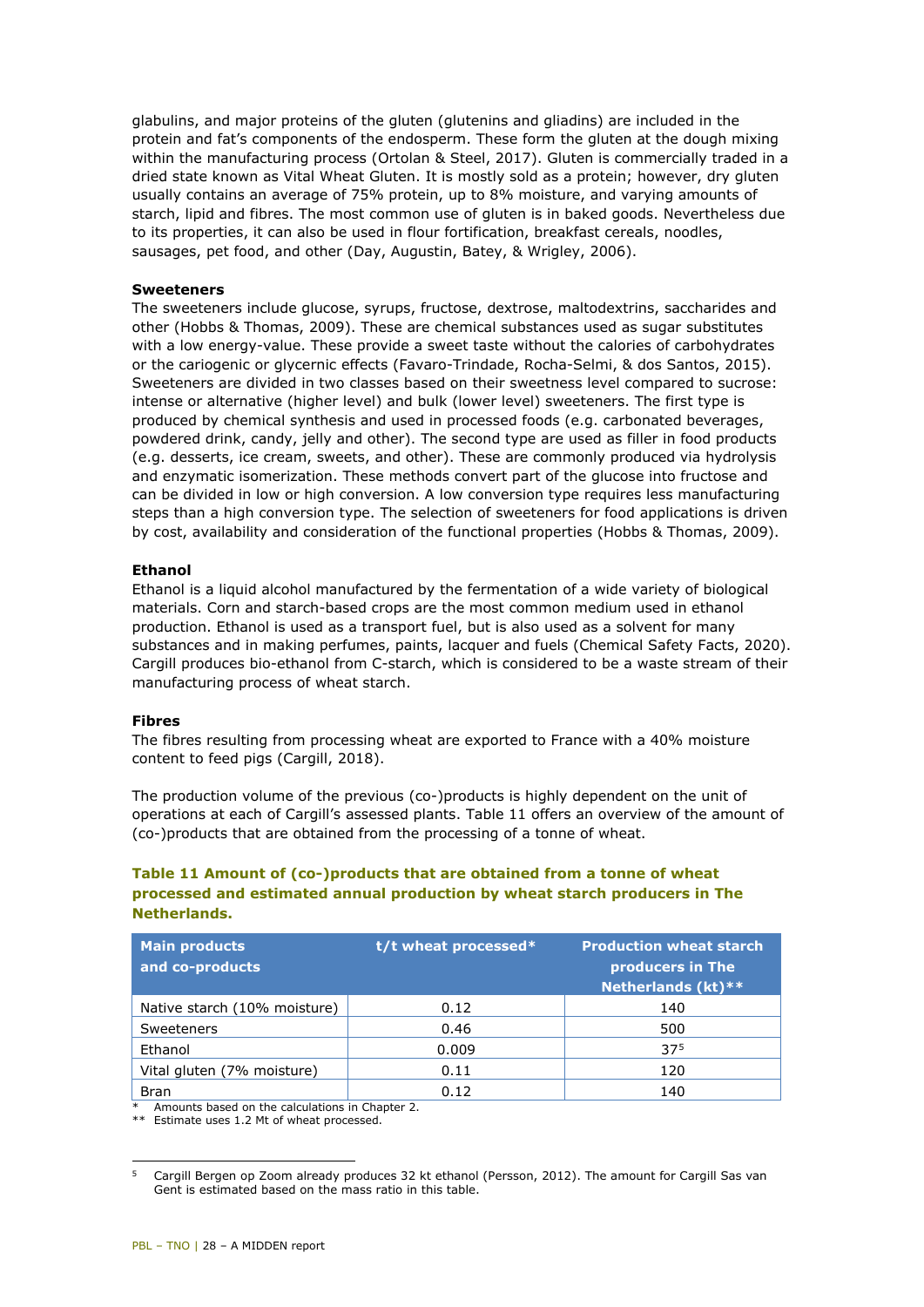glabulins, and major proteins of the gluten (glutenins and gliadins) are included in the protein and fat's components of the endosperm. These form the gluten at the dough mixing within the manufacturing process (Ortolan & Steel, 2017). Gluten is commercially traded in a dried state known as Vital Wheat Gluten. It is mostly sold as a protein; however, dry gluten usually contains an average of 75% protein, up to 8% moisture, and varying amounts of starch, lipid and fibres. The most common use of gluten is in baked goods. Nevertheless due to its properties, it can also be used in flour fortification, breakfast cereals, noodles, sausages, pet food, and other (Day, Augustin, Batey, & Wrigley, 2006).

#### **Sweeteners**

The sweeteners include glucose, syrups, fructose, dextrose, maltodextrins, saccharides and other (Hobbs & Thomas, 2009). These are chemical substances used as sugar substitutes with a low energy-value. These provide a sweet taste without the calories of carbohydrates or the cariogenic or glycernic effects (Favaro-Trindade, Rocha-Selmi, & dos Santos, 2015). Sweeteners are divided in two classes based on their sweetness level compared to sucrose: intense or alternative (higher level) and bulk (lower level) sweeteners. The first type is produced by chemical synthesis and used in processed foods (e.g. carbonated beverages, powdered drink, candy, jelly and other). The second type are used as filler in food products (e.g. desserts, ice cream, sweets, and other). These are commonly produced via hydrolysis and enzymatic isomerization. These methods convert part of the glucose into fructose and can be divided in low or high conversion. A low conversion type requires less manufacturing steps than a high conversion type. The selection of sweeteners for food applications is driven by cost, availability and consideration of the functional properties (Hobbs & Thomas, 2009).

#### **Ethanol**

Ethanol is a liquid alcohol manufactured by the fermentation of a wide variety of biological materials. Corn and starch-based crops are the most common medium used in ethanol production. Ethanol is used as a transport fuel, but is also used as a solvent for many substances and in making perfumes, paints, lacquer and fuels (Chemical Safety Facts, 2020). Cargill produces bio-ethanol from C-starch, which is considered to be a waste stream of their manufacturing process of wheat starch.

#### **Fibres**

The fibres resulting from processing wheat are exported to France with a 40% moisture content to feed pigs (Cargill, 2018).

The production volume of the previous (co-)products is highly dependent on the unit of operations at each of Cargill's assessed plants. [Table 11](#page-27-0) offers an overview of the amount of (co-)products that are obtained from the processing of a tonne of wheat.

#### <span id="page-27-0"></span>**Table 11 Amount of (co-)products that are obtained from a tonne of wheat processed and estimated annual production by wheat starch producers in The Netherlands.**

| <b>Main products</b><br>and co-products | t/t wheat processed* | <b>Production wheat starch</b><br>producers in The<br>Netherlands (kt) ** |
|-----------------------------------------|----------------------|---------------------------------------------------------------------------|
| Native starch (10% moisture)            | 0.12                 | 140                                                                       |
| Sweeteners                              | 0.46                 | 500                                                                       |
| Ethanol                                 | 0.009                | 375                                                                       |
| Vital gluten (7% moisture)              | 0.11                 | 120                                                                       |
| <b>Bran</b>                             | 0.12                 | 140                                                                       |

Amounts based on the calculations in Chapter 2.

\*\* Estimate uses 1.2 Mt of wheat processed.

<span id="page-27-1"></span>i, 5 Cargill Bergen op Zoom already produces 32 kt ethanol (Persson, 2012). The amount for Cargill Sas van Gent is estimated based on the mass ratio in this table.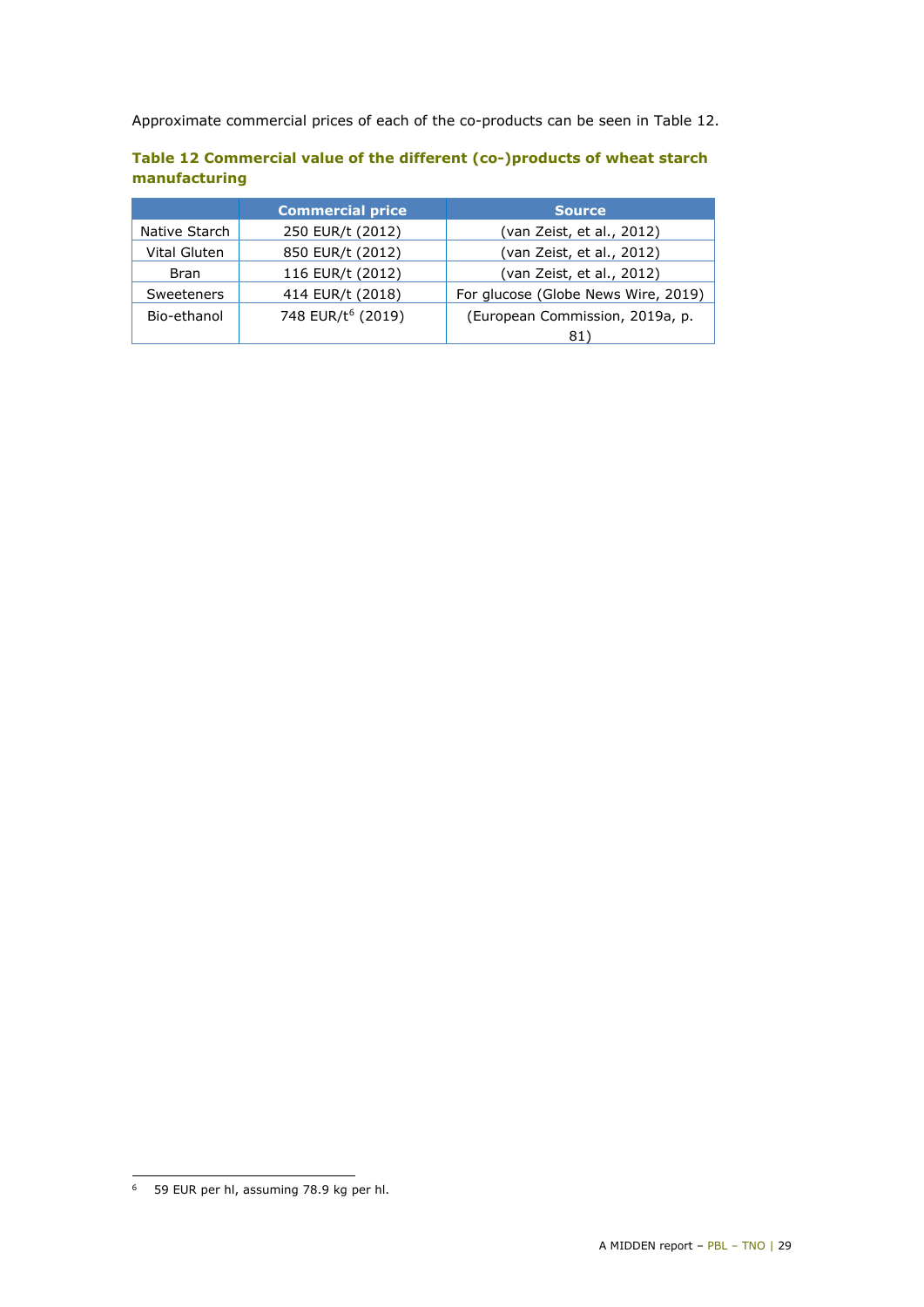Approximate commercial prices of each of the co-products can be seen in [Table 12.](#page-28-0)

|               | <b>Commercial price</b>       | <b>Source</b>                       |
|---------------|-------------------------------|-------------------------------------|
| Native Starch | 250 EUR/t (2012)              | (van Zeist, et al., 2012)           |
| Vital Gluten  | 850 EUR/t (2012)              | (van Zeist, et al., 2012)           |
| <b>Bran</b>   | 116 EUR/t (2012)              | (van Zeist, et al., 2012)           |
| Sweeteners    | 414 EUR/t (2018)              | For glucose (Globe News Wire, 2019) |
| Bio-ethanol   | 748 EUR/t <sup>6</sup> (2019) | (European Commission, 2019a, p.     |
|               |                               | 81                                  |

#### <span id="page-28-0"></span>**Table 12 Commercial value of the different (co-)products of wheat starch manufacturing**

<span id="page-28-1"></span>i, <sup>6</sup> 59 EUR per hl, assuming 78.9 kg per hl.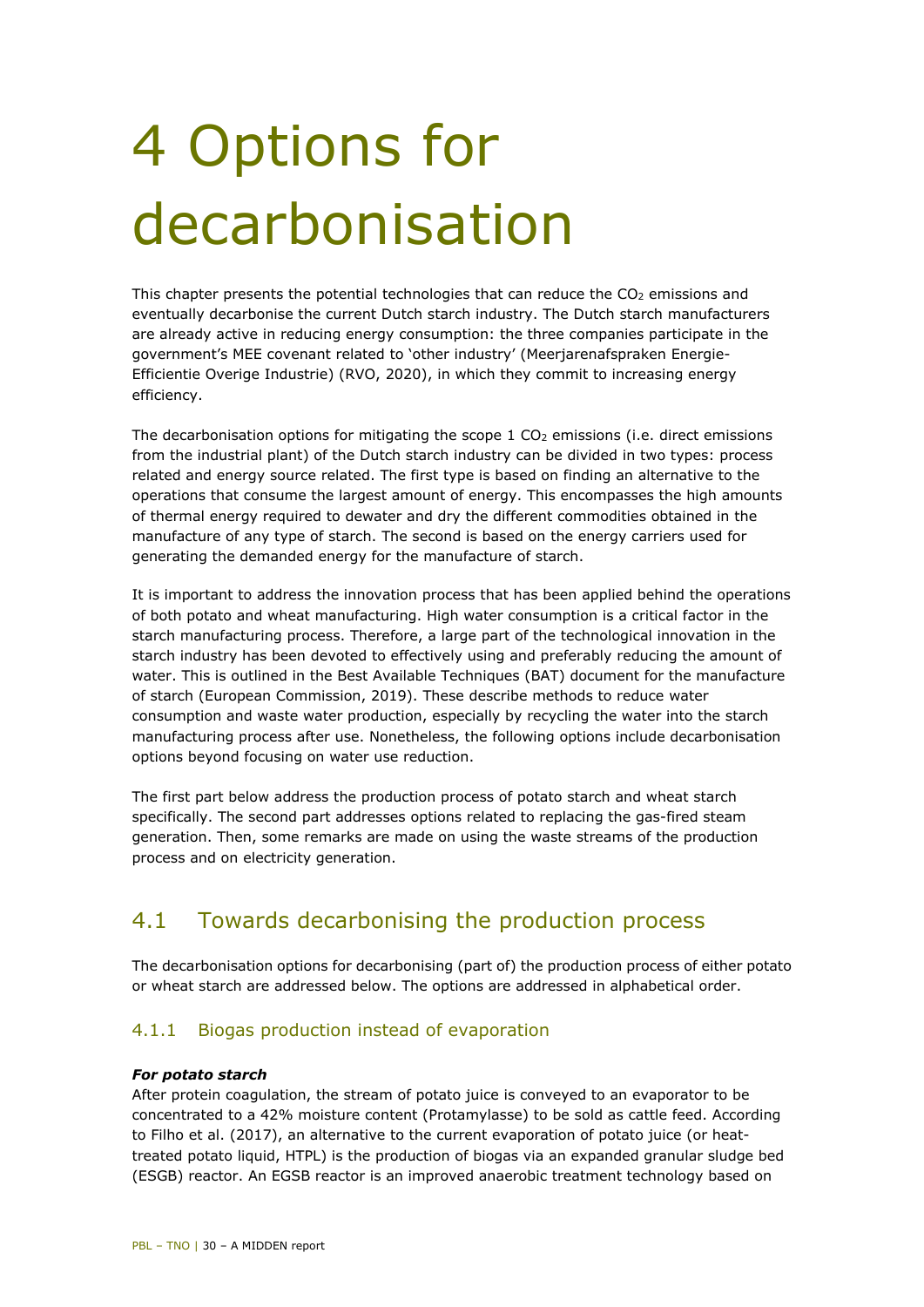# <span id="page-29-0"></span>4 Options for decarbonisation

This chapter presents the potential technologies that can reduce the  $CO<sub>2</sub>$  emissions and eventually decarbonise the current Dutch starch industry. The Dutch starch manufacturers are already active in reducing energy consumption: the three companies participate in the government's MEE covenant related to 'other industry' (Meerjarenafspraken Energie-Efficientie Overige Industrie) (RVO, 2020), in which they commit to increasing energy efficiency.

The decarbonisation options for mitigating the scope  $1 \text{ CO}_2$  emissions (i.e. direct emissions from the industrial plant) of the Dutch starch industry can be divided in two types: process related and energy source related. The first type is based on finding an alternative to the operations that consume the largest amount of energy. This encompasses the high amounts of thermal energy required to dewater and dry the different commodities obtained in the manufacture of any type of starch. The second is based on the energy carriers used for generating the demanded energy for the manufacture of starch.

It is important to address the innovation process that has been applied behind the operations of both potato and wheat manufacturing. High water consumption is a critical factor in the starch manufacturing process. Therefore, a large part of the technological innovation in the starch industry has been devoted to effectively using and preferably reducing the amount of water. This is outlined in the Best Available Techniques (BAT) document for the manufacture of starch (European Commission, 2019). These describe methods to reduce water consumption and waste water production, especially by recycling the water into the starch manufacturing process after use. Nonetheless, the following options include decarbonisation options beyond focusing on water use reduction.

The first part below address the production process of potato starch and wheat starch specifically. The second part addresses options related to replacing the gas-fired steam generation. Then, some remarks are made on using the waste streams of the production process and on electricity generation.

## <span id="page-29-1"></span>4.1 Towards decarbonising the production process

The decarbonisation options for decarbonising (part of) the production process of either potato or wheat starch are addressed below. The options are addressed in alphabetical order.

#### 4.1.1 Biogas production instead of evaporation

#### *For potato starch*

After protein coagulation, the stream of potato juice is conveyed to an evaporator to be concentrated to a 42% moisture content (Protamylasse) to be sold as cattle feed. According to Filho et al. (2017), an alternative to the current evaporation of potato juice (or heattreated potato liquid, HTPL) is the production of biogas via an expanded granular sludge bed (ESGB) reactor. An EGSB reactor is an improved anaerobic treatment technology based on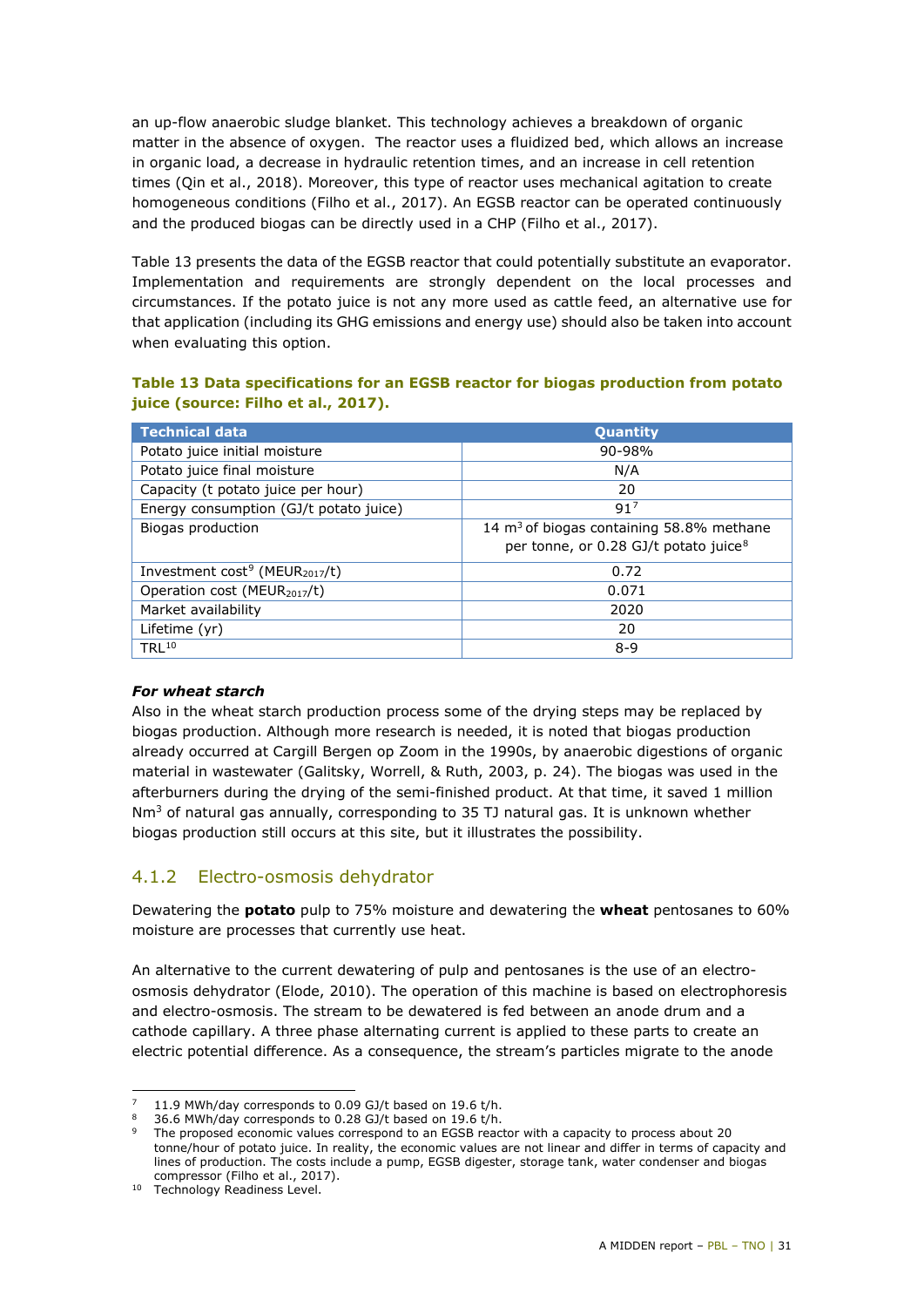an up-flow anaerobic sludge blanket. This technology achieves a breakdown of organic matter in the absence of oxygen. The reactor uses a fluidized bed, which allows an increase in organic load, a decrease in hydraulic retention times, and an increase in cell retention times (Qin et al., 2018). Moreover, this type of reactor uses mechanical agitation to create homogeneous conditions (Filho et al., 2017). An EGSB reactor can be operated continuously and the produced biogas can be directly used in a CHP (Filho et al., 2017).

[Table 13](#page-30-0) presents the data of the EGSB reactor that could potentially substitute an evaporator. Implementation and requirements are strongly dependent on the local processes and circumstances. If the potato juice is not any more used as cattle feed, an alternative use for that application (including its GHG emissions and energy use) should also be taken into account when evaluating this option.

#### <span id="page-30-0"></span>**Table 13 Data specifications for an EGSB reactor for biogas production from potato juice (source: Filho et al., 2017).**

| <b>Technical data</b>                                  | Quantity                                          |
|--------------------------------------------------------|---------------------------------------------------|
| Potato juice initial moisture                          | $90 - 98%$                                        |
| Potato juice final moisture                            | N/A                                               |
| Capacity (t potato juice per hour)                     | 20                                                |
| Energy consumption (GJ/t potato juice)                 | 91 <sup>7</sup>                                   |
| Biogas production                                      | 14 $m3$ of biogas containing 58.8% methane        |
|                                                        | per tonne, or 0.28 GJ/t potato juice <sup>8</sup> |
| Investment cost <sup>9</sup> (MEUR <sub>2017</sub> /t) | 0.72                                              |
| Operation cost (MEUR <sub>2017</sub> /t)               | 0.071                                             |
| Market availability                                    | 2020                                              |
| Lifetime (yr)                                          | 20                                                |
| TRI 10                                                 | $8-9$                                             |

#### *For wheat starch*

Also in the wheat starch production process some of the drying steps may be replaced by biogas production. Although more research is needed, it is noted that biogas production already occurred at Cargill Bergen op Zoom in the 1990s, by anaerobic digestions of organic material in wastewater (Galitsky, Worrell, & Ruth, 2003, p. 24). The biogas was used in the afterburners during the drying of the semi-finished product. At that time, it saved 1 million  $Nm<sup>3</sup>$  of natural gas annually, corresponding to 35 TJ natural gas. It is unknown whether biogas production still occurs at this site, but it illustrates the possibility.

#### 4.1.2 Electro-osmosis dehydrator

Dewatering the **potato** pulp to 75% moisture and dewatering the **wheat** pentosanes to 60% moisture are processes that currently use heat.

An alternative to the current dewatering of pulp and pentosanes is the use of an electroosmosis dehydrator (Elode, 2010). The operation of this machine is based on electrophoresis and electro-osmosis. The stream to be dewatered is fed between an anode drum and a cathode capillary. A three phase alternating current is applied to these parts to create an electric potential difference. As a consequence, the stream's particles migrate to the anode

<sup>-</sup>11.9 MWh/day corresponds to 0.09 GJ/t based on 19.6 t/h.<br>36.6 MWh/day corresponds to 0.28 GJ/t based on 19.6 t/h.

<span id="page-30-3"></span><span id="page-30-2"></span><span id="page-30-1"></span>

<sup>9</sup> The proposed economic values correspond to an EGSB reactor with a capacity to process about 20 tonne/hour of potato juice. In reality, the economic values are not linear and differ in terms of capacity and lines of production. The costs include a pump, EGSB digester, storage tank, water condenser and biogas compressor (Filho et al., 2017).

<span id="page-30-4"></span><sup>&</sup>lt;sup>10</sup> Technology Readiness Level.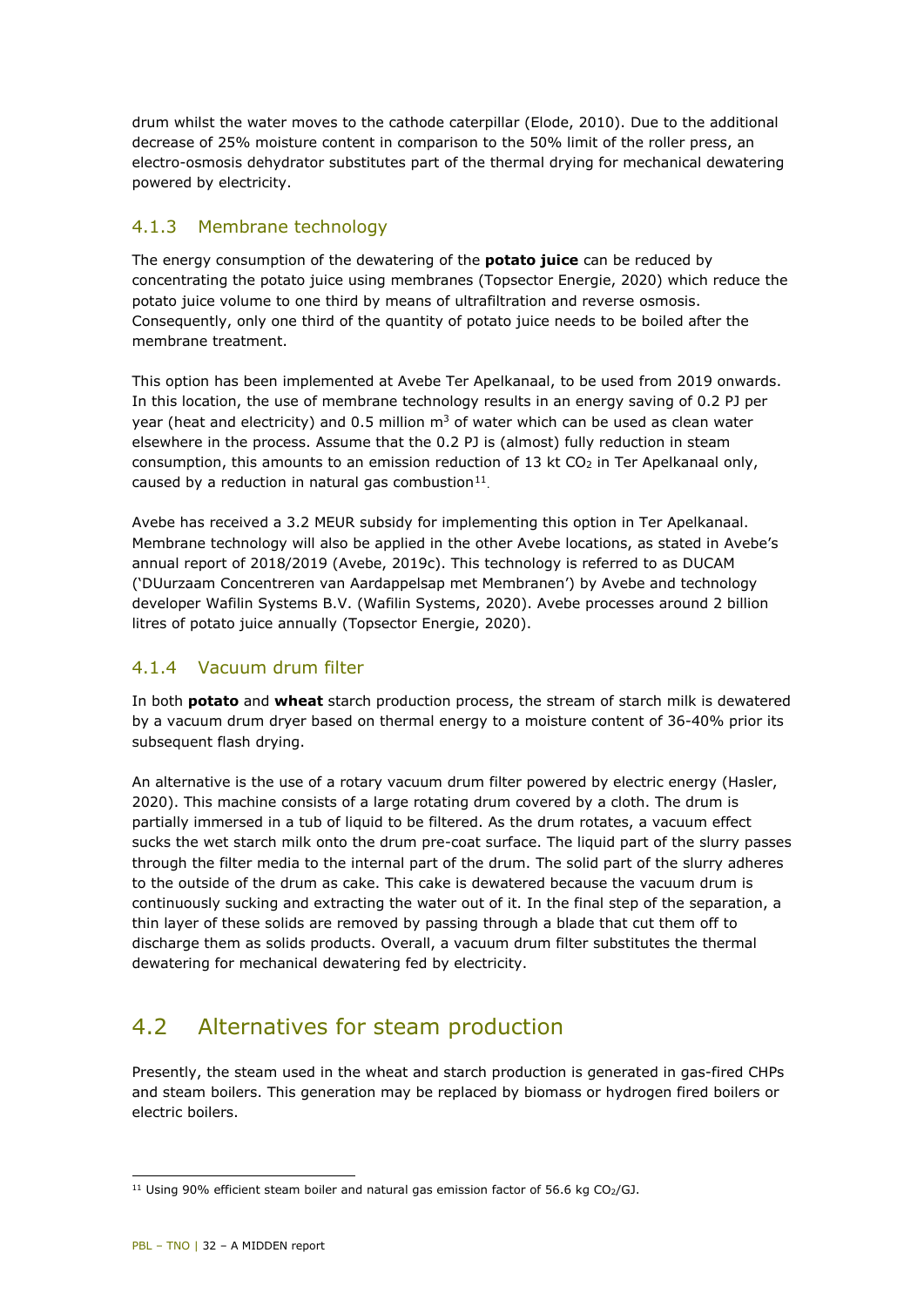drum whilst the water moves to the cathode caterpillar (Elode, 2010). Due to the additional decrease of 25% moisture content in comparison to the 50% limit of the roller press, an electro-osmosis dehydrator substitutes part of the thermal drying for mechanical dewatering powered by electricity.

#### 4.1.3 Membrane technology

The energy consumption of the dewatering of the **potato juice** can be reduced by concentrating the potato juice using membranes (Topsector Energie, 2020) which reduce the potato juice volume to one third by means of ultrafiltration and reverse osmosis. Consequently, only one third of the quantity of potato juice needs to be boiled after the membrane treatment.

This option has been implemented at Avebe Ter Apelkanaal, to be used from 2019 onwards. In this location, the use of membrane technology results in an energy saving of 0.2 PJ per year (heat and electricity) and 0.5 million  $m<sup>3</sup>$  of water which can be used as clean water elsewhere in the process. Assume that the 0.2 PJ is (almost) fully reduction in steam consumption, this amounts to an emission reduction of 13 kt  $CO<sub>2</sub>$  in Ter Apelkanaal only, caused by a reduction in natural gas combustion $11$ .

Avebe has received a 3.2 MEUR subsidy for implementing this option in Ter Apelkanaal. Membrane technology will also be applied in the other Avebe locations, as stated in Avebe's annual report of 2018/2019 (Avebe, 2019c). This technology is referred to as DUCAM ('DUurzaam Concentreren van Aardappelsap met Membranen') by Avebe and technology developer Wafilin Systems B.V. (Wafilin Systems, 2020). Avebe processes around 2 billion litres of potato juice annually (Topsector Energie, 2020).

#### 4.1.4 Vacuum drum filter

In both **potato** and **wheat** starch production process, the stream of starch milk is dewatered by a vacuum drum dryer based on thermal energy to a moisture content of 36-40% prior its subsequent flash drying.

An alternative is the use of a rotary vacuum drum filter powered by electric energy (Hasler, 2020). This machine consists of a large rotating drum covered by a cloth. The drum is partially immersed in a tub of liquid to be filtered. As the drum rotates, a vacuum effect sucks the wet starch milk onto the drum pre-coat surface. The liquid part of the slurry passes through the filter media to the internal part of the drum. The solid part of the slurry adheres to the outside of the drum as cake. This cake is dewatered because the vacuum drum is continuously sucking and extracting the water out of it. In the final step of the separation, a thin layer of these solids are removed by passing through a blade that cut them off to discharge them as solids products. Overall, a vacuum drum filter substitutes the thermal dewatering for mechanical dewatering fed by electricity.

## <span id="page-31-0"></span>4.2 Alternatives for steam production

Presently, the steam used in the wheat and starch production is generated in gas-fired CHPs and steam boilers. This generation may be replaced by biomass or hydrogen fired boilers or electric boilers.

<span id="page-31-1"></span>i, <sup>11</sup> Using 90% efficient steam boiler and natural gas emission factor of 56.6 kg CO<sub>2</sub>/GJ.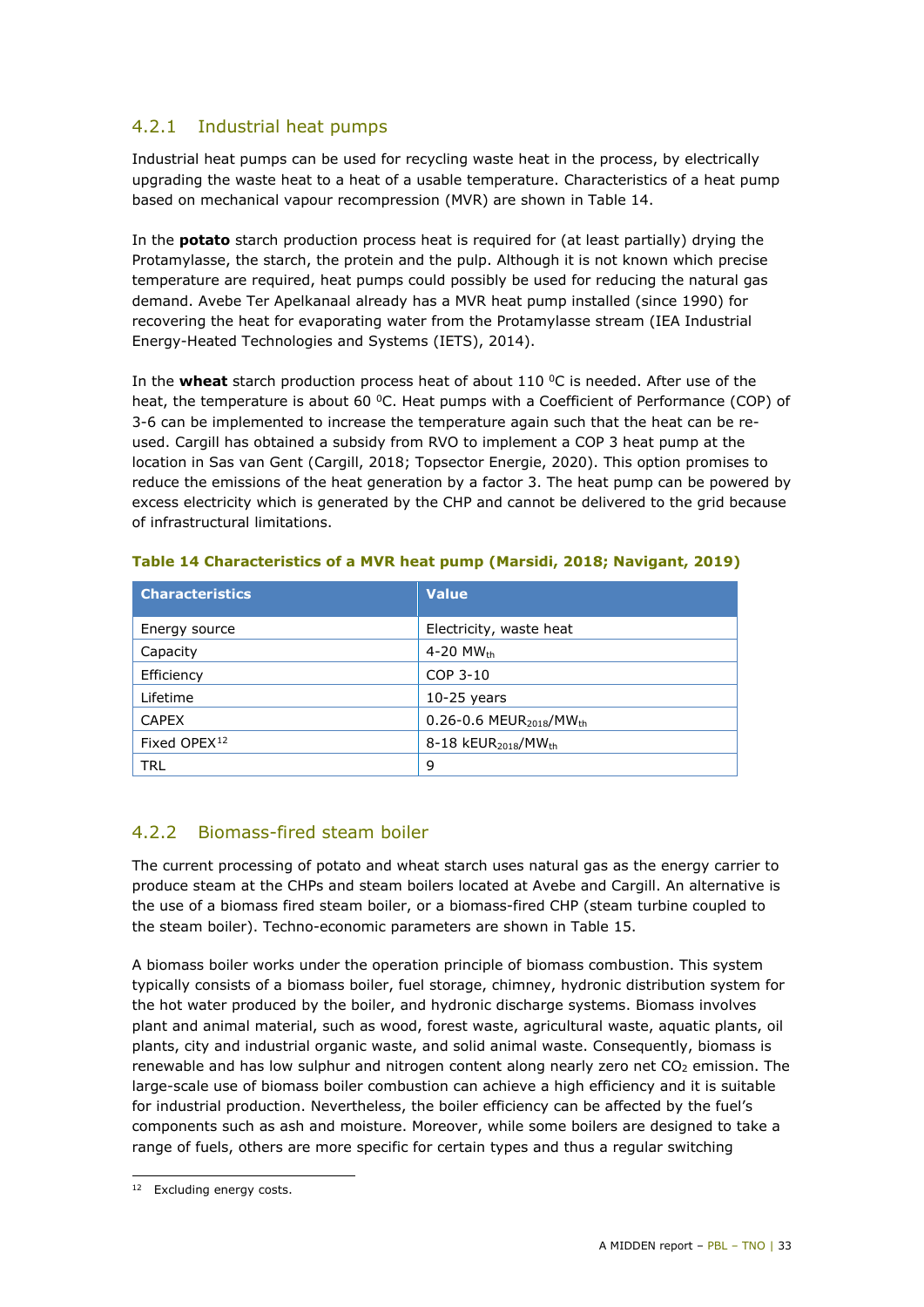#### 4.2.1 Industrial heat pumps

Industrial heat pumps can be used for recycling waste heat in the process, by electrically upgrading the waste heat to a heat of a usable temperature. Characteristics of a heat pump based on mechanical vapour recompression (MVR) are shown in [Table 14.](#page-32-0)

In the **potato** starch production process heat is required for (at least partially) drying the Protamylasse, the starch, the protein and the pulp. Although it is not known which precise temperature are required, heat pumps could possibly be used for reducing the natural gas demand. Avebe Ter Apelkanaal already has a MVR heat pump installed (since 1990) for recovering the heat for evaporating water from the Protamylasse stream (IEA Industrial Energy-Heated Technologies and Systems (IETS), 2014).

In the **wheat** starch production process heat of about 110 °C is needed. After use of the heat, the temperature is about 60 °C. Heat pumps with a Coefficient of Performance (COP) of 3-6 can be implemented to increase the temperature again such that the heat can be reused. Cargill has obtained a subsidy from RVO to implement a COP 3 heat pump at the location in Sas van Gent (Cargill, 2018; Topsector Energie, 2020). This option promises to reduce the emissions of the heat generation by a factor 3. The heat pump can be powered by excess electricity which is generated by the CHP and cannot be delivered to the grid because of infrastructural limitations.

| <b>Characteristics</b>   | <b>Value</b>                                        |
|--------------------------|-----------------------------------------------------|
| Energy source            | Electricity, waste heat                             |
| Capacity                 | 4-20 MW $_{\rm th}$                                 |
| Efficiency               | COP 3-10                                            |
| Lifetime                 | $10-25$ years                                       |
| <b>CAPEX</b>             | $0.26 - 0.6$ MEUR <sub>2018</sub> /MW <sub>th</sub> |
| Fixed OPEX <sup>12</sup> | 8-18 $kEUR_{2018}/MW_{th}$                          |
| TRL                      | 9                                                   |

#### <span id="page-32-0"></span>**Table 14 Characteristics of a MVR heat pump (Marsidi, 2018; Navigant, 2019)**

#### 4.2.2 Biomass-fired steam boiler

The current processing of potato and wheat starch uses natural gas as the energy carrier to produce steam at the CHPs and steam boilers located at Avebe and Cargill. An alternative is the use of a biomass fired steam boiler, or a biomass-fired CHP (steam turbine coupled to the steam boiler). Techno-economic parameters are shown in [Table 15.](#page-33-0)

A biomass boiler works under the operation principle of biomass combustion. This system typically consists of a biomass boiler, fuel storage, chimney, hydronic distribution system for the hot water produced by the boiler, and hydronic discharge systems. Biomass involves plant and animal material, such as wood, forest waste, agricultural waste, aquatic plants, oil plants, city and industrial organic waste, and solid animal waste. Consequently, biomass is renewable and has low sulphur and nitrogen content along nearly zero net  $CO<sub>2</sub>$  emission. The large-scale use of biomass boiler combustion can achieve a high efficiency and it is suitable for industrial production. Nevertheless, the boiler efficiency can be affected by the fuel's components such as ash and moisture. Moreover, while some boilers are designed to take a range of fuels, others are more specific for certain types and thus a regular switching

<span id="page-32-1"></span>i, <sup>12</sup> Excluding energy costs.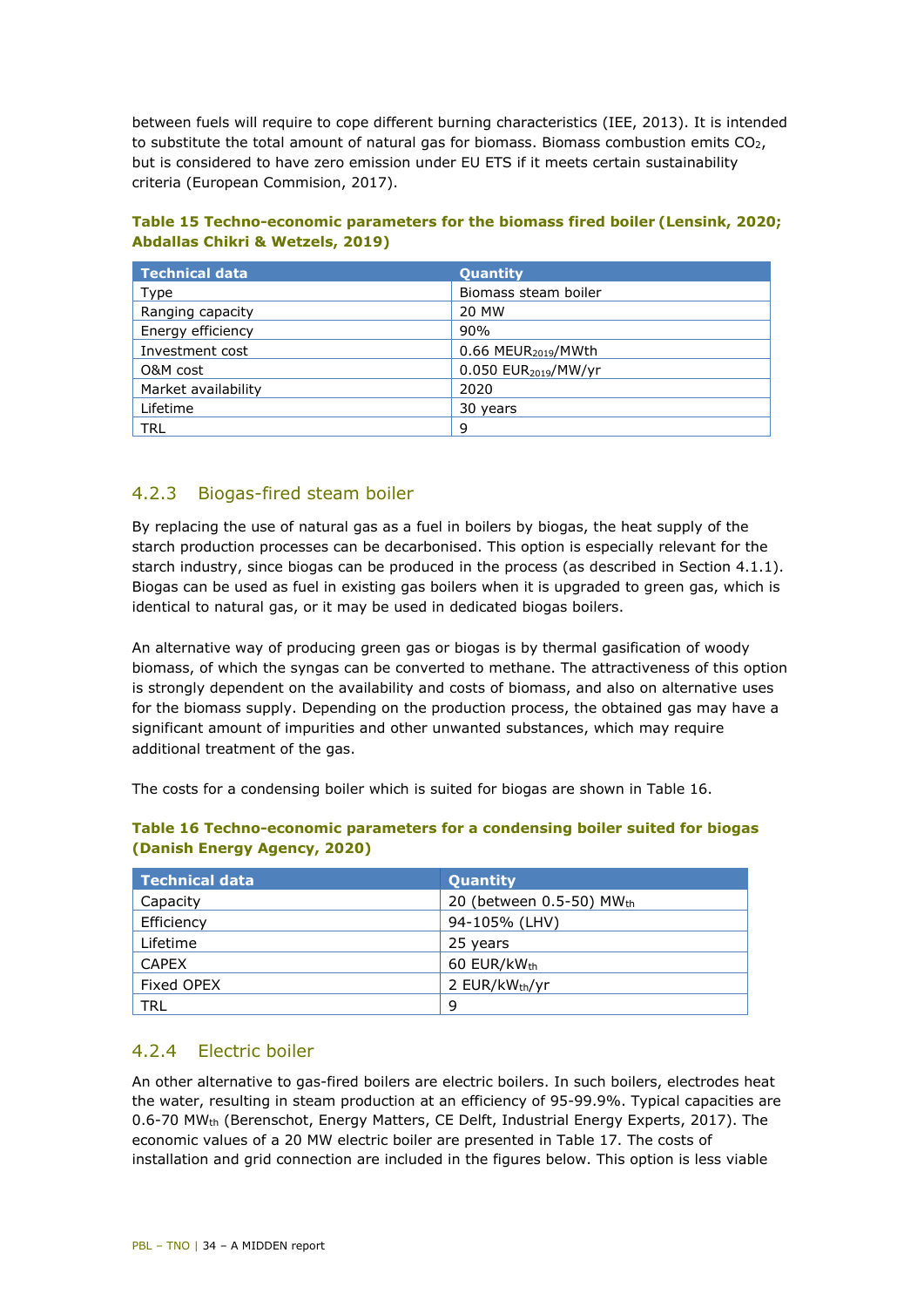between fuels will require to cope different burning characteristics (IEE, 2013). It is intended to substitute the total amount of natural gas for biomass. Biomass combustion emits  $CO<sub>2</sub>$ , but is considered to have zero emission under EU ETS if it meets certain sustainability criteria (European Commision, 2017).

<span id="page-33-0"></span>

| Table 15 Techno-economic parameters for the biomass fired boiler (Lensink, 2020; |  |
|----------------------------------------------------------------------------------|--|
| <b>Abdallas Chikri &amp; Wetzels, 2019)</b>                                      |  |

| <b>Technical data</b> | <b>Quantity</b>                    |
|-----------------------|------------------------------------|
| Type                  | Biomass steam boiler               |
| Ranging capacity      | 20 MW                              |
| Energy efficiency     | 90%                                |
| Investment cost       | $0.66$ MEUR <sub>2019</sub> /MWth  |
| O&M cost              | $0.050$ EUR <sub>2019</sub> /MW/yr |
| Market availability   | 2020                               |
| Lifetime              | 30 years                           |
| TRL                   | 9                                  |

#### 4.2.3 Biogas-fired steam boiler

By replacing the use of natural gas as a fuel in boilers by biogas, the heat supply of the starch production processes can be decarbonised. This option is especially relevant for the starch industry, since biogas can be produced in the process (as described in Section 4.1.1). Biogas can be used as fuel in existing gas boilers when it is upgraded to green gas, which is identical to natural gas, or it may be used in dedicated biogas boilers.

An alternative way of producing green gas or biogas is by thermal gasification of woody biomass, of which the syngas can be converted to methane. The attractiveness of this option is strongly dependent on the availability and costs of biomass, and also on alternative uses for the biomass supply. Depending on the production process, the obtained gas may have a significant amount of impurities and other unwanted substances, which may require additional treatment of the gas.

The costs for a condensing boiler which is suited for biogas are shown in [Table 16.](#page-33-1)

| <b>Technical data</b> | Quantity                 |
|-----------------------|--------------------------|
| Capacity              | 20 (between 0.5-50) MWth |
| Efficiency            | 94-105% (LHV)            |
| Lifetime              | 25 years                 |
| <b>CAPEX</b>          | 60 EUR/kWth              |
| Fixed OPEX            | 2 EUR/kWth/yr            |
| TRL                   | 9                        |

#### <span id="page-33-1"></span>**Table 16 Techno-economic parameters for a condensing boiler suited for biogas (Danish Energy Agency, 2020)**

#### 4.2.4 Electric boiler

An other alternative to gas-fired boilers are electric boilers. In such boilers, electrodes heat the water, resulting in steam production at an efficiency of 95-99.9%. Typical capacities are 0.6-70 MWth (Berenschot, Energy Matters, CE Delft, Industrial Energy Experts, 2017). The economic values of a 20 MW electric boiler are presented in [Table 17.](#page-34-0) The costs of installation and grid connection are included in the figures below. This option is less viable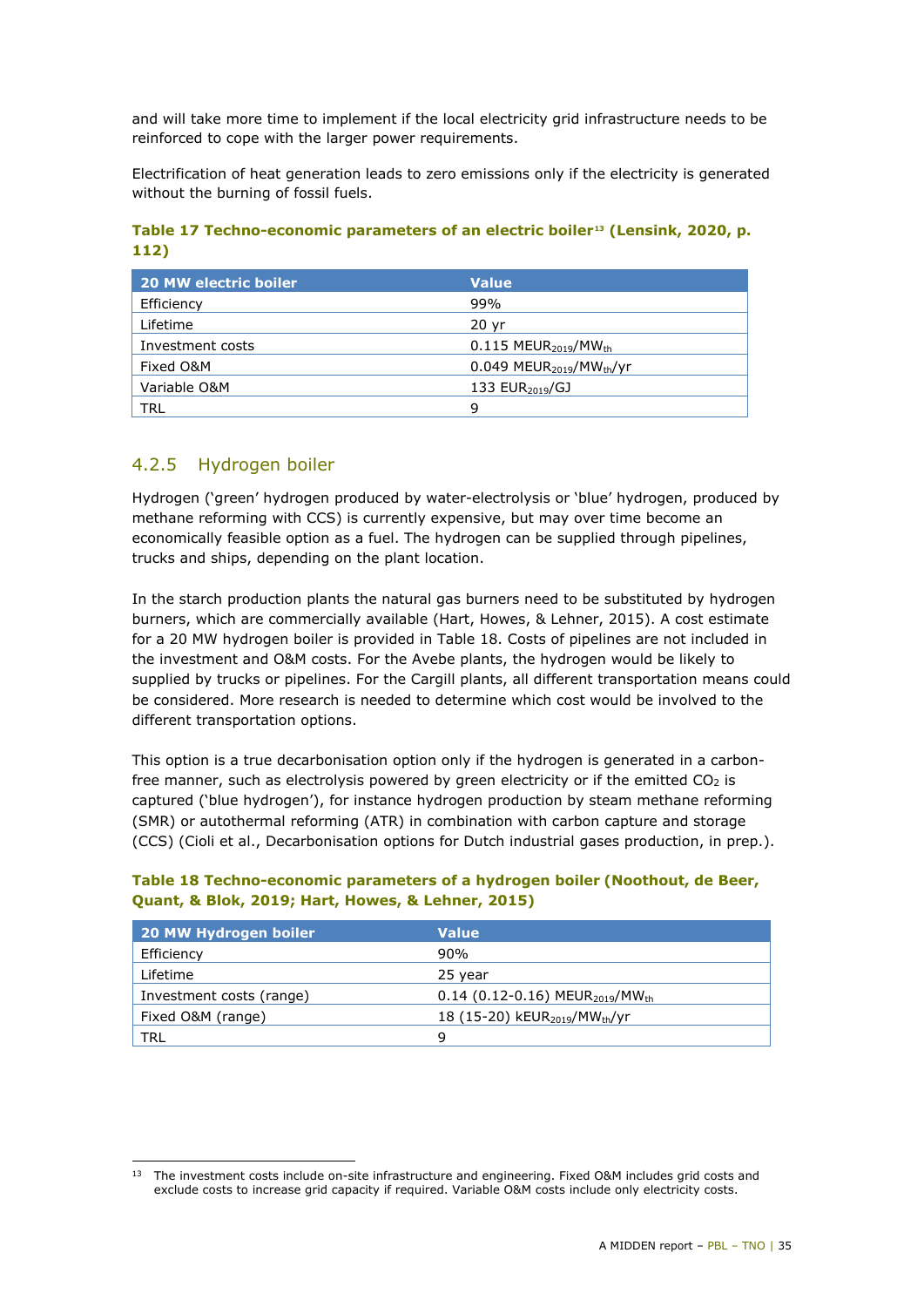and will take more time to implement if the local electricity grid infrastructure needs to be reinforced to cope with the larger power requirements.

Electrification of heat generation leads to zero emissions only if the electricity is generated without the burning of fossil fuels.

<span id="page-34-0"></span>**Table 17 Techno-economic parameters of an electric boiler[13](#page-34-2) (Lensink, 2020, p. 112)**

| <b>20 MW electric boiler</b> | <b>Value</b>                                        |
|------------------------------|-----------------------------------------------------|
| Efficiency                   | 99%                                                 |
| Lifetime                     | 20 <sub>yr</sub>                                    |
| Investment costs             | $0.115 \text{ MEUR}_{2019} / \text{MW}_{\text{th}}$ |
| Fixed O&M                    | $0.049$ MEUR <sub>2019</sub> /MW <sub>th</sub> /yr  |
| Variable O&M                 | 133 $EUR2019/GJ$                                    |
| <b>TRL</b>                   | q                                                   |

#### 4.2.5 Hydrogen boiler

Hydrogen ('green' hydrogen produced by water-electrolysis or 'blue' hydrogen, produced by methane reforming with CCS) is currently expensive, but may over time become an economically feasible option as a fuel. The hydrogen can be supplied through pipelines, trucks and ships, depending on the plant location.

In the starch production plants the natural gas burners need to be substituted by hydrogen burners, which are commercially available (Hart, Howes, & Lehner, 2015). A cost estimate for a 20 MW hydrogen boiler is provided in [Table 18.](#page-34-1) Costs of pipelines are not included in the investment and O&M costs. For the Avebe plants, the hydrogen would be likely to supplied by trucks or pipelines. For the Cargill plants, all different transportation means could be considered. More research is needed to determine which cost would be involved to the different transportation options.

This option is a true decarbonisation option only if the hydrogen is generated in a carbonfree manner, such as electrolysis powered by green electricity or if the emitted  $CO<sub>2</sub>$  is captured ('blue hydrogen'), for instance hydrogen production by steam methane reforming (SMR) or autothermal reforming (ATR) in combination with carbon capture and storage (CCS) (Cioli et al., Decarbonisation options for Dutch industrial gases production, in prep.).

| 20 MW Hydrogen boiler    | <b>Value</b>                                            |
|--------------------------|---------------------------------------------------------|
| Efficiency               | 90%                                                     |
| Lifetime                 | 25 year                                                 |
| Investment costs (range) | 0.14 (0.12-0.16) MEUR <sub>2019</sub> /MW <sub>th</sub> |
| Fixed O&M (range)        | 18 (15-20) kEUR <sub>2019</sub> /MW <sub>th</sub> /yr   |
| TRL.                     | q                                                       |

#### <span id="page-34-1"></span>**Table 18 Techno-economic parameters of a hydrogen boiler (Noothout, de Beer, Quant, & Blok, 2019; Hart, Howes, & Lehner, 2015)**

<span id="page-34-2"></span>i, <sup>13</sup> The investment costs include on-site infrastructure and engineering. Fixed O&M includes grid costs and exclude costs to increase grid capacity if required. Variable O&M costs include only electricity costs.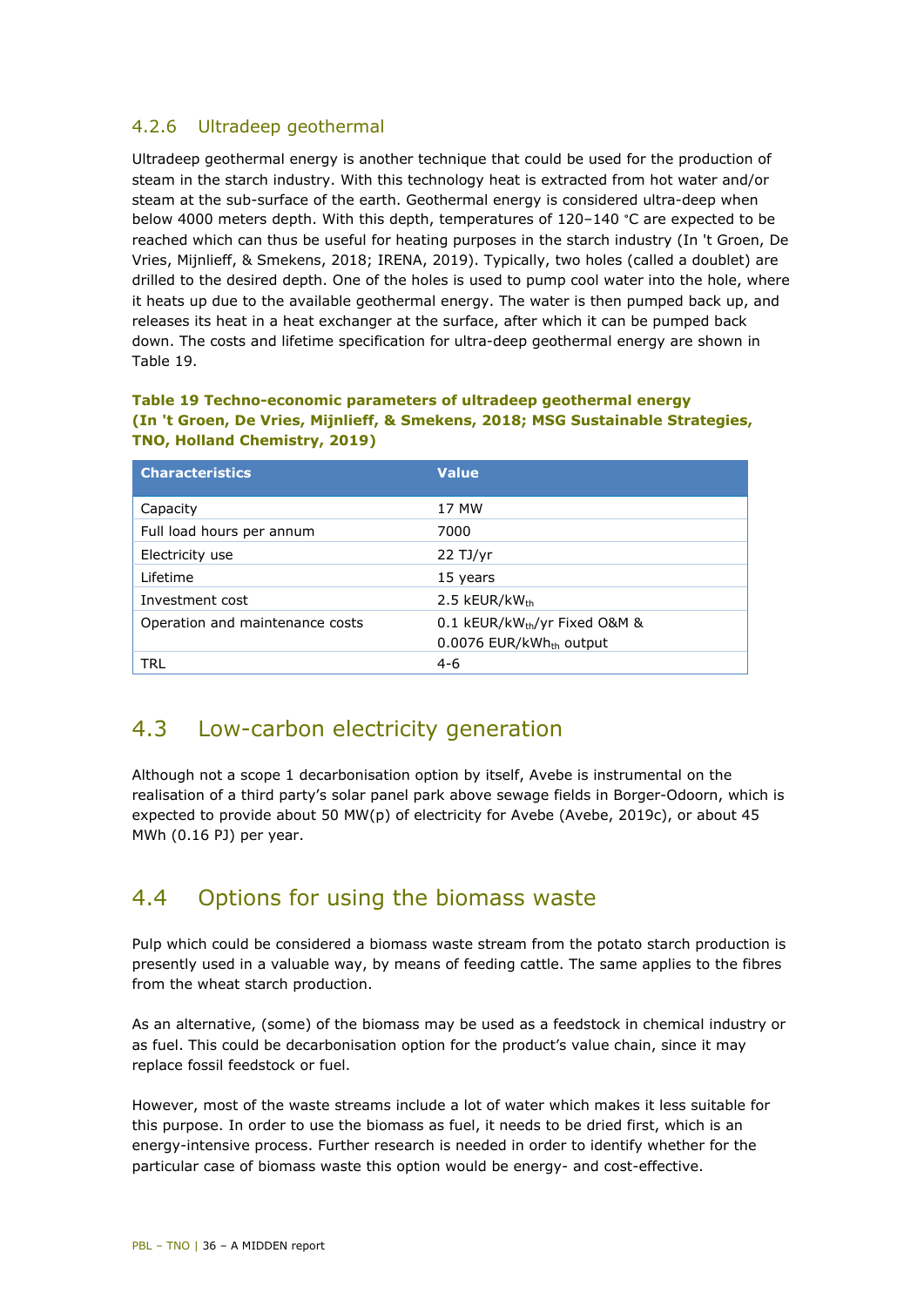#### 4.2.6 Ultradeep geothermal

Ultradeep geothermal energy is another technique that could be used for the production of steam in the starch industry. With this technology heat is extracted from hot water and/or steam at the sub-surface of the earth. Geothermal energy is considered ultra-deep when below 4000 meters depth. With this depth, temperatures of  $120-140$  °C are expected to be reached which can thus be useful for heating purposes in the starch industry (In 't Groen, De Vries, Mijnlieff, & Smekens, 2018; IRENA, 2019). Typically, two holes (called a doublet) are drilled to the desired depth. One of the holes is used to pump cool water into the hole, where it heats up due to the available geothermal energy. The water is then pumped back up, and releases its heat in a heat exchanger at the surface, after which it can be pumped back down. The costs and lifetime specification for ultra-deep geothermal energy are shown in [Table 19.](#page-35-2)

#### <span id="page-35-2"></span>**Table 19 Techno-economic parameters of ultradeep geothermal energy (In 't Groen, De Vries, Mijnlieff, & Smekens, 2018; MSG Sustainable Strategies, TNO, Holland Chemistry, 2019)**

| <b>Characteristics</b>          | <b>Value</b>                                                        |
|---------------------------------|---------------------------------------------------------------------|
| Capacity                        | 17 MW                                                               |
| Full load hours per annum       | 7000                                                                |
| Electricity use                 | $22$ TJ/yr                                                          |
| Lifetime                        | 15 years                                                            |
| Investment cost                 | 2.5 $kEUR/kW_{th}$                                                  |
| Operation and maintenance costs | 0.1 kEUR/kWth/yr Fixed O&M &<br>0.0076 EUR/kWh <sub>th</sub> output |
| TRL                             | $4-6$                                                               |

## <span id="page-35-0"></span>4.3 Low-carbon electricity generation

Although not a scope 1 decarbonisation option by itself, Avebe is instrumental on the realisation of a third party's solar panel park above sewage fields in Borger-Odoorn, which is expected to provide about 50 MW(p) of electricity for Avebe (Avebe, 2019c), or about 45 MWh (0.16 PJ) per year.

### <span id="page-35-1"></span>4.4 Options for using the biomass waste

Pulp which could be considered a biomass waste stream from the potato starch production is presently used in a valuable way, by means of feeding cattle. The same applies to the fibres from the wheat starch production.

As an alternative, (some) of the biomass may be used as a feedstock in chemical industry or as fuel. This could be decarbonisation option for the product's value chain, since it may replace fossil feedstock or fuel.

However, most of the waste streams include a lot of water which makes it less suitable for this purpose. In order to use the biomass as fuel, it needs to be dried first, which is an energy-intensive process. Further research is needed in order to identify whether for the particular case of biomass waste this option would be energy- and cost-effective.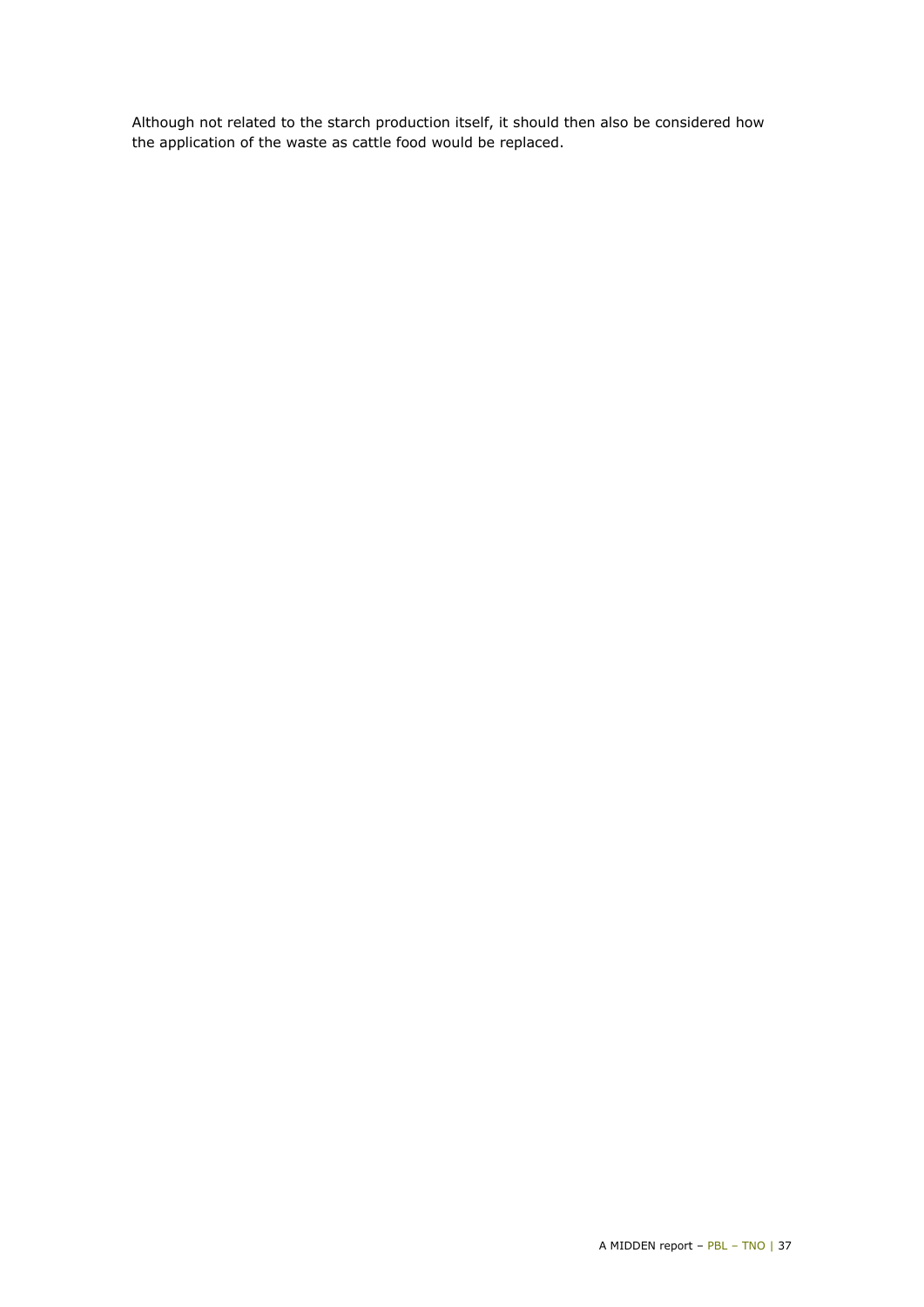Although not related to the starch production itself, it should then also be considered how the application of the waste as cattle food would be replaced.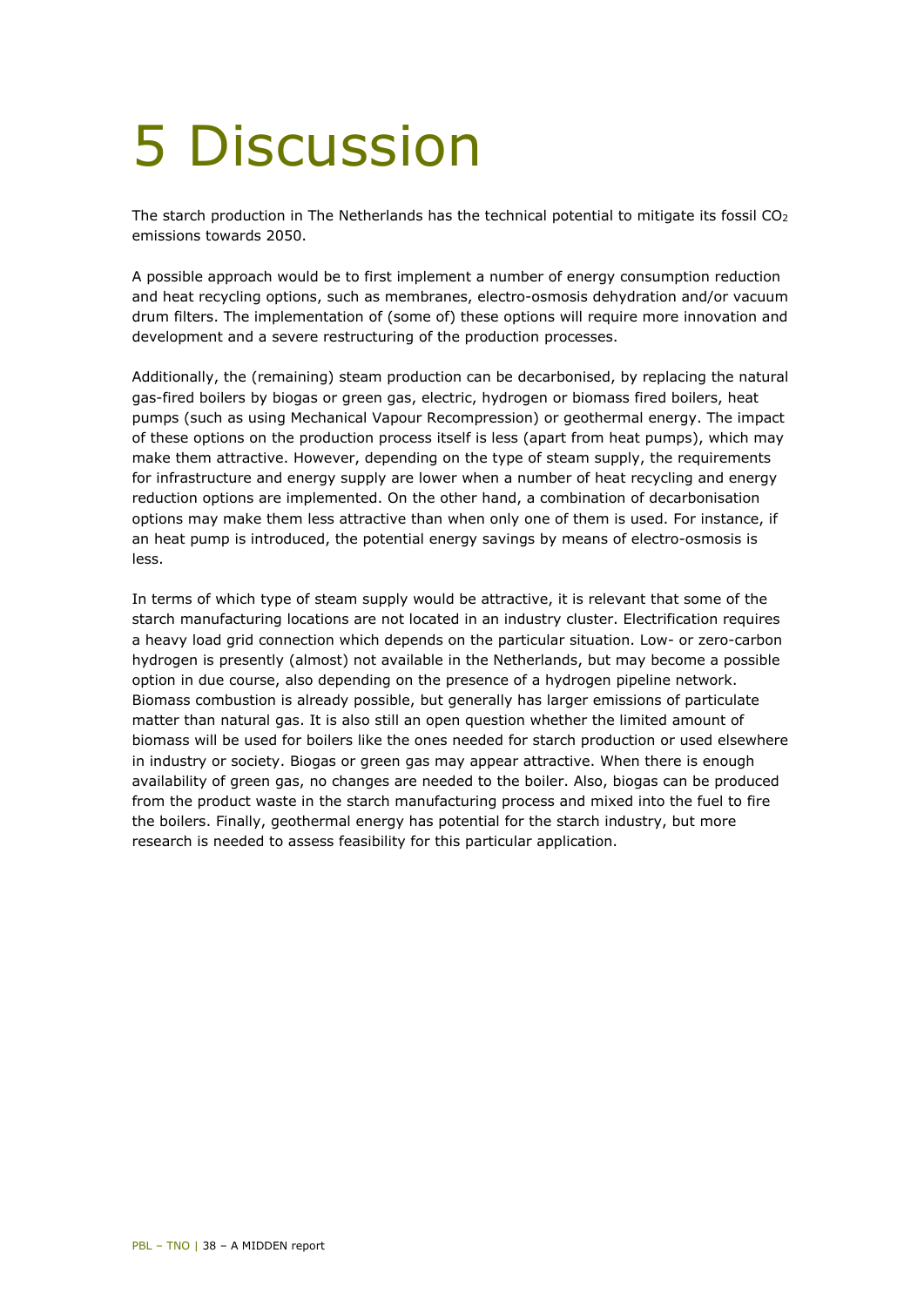## <span id="page-37-0"></span>5 Discussion

The starch production in The Netherlands has the technical potential to mitigate its fossil CO<sub>2</sub> emissions towards 2050.

A possible approach would be to first implement a number of energy consumption reduction and heat recycling options, such as membranes, electro-osmosis dehydration and/or vacuum drum filters. The implementation of (some of) these options will require more innovation and development and a severe restructuring of the production processes.

Additionally, the (remaining) steam production can be decarbonised, by replacing the natural gas-fired boilers by biogas or green gas, electric, hydrogen or biomass fired boilers, heat pumps (such as using Mechanical Vapour Recompression) or geothermal energy. The impact of these options on the production process itself is less (apart from heat pumps), which may make them attractive. However, depending on the type of steam supply, the requirements for infrastructure and energy supply are lower when a number of heat recycling and energy reduction options are implemented. On the other hand, a combination of decarbonisation options may make them less attractive than when only one of them is used. For instance, if an heat pump is introduced, the potential energy savings by means of electro-osmosis is less.

In terms of which type of steam supply would be attractive, it is relevant that some of the starch manufacturing locations are not located in an industry cluster. Electrification requires a heavy load grid connection which depends on the particular situation. Low- or zero-carbon hydrogen is presently (almost) not available in the Netherlands, but may become a possible option in due course, also depending on the presence of a hydrogen pipeline network. Biomass combustion is already possible, but generally has larger emissions of particulate matter than natural gas. It is also still an open question whether the limited amount of biomass will be used for boilers like the ones needed for starch production or used elsewhere in industry or society. Biogas or green gas may appear attractive. When there is enough availability of green gas, no changes are needed to the boiler. Also, biogas can be produced from the product waste in the starch manufacturing process and mixed into the fuel to fire the boilers. Finally, geothermal energy has potential for the starch industry, but more research is needed to assess feasibility for this particular application.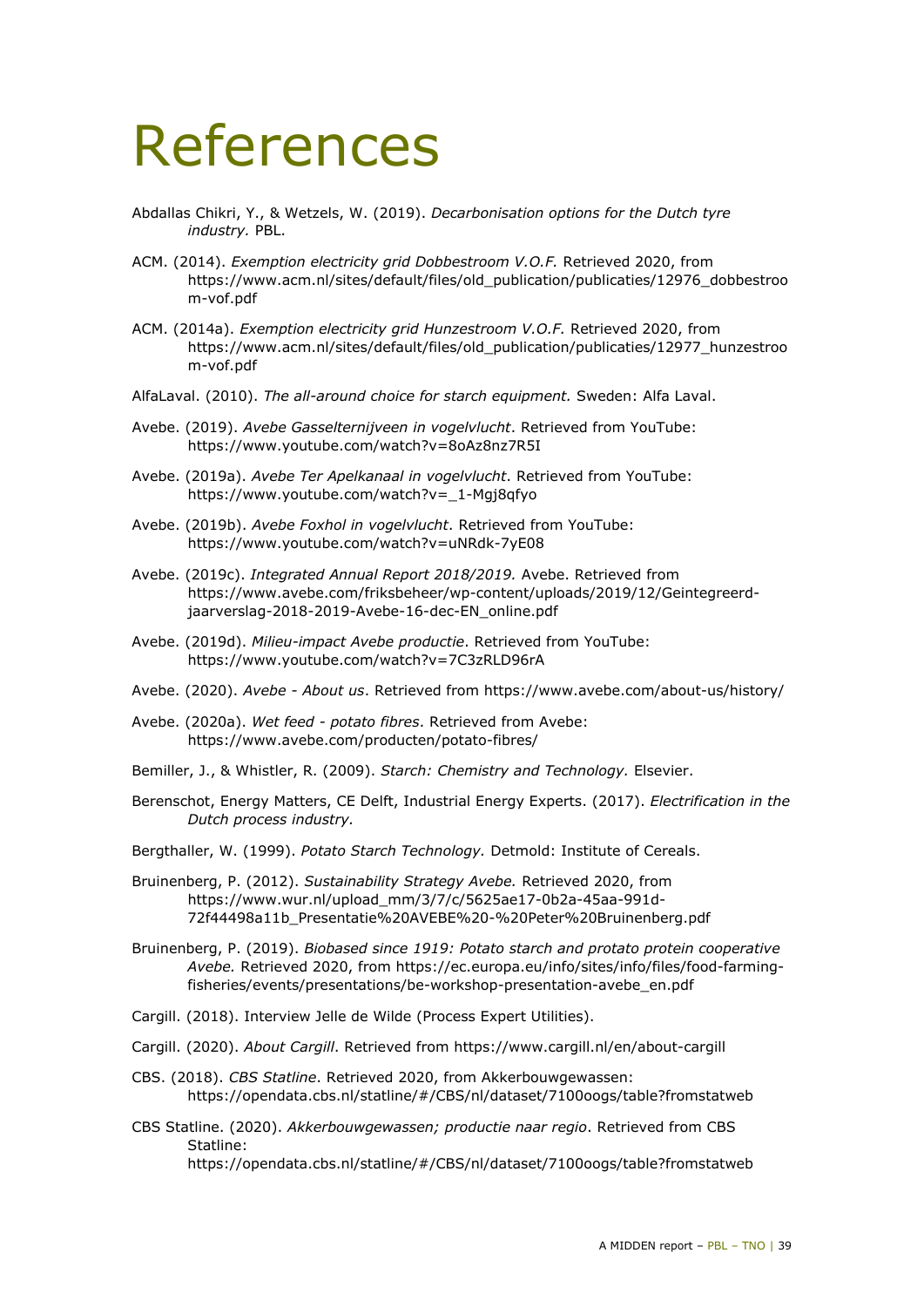## <span id="page-38-0"></span>References

- Abdallas Chikri, Y., & Wetzels, W. (2019). *Decarbonisation options for the Dutch tyre industry.* PBL.
- ACM. (2014). *Exemption electricity grid Dobbestroom V.O.F.* Retrieved 2020, from https://www.acm.nl/sites/default/files/old\_publication/publicaties/12976\_dobbestroo m-vof.pdf
- ACM. (2014a). *Exemption electricity grid Hunzestroom V.O.F.* Retrieved 2020, from https://www.acm.nl/sites/default/files/old\_publication/publicaties/12977\_hunzestroo m-vof.pdf
- AlfaLaval. (2010). *The all-around choice for starch equipment.* Sweden: Alfa Laval.
- Avebe. (2019). *Avebe Gasselternijveen in vogelvlucht*. Retrieved from YouTube: https://www.youtube.com/watch?v=8oAz8nz7R5I
- Avebe. (2019a). *Avebe Ter Apelkanaal in vogelvlucht*. Retrieved from YouTube: https://www.youtube.com/watch?v=\_1-Mgj8qfyo
- Avebe. (2019b). *Avebe Foxhol in vogelvlucht*. Retrieved from YouTube: https://www.youtube.com/watch?v=uNRdk-7yE08
- Avebe. (2019c). *Integrated Annual Report 2018/2019.* Avebe. Retrieved from https://www.avebe.com/friksbeheer/wp-content/uploads/2019/12/Geintegreerdjaarverslag-2018-2019-Avebe-16-dec-EN\_online.pdf
- Avebe. (2019d). *Milieu-impact Avebe productie*. Retrieved from YouTube: https://www.youtube.com/watch?v=7C3zRLD96rA
- Avebe. (2020). *Avebe About us*. Retrieved from https://www.avebe.com/about-us/history/
- Avebe. (2020a). *Wet feed potato fibres*. Retrieved from Avebe: https://www.avebe.com/producten/potato-fibres/
- Bemiller, J., & Whistler, R. (2009). *Starch: Chemistry and Technology.* Elsevier.
- Berenschot, Energy Matters, CE Delft, Industrial Energy Experts. (2017). *Electrification in the Dutch process industry.*
- Bergthaller, W. (1999). *Potato Starch Technology.* Detmold: Institute of Cereals.
- Bruinenberg, P. (2012). *Sustainability Strategy Avebe.* Retrieved 2020, from https://www.wur.nl/upload\_mm/3/7/c/5625ae17-0b2a-45aa-991d-72f44498a11b\_Presentatie%20AVEBE%20-%20Peter%20Bruinenberg.pdf
- Bruinenberg, P. (2019). *Biobased since 1919: Potato starch and protato protein cooperative Avebe.* Retrieved 2020, from https://ec.europa.eu/info/sites/info/files/food-farmingfisheries/events/presentations/be-workshop-presentation-avebe\_en.pdf
- Cargill. (2018). Interview Jelle de Wilde (Process Expert Utilities).
- Cargill. (2020). *About Cargill*. Retrieved from https://www.cargill.nl/en/about-cargill
- CBS. (2018). *CBS Statline*. Retrieved 2020, from Akkerbouwgewassen: https://opendata.cbs.nl/statline/#/CBS/nl/dataset/7100oogs/table?fromstatweb
- CBS Statline. (2020). *Akkerbouwgewassen; productie naar regio*. Retrieved from CBS Statline:

https://opendata.cbs.nl/statline/#/CBS/nl/dataset/7100oogs/table?fromstatweb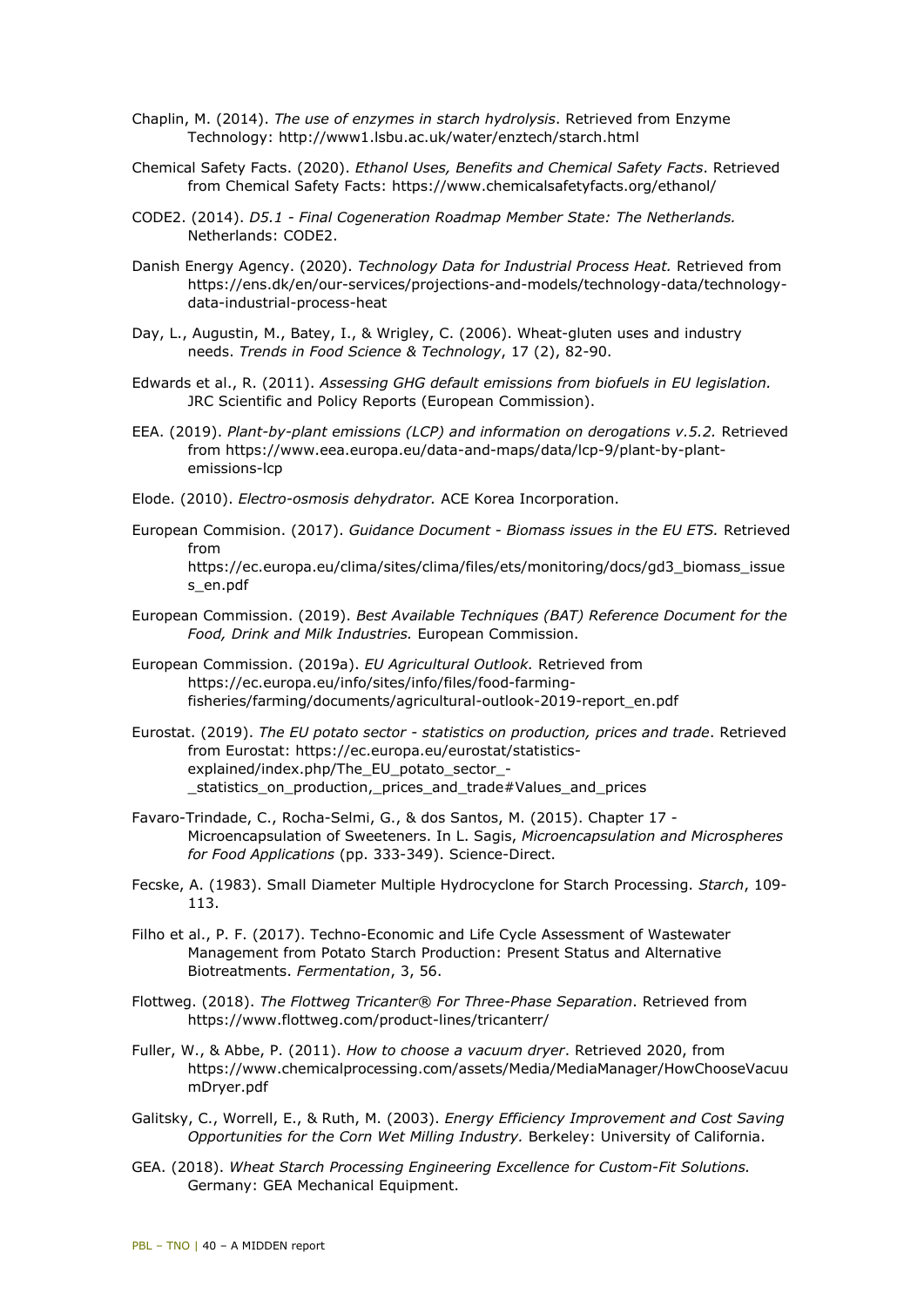- Chaplin, M. (2014). *The use of enzymes in starch hydrolysis*. Retrieved from Enzyme Technology: http://www1.lsbu.ac.uk/water/enztech/starch.html
- Chemical Safety Facts. (2020). *Ethanol Uses, Benefits and Chemical Safety Facts*. Retrieved from Chemical Safety Facts: https://www.chemicalsafetyfacts.org/ethanol/
- CODE2. (2014). *D5.1 Final Cogeneration Roadmap Member State: The Netherlands.* Netherlands: CODE2.
- Danish Energy Agency. (2020). *Technology Data for Industrial Process Heat.* Retrieved from https://ens.dk/en/our-services/projections-and-models/technology-data/technologydata-industrial-process-heat
- Day, L., Augustin, M., Batey, I., & Wrigley, C. (2006). Wheat-gluten uses and industry needs. *Trends in Food Science & Technology*, 17 (2), 82-90.
- Edwards et al., R. (2011). *Assessing GHG default emissions from biofuels in EU legislation.* JRC Scientific and Policy Reports (European Commission).
- EEA. (2019). *Plant-by-plant emissions (LCP) and information on derogations v.5.2.* Retrieved from https://www.eea.europa.eu/data-and-maps/data/lcp-9/plant-by-plantemissions-lcp
- Elode. (2010). *Electro-osmosis dehydrator.* ACE Korea Incorporation.
- European Commision. (2017). *Guidance Document Biomass issues in the EU ETS.* Retrieved from https://ec.europa.eu/clima/sites/clima/files/ets/monitoring/docs/gd3\_biomass\_issue s\_en.pdf
- European Commission. (2019). *Best Available Techniques (BAT) Reference Document for the Food, Drink and Milk Industries.* European Commission.
- European Commission. (2019a). *EU Agricultural Outlook.* Retrieved from https://ec.europa.eu/info/sites/info/files/food-farmingfisheries/farming/documents/agricultural-outlook-2019-report\_en.pdf
- Eurostat. (2019). *The EU potato sector statistics on production, prices and trade*. Retrieved from Eurostat: https://ec.europa.eu/eurostat/statisticsexplained/index.php/The\_EU\_potato\_sector\_- \_statistics\_on\_production,\_prices\_and\_trade#Values\_and\_prices
- Favaro-Trindade, C., Rocha-Selmi, G., & dos Santos, M. (2015). Chapter 17 Microencapsulation of Sweeteners. In L. Sagis, *Microencapsulation and Microspheres for Food Applications* (pp. 333-349). Science-Direct.
- Fecske, A. (1983). Small Diameter Multiple Hydrocyclone for Starch Processing. *Starch*, 109- 113.
- Filho et al., P. F. (2017). Techno-Economic and Life Cycle Assessment of Wastewater Management from Potato Starch Production: Present Status and Alternative Biotreatments. *Fermentation*, 3, 56.
- Flottweg. (2018). *The Flottweg Tricanter® For Three-Phase Separation*. Retrieved from https://www.flottweg.com/product-lines/tricanterr/
- Fuller, W., & Abbe, P. (2011). *How to choose a vacuum dryer*. Retrieved 2020, from https://www.chemicalprocessing.com/assets/Media/MediaManager/HowChooseVacuu mDryer.pdf
- Galitsky, C., Worrell, E., & Ruth, M. (2003). *Energy Efficiency Improvement and Cost Saving Opportunities for the Corn Wet Milling Industry.* Berkeley: University of California.
- GEA. (2018). *Wheat Starch Processing Engineering Excellence for Custom-Fit Solutions.* Germany: GEA Mechanical Equipment.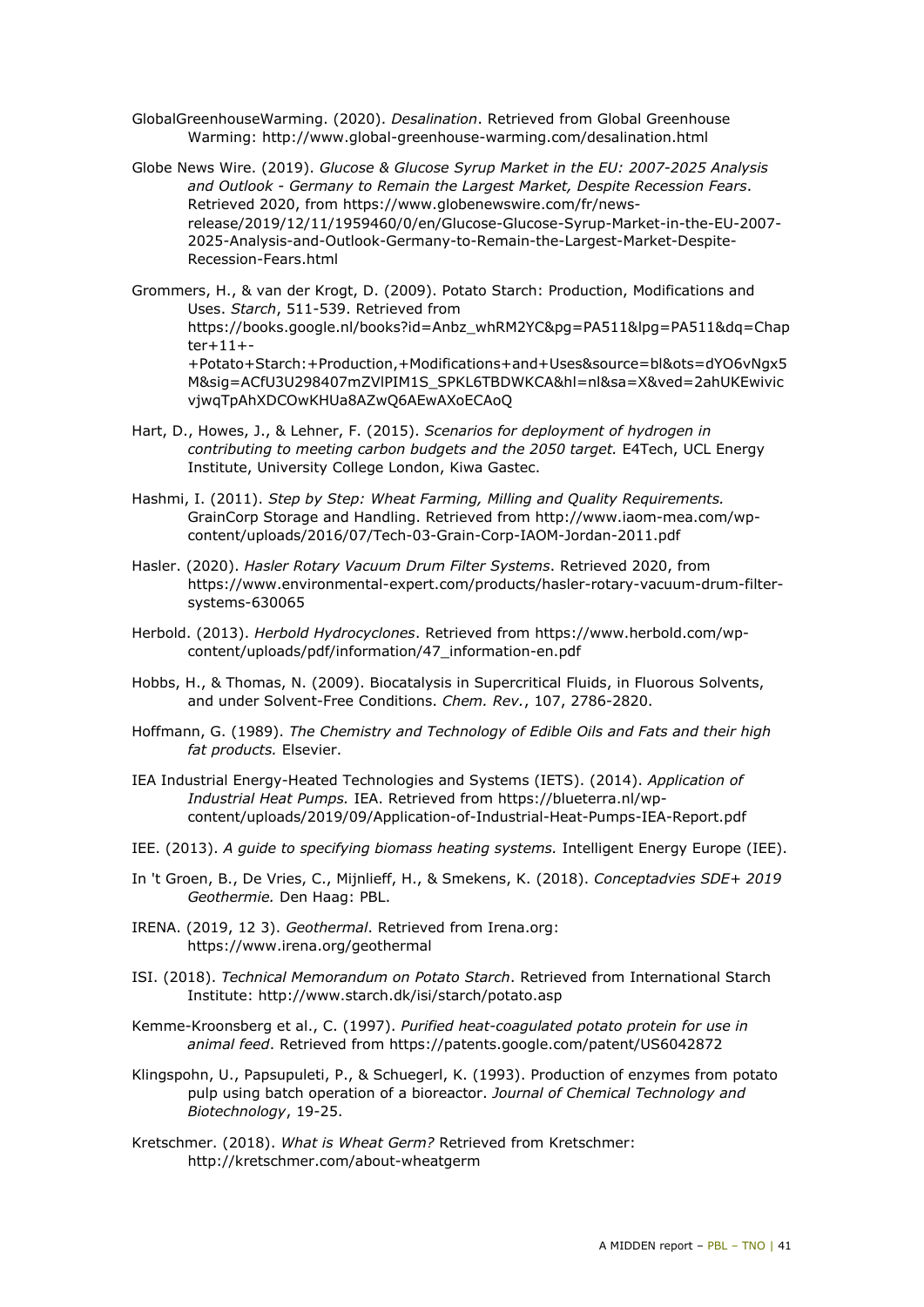- GlobalGreenhouseWarming. (2020). *Desalination*. Retrieved from Global Greenhouse Warming: http://www.global-greenhouse-warming.com/desalination.html
- Globe News Wire. (2019). *Glucose & Glucose Syrup Market in the EU: 2007-2025 Analysis and Outlook - Germany to Remain the Largest Market, Despite Recession Fears*. Retrieved 2020, from https://www.globenewswire.com/fr/newsrelease/2019/12/11/1959460/0/en/Glucose-Glucose-Syrup-Market-in-the-EU-2007- 2025-Analysis-and-Outlook-Germany-to-Remain-the-Largest-Market-Despite-Recession-Fears.html
- Grommers, H., & van der Krogt, D. (2009). Potato Starch: Production, Modifications and Uses. *Starch*, 511-539. Retrieved from https://books.google.nl/books?id=Anbz\_whRM2YC&pg=PA511&lpg=PA511&dq=Chap ter+11+- +Potato+Starch:+Production,+Modifications+and+Uses&source=bl&ots=dYO6vNgx5 M&sig=ACfU3U298407mZVlPIM1S\_SPKL6TBDWKCA&hl=nl&sa=X&ved=2ahUKEwivic vjwqTpAhXDCOwKHUa8AZwQ6AEwAXoECAoQ
- Hart, D., Howes, J., & Lehner, F. (2015). *Scenarios for deployment of hydrogen in contributing to meeting carbon budgets and the 2050 target.* E4Tech, UCL Energy Institute, University College London, Kiwa Gastec.
- Hashmi, I. (2011). *Step by Step: Wheat Farming, Milling and Quality Requirements.* GrainCorp Storage and Handling. Retrieved from http://www.iaom-mea.com/wpcontent/uploads/2016/07/Tech-03-Grain-Corp-IAOM-Jordan-2011.pdf
- Hasler. (2020). *Hasler Rotary Vacuum Drum Filter Systems*. Retrieved 2020, from https://www.environmental-expert.com/products/hasler-rotary-vacuum-drum-filtersystems-630065
- Herbold. (2013). *Herbold Hydrocyclones*. Retrieved from https://www.herbold.com/wpcontent/uploads/pdf/information/47\_information-en.pdf
- Hobbs, H., & Thomas, N. (2009). Biocatalysis in Supercritical Fluids, in Fluorous Solvents, and under Solvent-Free Conditions. *Chem. Rev.*, 107, 2786-2820.
- Hoffmann, G. (1989). *The Chemistry and Technology of Edible Oils and Fats and their high fat products.* Elsevier.
- IEA Industrial Energy-Heated Technologies and Systems (IETS). (2014). *Application of Industrial Heat Pumps.* IEA. Retrieved from https://blueterra.nl/wpcontent/uploads/2019/09/Application-of-Industrial-Heat-Pumps-IEA-Report.pdf
- IEE. (2013). *A guide to specifying biomass heating systems.* Intelligent Energy Europe (IEE).
- In 't Groen, B., De Vries, C., Mijnlieff, H., & Smekens, K. (2018). *Conceptadvies SDE+ 2019 Geothermie.* Den Haag: PBL.
- IRENA. (2019, 12 3). *Geothermal*. Retrieved from Irena.org: https://www.irena.org/geothermal
- ISI. (2018). *Technical Memorandum on Potato Starch*. Retrieved from International Starch Institute: http://www.starch.dk/isi/starch/potato.asp
- Kemme-Kroonsberg et al., C. (1997). *Purified heat-coagulated potato protein for use in animal feed*. Retrieved from https://patents.google.com/patent/US6042872
- Klingspohn, U., Papsupuleti, P., & Schuegerl, K. (1993). Production of enzymes from potato pulp using batch operation of a bioreactor. *Journal of Chemical Technology and Biotechnology*, 19-25.
- Kretschmer. (2018). *What is Wheat Germ?* Retrieved from Kretschmer: http://kretschmer.com/about-wheatgerm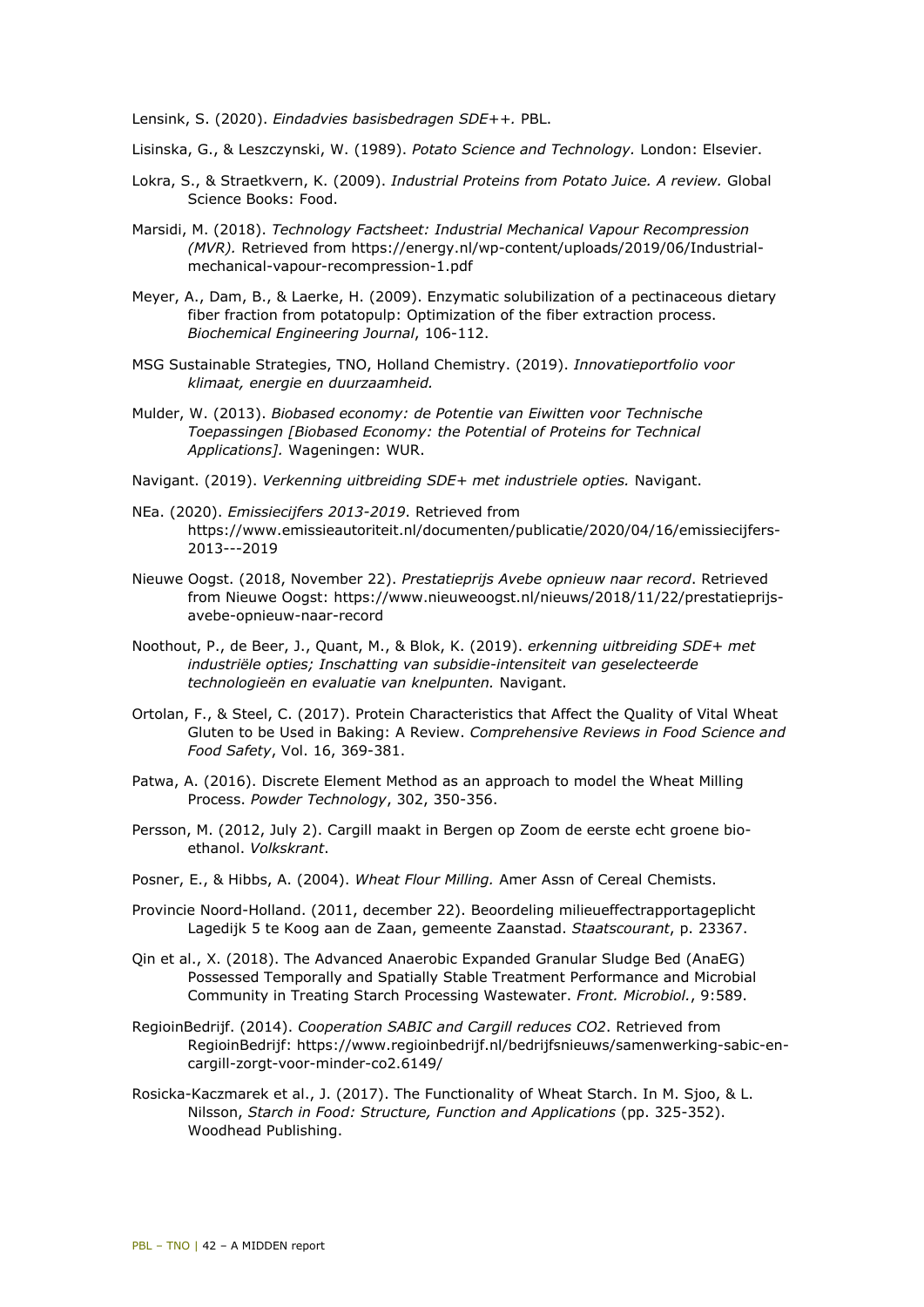Lensink, S. (2020). *Eindadvies basisbedragen SDE++.* PBL.

- Lisinska, G., & Leszczynski, W. (1989). *Potato Science and Technology.* London: Elsevier.
- Lokra, S., & Straetkvern, K. (2009). *Industrial Proteins from Potato Juice. A review.* Global Science Books: Food.
- Marsidi, M. (2018). *Technology Factsheet: Industrial Mechanical Vapour Recompression (MVR).* Retrieved from https://energy.nl/wp-content/uploads/2019/06/Industrialmechanical-vapour-recompression-1.pdf
- Meyer, A., Dam, B., & Laerke, H. (2009). Enzymatic solubilization of a pectinaceous dietary fiber fraction from potatopulp: Optimization of the fiber extraction process. *Biochemical Engineering Journal*, 106-112.
- MSG Sustainable Strategies, TNO, Holland Chemistry. (2019). *Innovatieportfolio voor klimaat, energie en duurzaamheid.*
- Mulder, W. (2013). *Biobased economy: de Potentie van Eiwitten voor Technische Toepassingen [Biobased Economy: the Potential of Proteins for Technical Applications].* Wageningen: WUR.
- Navigant. (2019). *Verkenning uitbreiding SDE+ met industriele opties.* Navigant.
- NEa. (2020). *Emissiecijfers 2013-2019*. Retrieved from https://www.emissieautoriteit.nl/documenten/publicatie/2020/04/16/emissiecijfers-2013---2019
- Nieuwe Oogst. (2018, November 22). *Prestatieprijs Avebe opnieuw naar record*. Retrieved from Nieuwe Oogst: https://www.nieuweoogst.nl/nieuws/2018/11/22/prestatieprijsavebe-opnieuw-naar-record
- Noothout, P., de Beer, J., Quant, M., & Blok, K. (2019). *erkenning uitbreiding SDE+ met industriële opties; Inschatting van subsidie-intensiteit van geselecteerde technologieën en evaluatie van knelpunten.* Navigant.
- Ortolan, F., & Steel, C. (2017). Protein Characteristics that Affect the Quality of Vital Wheat Gluten to be Used in Baking: A Review. *Comprehensive Reviews in Food Science and Food Safety*, Vol. 16, 369-381.
- Patwa, A. (2016). Discrete Element Method as an approach to model the Wheat Milling Process. *Powder Technology*, 302, 350-356.
- Persson, M. (2012, July 2). Cargill maakt in Bergen op Zoom de eerste echt groene bioethanol. *Volkskrant*.
- Posner, E., & Hibbs, A. (2004). *Wheat Flour Milling.* Amer Assn of Cereal Chemists.
- Provincie Noord-Holland. (2011, december 22). Beoordeling milieueffectrapportageplicht Lagedijk 5 te Koog aan de Zaan, gemeente Zaanstad. *Staatscourant*, p. 23367.
- Qin et al., X. (2018). The Advanced Anaerobic Expanded Granular Sludge Bed (AnaEG) Possessed Temporally and Spatially Stable Treatment Performance and Microbial Community in Treating Starch Processing Wastewater. *Front. Microbiol.*, 9:589.
- RegioinBedrijf. (2014). *Cooperation SABIC and Cargill reduces CO2*. Retrieved from RegioinBedrijf: https://www.regioinbedrijf.nl/bedrijfsnieuws/samenwerking-sabic-encargill-zorgt-voor-minder-co2.6149/
- Rosicka-Kaczmarek et al., J. (2017). The Functionality of Wheat Starch. In M. Sjoo, & L. Nilsson, *Starch in Food: Structure, Function and Applications* (pp. 325-352). Woodhead Publishing.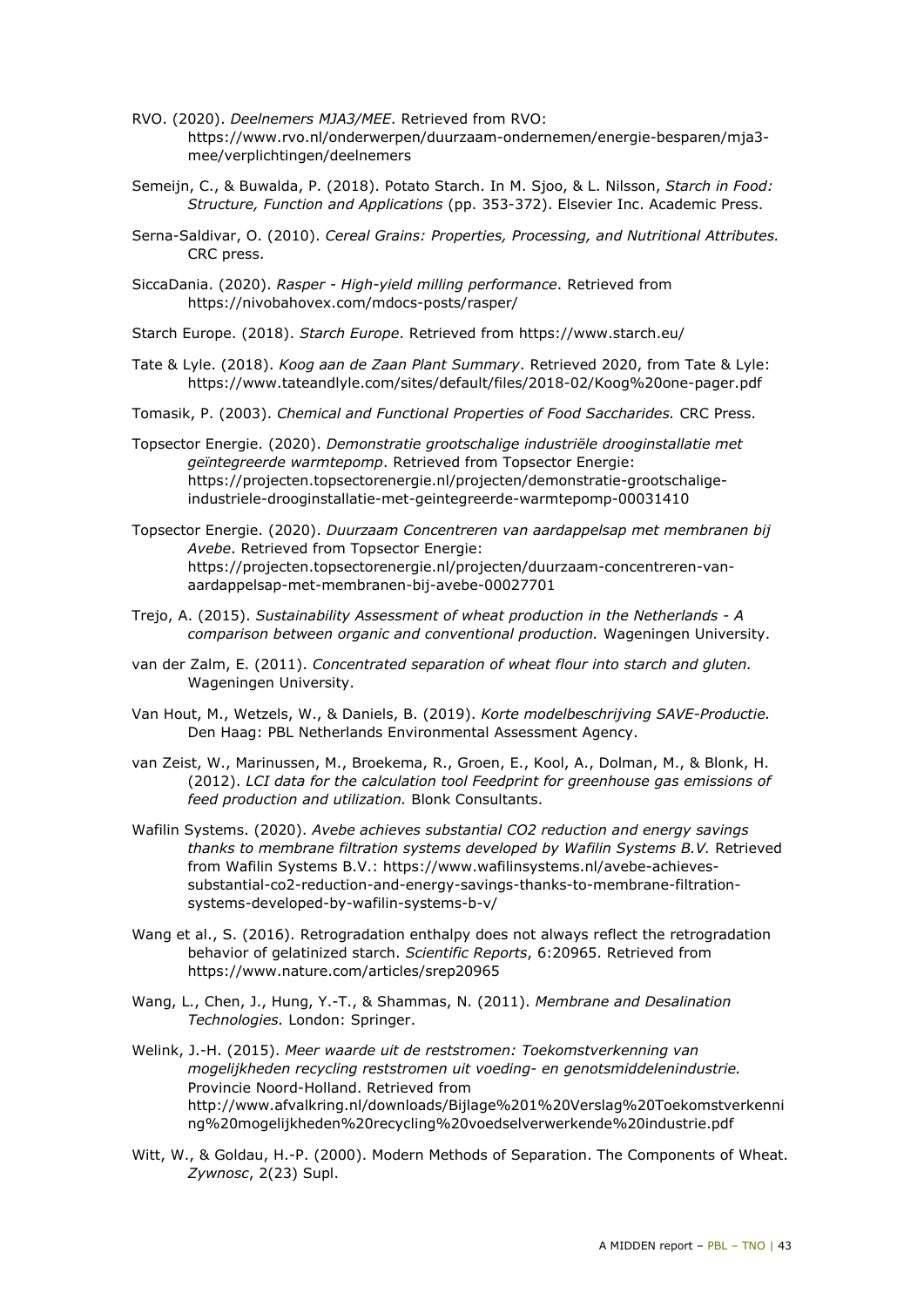- RVO. (2020). *Deelnemers MJA3/MEE*. Retrieved from RVO: https://www.rvo.nl/onderwerpen/duurzaam-ondernemen/energie-besparen/mja3 mee/verplichtingen/deelnemers
- Semeijn, C., & Buwalda, P. (2018). Potato Starch. In M. Sjoo, & L. Nilsson, *Starch in Food: Structure, Function and Applications* (pp. 353-372). Elsevier Inc. Academic Press.
- Serna-Saldivar, O. (2010). *Cereal Grains: Properties, Processing, and Nutritional Attributes.* CRC press.
- SiccaDania. (2020). *Rasper High-yield milling performance*. Retrieved from https://nivobahovex.com/mdocs-posts/rasper/
- Starch Europe. (2018). *Starch Europe*. Retrieved from https://www.starch.eu/
- Tate & Lyle. (2018). *Koog aan de Zaan Plant Summary*. Retrieved 2020, from Tate & Lyle: https://www.tateandlyle.com/sites/default/files/2018-02/Koog%20one-pager.pdf
- Tomasik, P. (2003). *Chemical and Functional Properties of Food Saccharides.* CRC Press.
- Topsector Energie. (2020). *Demonstratie grootschalige industriële drooginstallatie met geïntegreerde warmtepomp*. Retrieved from Topsector Energie: https://projecten.topsectorenergie.nl/projecten/demonstratie-grootschaligeindustriele-drooginstallatie-met-geintegreerde-warmtepomp-00031410
- Topsector Energie. (2020). *Duurzaam Concentreren van aardappelsap met membranen bij Avebe*. Retrieved from Topsector Energie: https://projecten.topsectorenergie.nl/projecten/duurzaam-concentreren-vanaardappelsap-met-membranen-bij-avebe-00027701
- Trejo, A. (2015). *Sustainability Assessment of wheat production in the Netherlands A comparison between organic and conventional production.* Wageningen University.
- van der Zalm, E. (2011). *Concentrated separation of wheat flour into starch and gluten.* Wageningen University.
- Van Hout, M., Wetzels, W., & Daniels, B. (2019). *Korte modelbeschrijving SAVE-Productie.* Den Haag: PBL Netherlands Environmental Assessment Agency.
- van Zeist, W., Marinussen, M., Broekema, R., Groen, E., Kool, A., Dolman, M., & Blonk, H. (2012). *LCI data for the calculation tool Feedprint for greenhouse gas emissions of feed production and utilization.* Blonk Consultants.
- Wafilin Systems. (2020). *Avebe achieves substantial CO2 reduction and energy savings thanks to membrane filtration systems developed by Wafilin Systems B.V.* Retrieved from Wafilin Systems B.V.: https://www.wafilinsystems.nl/avebe-achievessubstantial-co2-reduction-and-energy-savings-thanks-to-membrane-filtrationsystems-developed-by-wafilin-systems-b-v/
- Wang et al., S. (2016). Retrogradation enthalpy does not always reflect the retrogradation behavior of gelatinized starch. *Scientific Reports*, 6:20965. Retrieved from https://www.nature.com/articles/srep20965
- Wang, L., Chen, J., Hung, Y.-T., & Shammas, N. (2011). *Membrane and Desalination Technologies.* London: Springer.
- Welink, J.-H. (2015). *Meer waarde uit de reststromen: Toekomstverkenning van mogelijkheden recycling reststromen uit voeding- en genotsmiddelenindustrie.* Provincie Noord-Holland. Retrieved from http://www.afvalkring.nl/downloads/Bijlage%201%20Verslag%20Toekomstverkenni ng%20mogelijkheden%20recycling%20voedselverwerkende%20industrie.pdf
- Witt, W., & Goldau, H.-P. (2000). Modern Methods of Separation. The Components of Wheat. *Zywnosc*, 2(23) Supl.